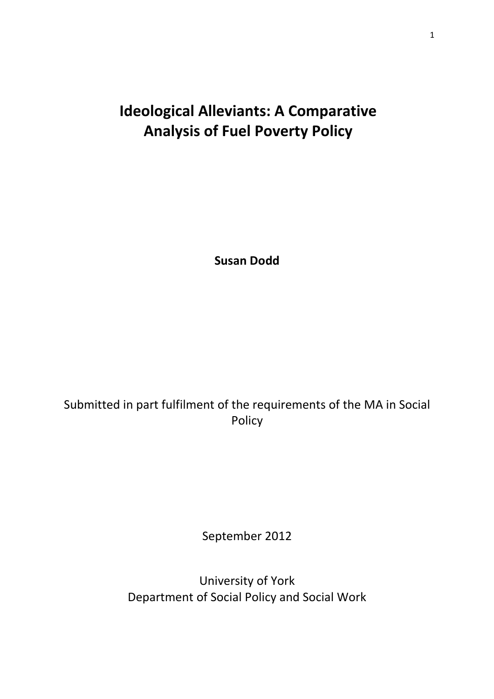# Ideological Alleviants: A Comparative Analysis of Fuel Poverty Policy

Susan Dodd

## Submitted in part fulfilment of the requirements of the MA in Social Policy

September 2012

University of York Department of Social Policy and Social Work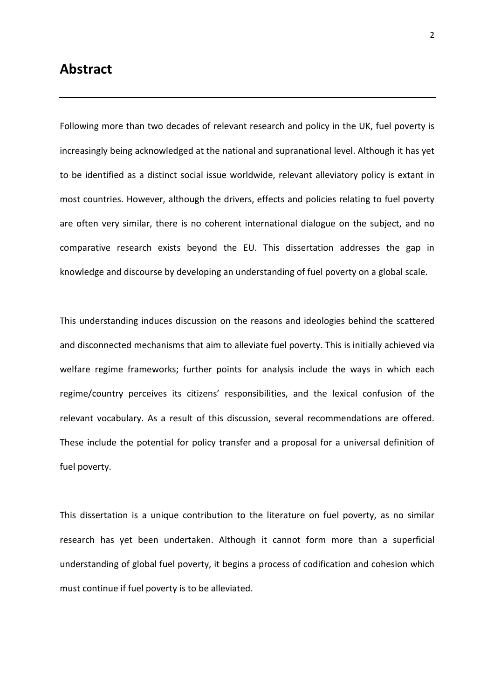### Abstract

Following more than two decades of relevant research and policy in the UK, fuel poverty is increasingly being acknowledged at the national and supranational level. Although it has yet to be identified as a distinct social issue worldwide, relevant alleviatory policy is extant in most countries. However, although the drivers, effects and policies relating to fuel poverty are often very similar, there is no coherent international dialogue on the subject, and no comparative research exists beyond the EU. This dissertation addresses the gap in knowledge and discourse by developing an understanding of fuel poverty on a global scale.

This understanding induces discussion on the reasons and ideologies behind the scattered and disconnected mechanisms that aim to alleviate fuel poverty. This is initially achieved via welfare regime frameworks; further points for analysis include the ways in which each regime/country perceives its citizens' responsibilities, and the lexical confusion of the relevant vocabulary. As a result of this discussion, several recommendations are offered. These include the potential for policy transfer and a proposal for a universal definition of fuel poverty.

This dissertation is a unique contribution to the literature on fuel poverty, as no similar research has yet been undertaken. Although it cannot form more than a superficial understanding of global fuel poverty, it begins a process of codification and cohesion which must continue if fuel poverty is to be alleviated.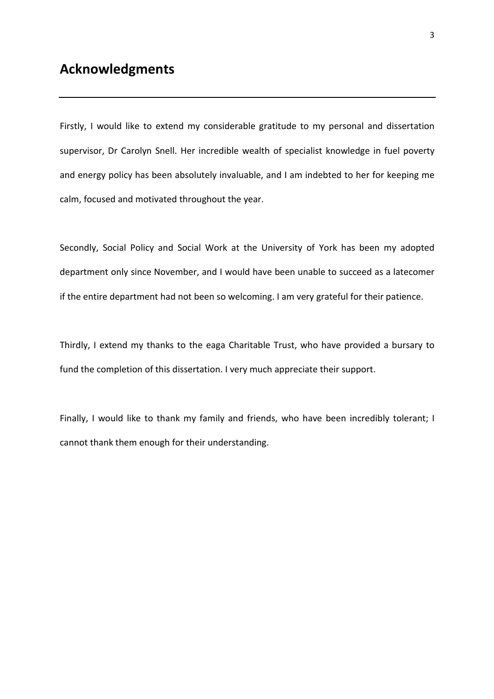### Acknowledgments

Firstly, I would like to extend my considerable gratitude to my personal and dissertation supervisor, Dr Carolyn Snell. Her incredible wealth of specialist knowledge in fuel poverty and energy policy has been absolutely invaluable, and I am indebted to her for keeping me calm, focused and motivated throughout the year.

Secondly, Social Policy and Social Work at the University of York has been my adopted department only since November, and I would have been unable to succeed as a latecomer if the entire department had not been so welcoming. I am very grateful for their patience.

Thirdly, I extend my thanks to the eaga Charitable Trust, who have provided a bursary to fund the completion of this dissertation. I very much appreciate their support.

Finally, I would like to thank my family and friends, who have been incredibly tolerant; I cannot thank them enough for their understanding.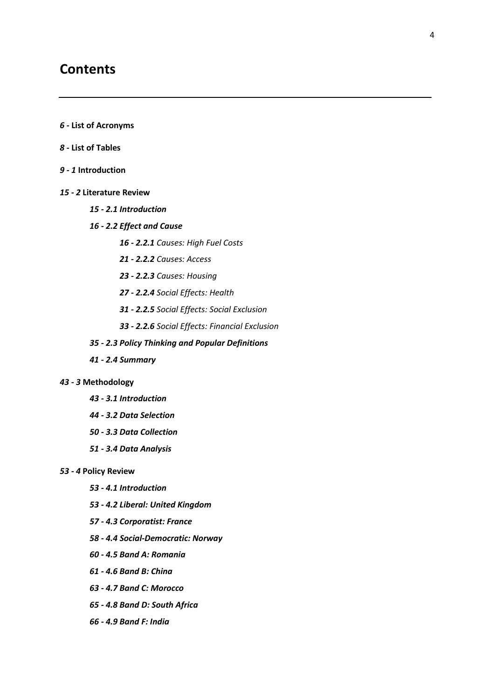### **Contents**

- 6 List of Acronyms
- 8 List of Tables
- 9 1 Introduction
- 15 2 Literature Review
	- 15 2.1 Introduction
	- 16 2.2 Effect and Cause
		- 16 2.2.1 Causes: High Fuel Costs
		- 21 2.2.2 Causes: Access
		- 23 2.2.3 Causes: Housing
		- 27 2.2.4 Social Effects: Health
		- 31 2.2.5 Social Effects: Social Exclusion
		- 33 2.2.6 Social Effects: Financial Exclusion
	- 35 2.3 Policy Thinking and Popular Definitions
	- 41 2.4 Summary

#### 43 - 3 Methodology

- 43 3.1 Introduction
- 44 3.2 Data Selection
- 50 3.3 Data Collection
- 51 3.4 Data Analysis

#### 53 - 4 Policy Review

- 53 4.1 Introduction
- 53 4.2 Liberal: United Kingdom
- 57 4.3 Corporatist: France
- 58 4.4 Social-Democratic: Norway
- 60 4.5 Band A: Romania
- 61 4.6 Band B: China
- 63 4.7 Band C: Morocco
- 65 4.8 Band D: South Africa
- 66 4.9 Band F: India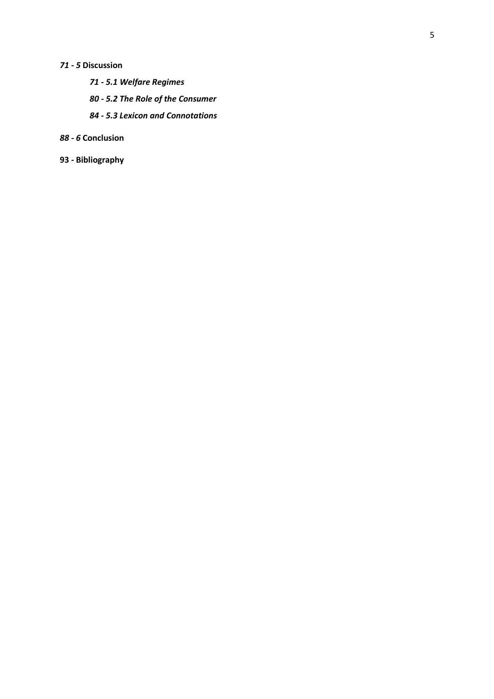### 71 - 5 Discussion

- 71 5.1 Welfare Regimes
- 80 5.2 The Role of the Consumer
- 84 5.3 Lexicon and Connotations

### 88 - 6 Conclusion

93 - Bibliography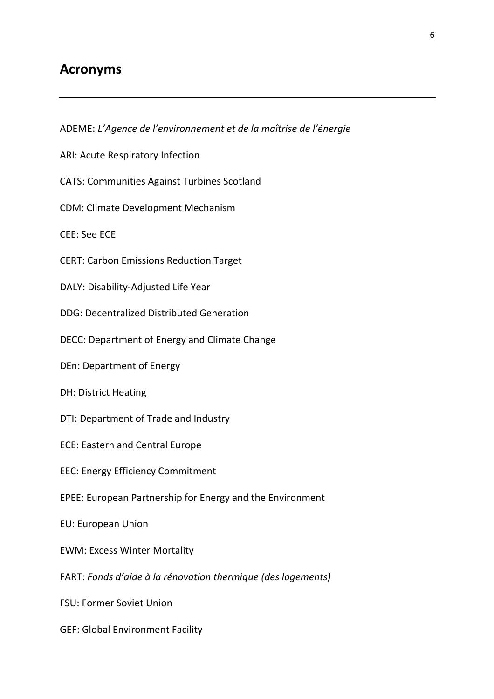## Acronyms

ADEME: L'Agence de l'environnement et de la maîtrise de l'énergie ARI: Acute Respiratory Infection CATS: Communities Against Turbines Scotland CDM: Climate Development Mechanism CEE: See ECE CERT: Carbon Emissions Reduction Target DALY: Disability-Adjusted Life Year DDG: Decentralized Distributed Generation DECC: Department of Energy and Climate Change DEn: Department of Energy DH: District Heating DTI: Department of Trade and Industry ECE: Eastern and Central Europe EEC: Energy Efficiency Commitment EPEE: European Partnership for Energy and the Environment EU: European Union EWM: Excess Winter Mortality FART: Fonds d'aide à la rénovation thermique (des logements) FSU: Former Soviet Union GEF: Global Environment Facility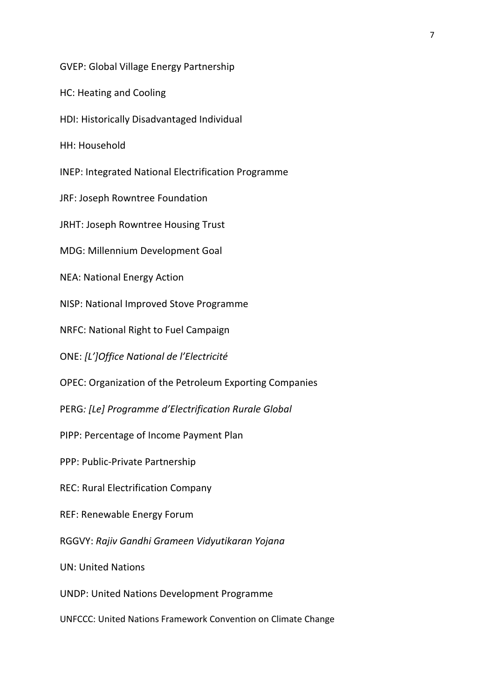GVEP: Global Village Energy Partnership HC: Heating and Cooling HDI: Historically Disadvantaged Individual HH: Household INEP: Integrated National Electrification Programme JRF: Joseph Rowntree Foundation JRHT: Joseph Rowntree Housing Trust MDG: Millennium Development Goal NEA: National Energy Action NISP: National Improved Stove Programme NRFC: National Right to Fuel Campaign ONE: [L']Office National de l'Electricité OPEC: Organization of the Petroleum Exporting Companies PERG: [Le] Programme d'Electrification Rurale Global PIPP: Percentage of Income Payment Plan PPP: Public-Private Partnership REC: Rural Electrification Company REF: Renewable Energy Forum RGGVY: Rajiv Gandhi Grameen Vidyutikaran Yojana UN: United Nations UNDP: United Nations Development Programme

UNFCCC: United Nations Framework Convention on Climate Change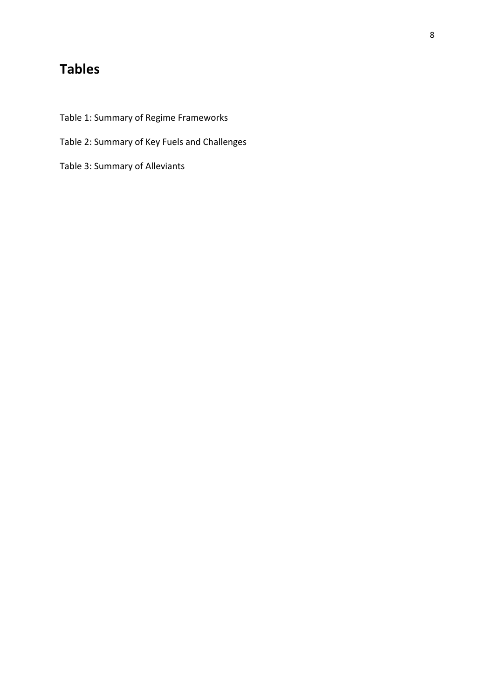## Tables

- Table 1: Summary of Regime Frameworks
- Table 2: Summary of Key Fuels and Challenges

Table 3: Summary of Alleviants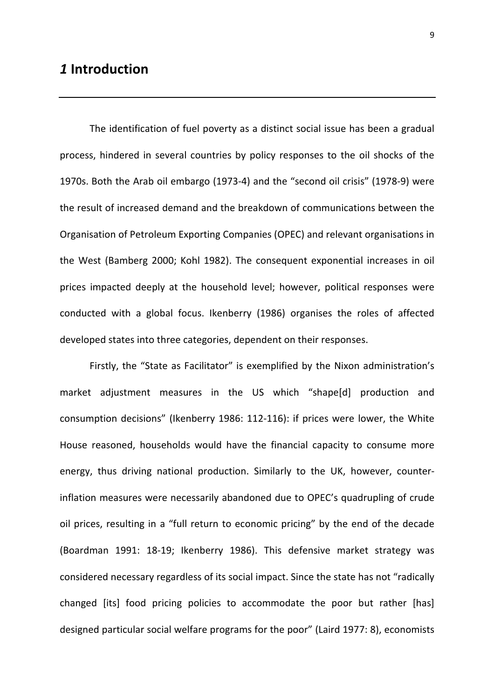## 1 Introduction

The identification of fuel poverty as a distinct social issue has been a gradual process, hindered in several countries by policy responses to the oil shocks of the 1970s. Both the Arab oil embargo (1973-4) and the "second oil crisis" (1978-9) were the result of increased demand and the breakdown of communications between the Organisation of Petroleum Exporting Companies (OPEC) and relevant organisations in the West (Bamberg 2000; Kohl 1982). The consequent exponential increases in oil prices impacted deeply at the household level; however, political responses were conducted with a global focus. Ikenberry (1986) organises the roles of affected developed states into three categories, dependent on their responses.

Firstly, the "State as Facilitator" is exemplified by the Nixon administration's market adjustment measures in the US which "shape[d] production and consumption decisions" (Ikenberry 1986: 112-116): if prices were lower, the White House reasoned, households would have the financial capacity to consume more energy, thus driving national production. Similarly to the UK, however, counterinflation measures were necessarily abandoned due to OPEC's quadrupling of crude oil prices, resulting in a "full return to economic pricing" by the end of the decade (Boardman 1991: 18-19; Ikenberry 1986). This defensive market strategy was considered necessary regardless of its social impact. Since the state has not "radically changed [its] food pricing policies to accommodate the poor but rather [has] designed particular social welfare programs for the poor" (Laird 1977: 8), economists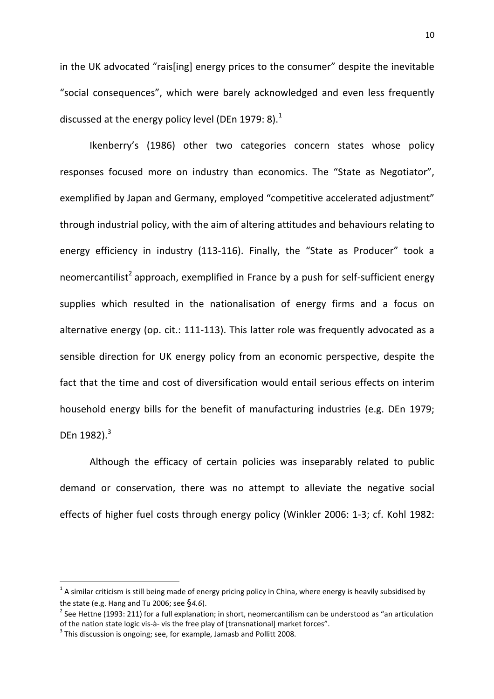in the UK advocated "rais[ing] energy prices to the consumer" despite the inevitable "social consequences", which were barely acknowledged and even less frequently discussed at the energy policy level (DEn 1979: 8).<sup>1</sup>

Ikenberry's (1986) other two categories concern states whose policy responses focused more on industry than economics. The "State as Negotiator", exemplified by Japan and Germany, employed "competitive accelerated adjustment" through industrial policy, with the aim of altering attitudes and behaviours relating to energy efficiency in industry (113-116). Finally, the "State as Producer" took a neomercantilist<sup>2</sup> approach, exemplified in France by a push for self-sufficient energy supplies which resulted in the nationalisation of energy firms and a focus on alternative energy (op. cit.: 111-113). This latter role was frequently advocated as a sensible direction for UK energy policy from an economic perspective, despite the fact that the time and cost of diversification would entail serious effects on interim household energy bills for the benefit of manufacturing industries (e.g. DEn 1979; DEn  $1982$ ).<sup>3</sup>

Although the efficacy of certain policies was inseparably related to public demand or conservation, there was no attempt to alleviate the negative social effects of higher fuel costs through energy policy (Winkler 2006: 1-3; cf. Kohl 1982:

 $\overline{\phantom{0}}$ 

 $^1$  A similar criticism is still being made of energy pricing policy in China, where energy is heavily subsidised by the state (e.g. Hang and Tu 2006; see  $\S$ 4.6).

<sup>&</sup>lt;sup>2</sup> See Hettne (1993: 211) for a full explanation; in short, neomercantilism can be understood as "an articulation of the nation state logic vis-à- vis the free play of [transnational] market forces".

 $3$  This discussion is ongoing; see, for example, Jamasb and Pollitt 2008.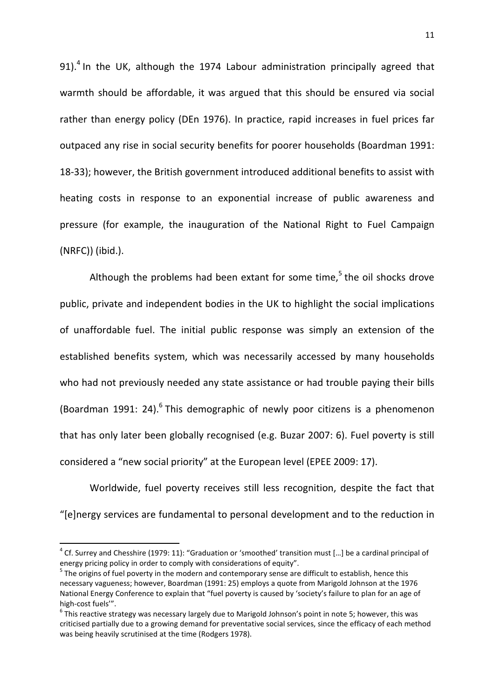91).<sup>4</sup> In the UK, although the 1974 Labour administration principally agreed that warmth should be affordable, it was argued that this should be ensured via social rather than energy policy (DEn 1976). In practice, rapid increases in fuel prices far outpaced any rise in social security benefits for poorer households (Boardman 1991: 18-33); however, the British government introduced additional benefits to assist with heating costs in response to an exponential increase of public awareness and pressure (for example, the inauguration of the National Right to Fuel Campaign (NRFC)) (ibid.).

Although the problems had been extant for some time,<sup>5</sup> the oil shocks drove public, private and independent bodies in the UK to highlight the social implications of unaffordable fuel. The initial public response was simply an extension of the established benefits system, which was necessarily accessed by many households who had not previously needed any state assistance or had trouble paying their bills (Boardman 1991: 24). $^6$  This demographic of newly poor citizens is a phenomenon that has only later been globally recognised (e.g. Buzar 2007: 6). Fuel poverty is still considered a "new social priority" at the European level (EPEE 2009: 17).

Worldwide, fuel poverty receives still less recognition, despite the fact that "[e]nergy services are fundamental to personal development and to the reduction in

l

 $^4$  Cf. Surrey and Chesshire (1979: 11): "Graduation or 'smoothed' transition must [...] be a cardinal principal of energy pricing policy in order to comply with considerations of equity".

<sup>&</sup>lt;sup>5</sup> The origins of fuel poverty in the modern and contemporary sense are difficult to establish, hence this necessary vagueness; however, Boardman (1991: 25) employs a quote from Marigold Johnson at the 1976 National Energy Conference to explain that "fuel poverty is caused by 'society's failure to plan for an age of high-cost fuels'".

 $^6$  This reactive strategy was necessary largely due to Marigold Johnson's point in note 5; however, this was criticised partially due to a growing demand for preventative social services, since the efficacy of each method was being heavily scrutinised at the time (Rodgers 1978).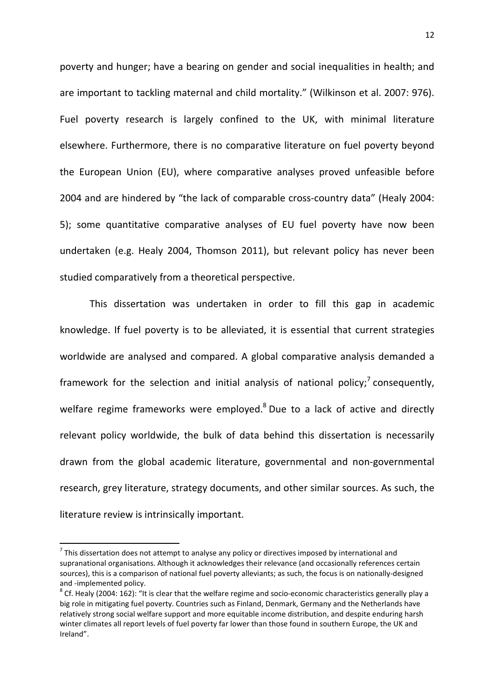poverty and hunger; have a bearing on gender and social inequalities in health; and are important to tackling maternal and child mortality." (Wilkinson et al. 2007: 976). Fuel poverty research is largely confined to the UK, with minimal literature elsewhere. Furthermore, there is no comparative literature on fuel poverty beyond the European Union (EU), where comparative analyses proved unfeasible before 2004 and are hindered by "the lack of comparable cross-country data" (Healy 2004: 5); some quantitative comparative analyses of EU fuel poverty have now been undertaken (e.g. Healy 2004, Thomson 2011), but relevant policy has never been studied comparatively from a theoretical perspective.

This dissertation was undertaken in order to fill this gap in academic knowledge. If fuel poverty is to be alleviated, it is essential that current strategies worldwide are analysed and compared. A global comparative analysis demanded a framework for the selection and initial analysis of national policy;<sup>7</sup> consequently, welfare regime frameworks were employed.<sup>8</sup> Due to a lack of active and directly relevant policy worldwide, the bulk of data behind this dissertation is necessarily drawn from the global academic literature, governmental and non-governmental research, grey literature, strategy documents, and other similar sources. As such, the literature review is intrinsically important.

l

 $^7$  This dissertation does not attempt to analyse any policy or directives imposed by international and supranational organisations. Although it acknowledges their relevance (and occasionally references certain sources), this is a comparison of national fuel poverty alleviants; as such, the focus is on nationally-designed and -implemented policy.

 $^8$  Cf. Healy (2004: 162): "It is clear that the welfare regime and socio-economic characteristics generally play a big role in mitigating fuel poverty. Countries such as Finland, Denmark, Germany and the Netherlands have relatively strong social welfare support and more equitable income distribution, and despite enduring harsh winter climates all report levels of fuel poverty far lower than those found in southern Europe, the UK and Ireland".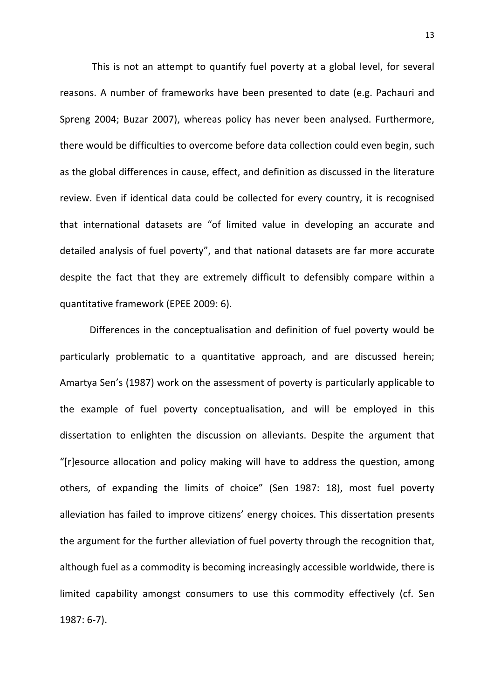This is not an attempt to quantify fuel poverty at a global level, for several reasons. A number of frameworks have been presented to date (e.g. Pachauri and Spreng 2004; Buzar 2007), whereas policy has never been analysed. Furthermore, there would be difficulties to overcome before data collection could even begin, such as the global differences in cause, effect, and definition as discussed in the literature review. Even if identical data could be collected for every country, it is recognised that international datasets are "of limited value in developing an accurate and detailed analysis of fuel poverty", and that national datasets are far more accurate despite the fact that they are extremely difficult to defensibly compare within a quantitative framework (EPEE 2009: 6).

Differences in the conceptualisation and definition of fuel poverty would be particularly problematic to a quantitative approach, and are discussed herein; Amartya Sen's (1987) work on the assessment of poverty is particularly applicable to the example of fuel poverty conceptualisation, and will be employed in this dissertation to enlighten the discussion on alleviants. Despite the argument that "[r]esource allocation and policy making will have to address the question, among others, of expanding the limits of choice" (Sen 1987: 18), most fuel poverty alleviation has failed to improve citizens' energy choices. This dissertation presents the argument for the further alleviation of fuel poverty through the recognition that, although fuel as a commodity is becoming increasingly accessible worldwide, there is limited capability amongst consumers to use this commodity effectively (cf. Sen 1987: 6-7).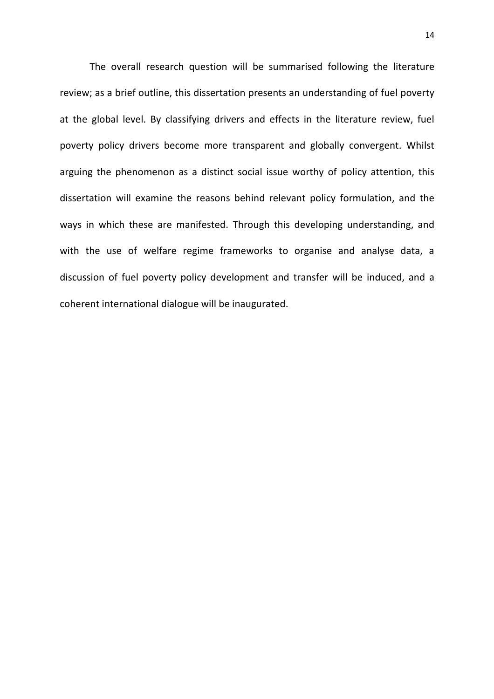The overall research question will be summarised following the literature review; as a brief outline, this dissertation presents an understanding of fuel poverty at the global level. By classifying drivers and effects in the literature review, fuel poverty policy drivers become more transparent and globally convergent. Whilst arguing the phenomenon as a distinct social issue worthy of policy attention, this dissertation will examine the reasons behind relevant policy formulation, and the ways in which these are manifested. Through this developing understanding, and with the use of welfare regime frameworks to organise and analyse data, a discussion of fuel poverty policy development and transfer will be induced, and a coherent international dialogue will be inaugurated.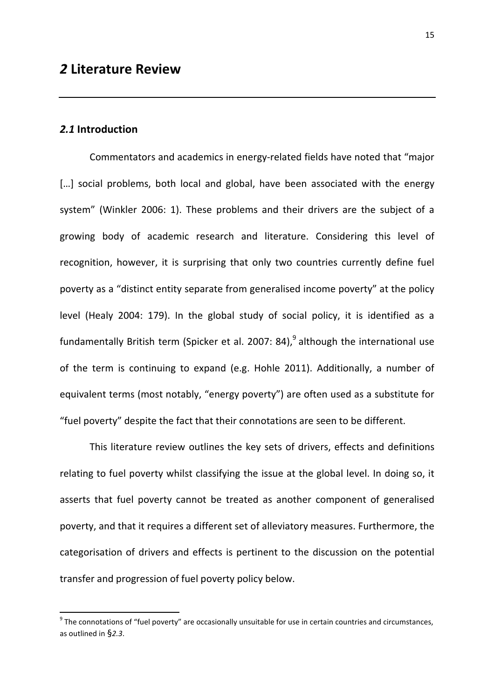### 2.1 Introduction

 $\overline{a}$ 

 Commentators and academics in energy-related fields have noted that "major [...] social problems, both local and global, have been associated with the energy system" (Winkler 2006: 1). These problems and their drivers are the subject of a growing body of academic research and literature. Considering this level of recognition, however, it is surprising that only two countries currently define fuel poverty as a "distinct entity separate from generalised income poverty" at the policy level (Healy 2004: 179). In the global study of social policy, it is identified as a fundamentally British term (Spicker et al. 2007: 84),<sup>9</sup> although the international use of the term is continuing to expand (e.g. Hohle 2011). Additionally, a number of equivalent terms (most notably, "energy poverty") are often used as a substitute for "fuel poverty" despite the fact that their connotations are seen to be different.

 This literature review outlines the key sets of drivers, effects and definitions relating to fuel poverty whilst classifying the issue at the global level. In doing so, it asserts that fuel poverty cannot be treated as another component of generalised poverty, and that it requires a different set of alleviatory measures. Furthermore, the categorisation of drivers and effects is pertinent to the discussion on the potential transfer and progression of fuel poverty policy below.

 $9$  The connotations of "fuel poverty" are occasionally unsuitable for use in certain countries and circumstances, as outlined in §2.3.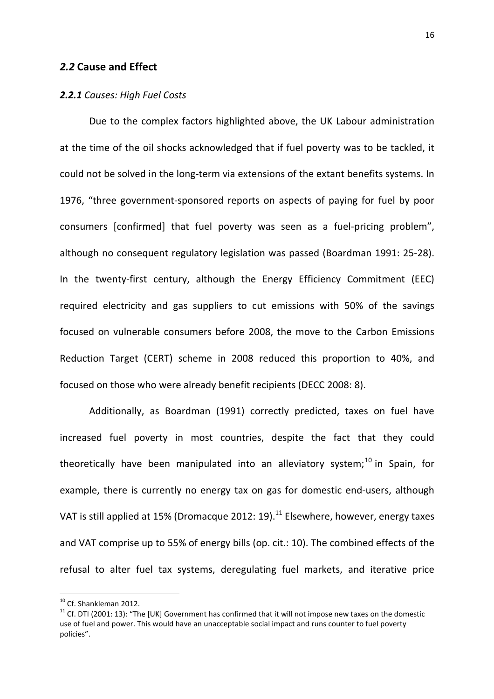### 2.2 Cause and Effect

### 2.2.1 Causes: High Fuel Costs

Due to the complex factors highlighted above, the UK Labour administration at the time of the oil shocks acknowledged that if fuel poverty was to be tackled, it could not be solved in the long-term via extensions of the extant benefits systems. In 1976, "three government-sponsored reports on aspects of paying for fuel by poor consumers [confirmed] that fuel poverty was seen as a fuel-pricing problem", although no consequent regulatory legislation was passed (Boardman 1991: 25-28). In the twenty-first century, although the Energy Efficiency Commitment (EEC) required electricity and gas suppliers to cut emissions with 50% of the savings focused on vulnerable consumers before 2008, the move to the Carbon Emissions Reduction Target (CERT) scheme in 2008 reduced this proportion to 40%, and focused on those who were already benefit recipients (DECC 2008: 8).

Additionally, as Boardman (1991) correctly predicted, taxes on fuel have increased fuel poverty in most countries, despite the fact that they could theoretically have been manipulated into an alleviatory system; $^{10}$  in Spain, for example, there is currently no energy tax on gas for domestic end-users, although VAT is still applied at 15% (Dromacque 2012: 19).<sup>11</sup> Elsewhere, however, energy taxes and VAT comprise up to 55% of energy bills (op. cit.: 10). The combined effects of the refusal to alter fuel tax systems, deregulating fuel markets, and iterative price

 $\overline{\phantom{0}}$ 

<sup>&</sup>lt;sup>10</sup> Cf. Shankleman 2012.

 $11$  Cf. DTI (2001: 13): "The [UK] Government has confirmed that it will not impose new taxes on the domestic use of fuel and power. This would have an unacceptable social impact and runs counter to fuel poverty policies".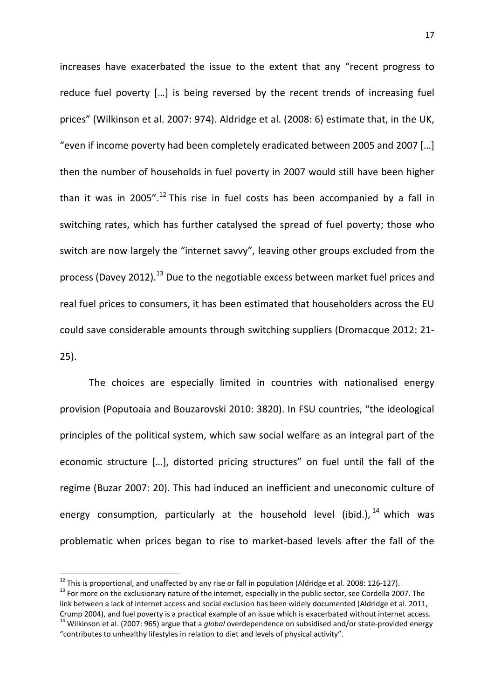increases have exacerbated the issue to the extent that any "recent progress to reduce fuel poverty […] is being reversed by the recent trends of increasing fuel prices" (Wilkinson et al. 2007: 974). Aldridge et al. (2008: 6) estimate that, in the UK, "even if income poverty had been completely eradicated between 2005 and 2007 […] then the number of households in fuel poverty in 2007 would still have been higher than it was in 2005".<sup>12</sup> This rise in fuel costs has been accompanied by a fall in switching rates, which has further catalysed the spread of fuel poverty; those who switch are now largely the "internet savvy", leaving other groups excluded from the process (Davey 2012).<sup>13</sup> Due to the negotiable excess between market fuel prices and real fuel prices to consumers, it has been estimated that householders across the EU could save considerable amounts through switching suppliers (Dromacque 2012: 21- 25).

The choices are especially limited in countries with nationalised energy provision (Poputoaia and Bouzarovski 2010: 3820). In FSU countries, "the ideological principles of the political system, which saw social welfare as an integral part of the economic structure […], distorted pricing structures" on fuel until the fall of the regime (Buzar 2007: 20). This had induced an inefficient and uneconomic culture of energy consumption, particularly at the household level (ibid.),  $14$  which was problematic when prices began to rise to market-based levels after the fall of the

 $\overline{\phantom{0}}$ 

 $^{12}$  This is proportional, and unaffected by any rise or fall in population (Aldridge et al. 2008: 126-127). <sup>13</sup> For more on the exclusionary nature of the internet, especially in the public sector, see Cordella 2007. The link between a lack of internet access and social exclusion has been widely documented (Aldridge et al. 2011, Crump 2004), and fuel poverty is a practical example of an issue which is exacerbated without internet access. <sup>14</sup> Wilkinson et al. (2007: 965) argue that a *global* overdependence on subsidised and/or state-provided energy

<sup>&</sup>quot;contributes to unhealthy lifestyles in relation to diet and levels of physical activity".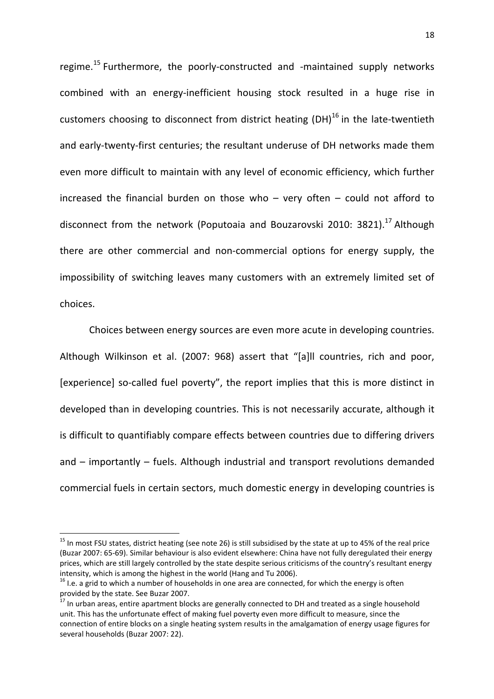regime.<sup>15</sup> Furthermore, the poorly-constructed and -maintained supply networks combined with an energy-inefficient housing stock resulted in a huge rise in customers choosing to disconnect from district heating  $(DH)^{16}$  in the late-twentieth and early-twenty-first centuries; the resultant underuse of DH networks made them even more difficult to maintain with any level of economic efficiency, which further increased the financial burden on those who – very often – could not afford to disconnect from the network (Poputoaia and Bouzarovski 2010: 3821).<sup>17</sup> Although there are other commercial and non-commercial options for energy supply, the impossibility of switching leaves many customers with an extremely limited set of choices.

Choices between energy sources are even more acute in developing countries. Although Wilkinson et al. (2007: 968) assert that "[a]ll countries, rich and poor, [experience] so-called fuel poverty", the report implies that this is more distinct in developed than in developing countries. This is not necessarily accurate, although it is difficult to quantifiably compare effects between countries due to differing drivers and – importantly – fuels. Although industrial and transport revolutions demanded commercial fuels in certain sectors, much domestic energy in developing countries is

 $\overline{a}$ 

<sup>&</sup>lt;sup>15</sup> In most FSU states, district heating (see note 26) is still subsidised by the state at up to 45% of the real price (Buzar 2007: 65-69). Similar behaviour is also evident elsewhere: China have not fully deregulated their energy prices, which are still largely controlled by the state despite serious criticisms of the country's resultant energy intensity, which is among the highest in the world (Hang and Tu 2006).

<sup>&</sup>lt;sup>16</sup> I.e. a grid to which a number of households in one area are connected, for which the energy is often provided by the state. See Buzar 2007.

 $17$  In urban areas, entire apartment blocks are generally connected to DH and treated as a single household unit. This has the unfortunate effect of making fuel poverty even more difficult to measure, since the connection of entire blocks on a single heating system results in the amalgamation of energy usage figures for several households (Buzar 2007: 22).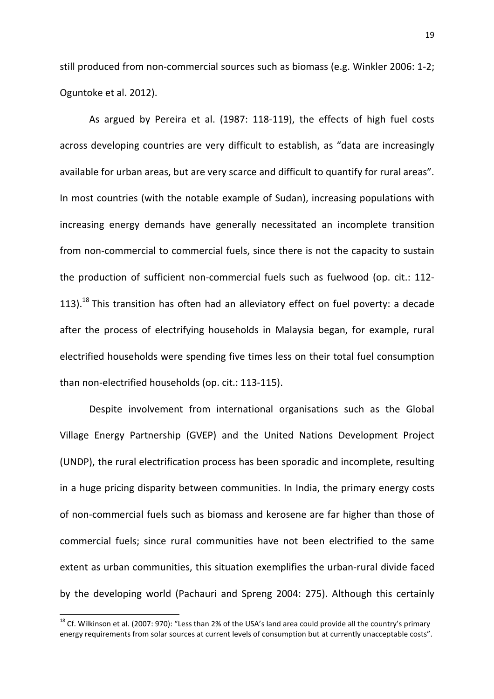still produced from non-commercial sources such as biomass (e.g. Winkler 2006: 1-2; Oguntoke et al. 2012).

As argued by Pereira et al. (1987: 118-119), the effects of high fuel costs across developing countries are very difficult to establish, as "data are increasingly available for urban areas, but are very scarce and difficult to quantify for rural areas". In most countries (with the notable example of Sudan), increasing populations with increasing energy demands have generally necessitated an incomplete transition from non-commercial to commercial fuels, since there is not the capacity to sustain the production of sufficient non-commercial fuels such as fuelwood (op. cit.: 112- 113).<sup>18</sup> This transition has often had an alleviatory effect on fuel poverty: a decade after the process of electrifying households in Malaysia began, for example, rural electrified households were spending five times less on their total fuel consumption than non-electrified households (op. cit.: 113-115).

Despite involvement from international organisations such as the Global Village Energy Partnership (GVEP) and the United Nations Development Project (UNDP), the rural electrification process has been sporadic and incomplete, resulting in a huge pricing disparity between communities. In India, the primary energy costs of non-commercial fuels such as biomass and kerosene are far higher than those of commercial fuels; since rural communities have not been electrified to the same extent as urban communities, this situation exemplifies the urban-rural divide faced by the developing world (Pachauri and Spreng 2004: 275). Although this certainly

 $\overline{\phantom{0}}$ 

<sup>&</sup>lt;sup>18</sup> Cf. Wilkinson et al. (2007: 970): "Less than 2% of the USA's land area could provide all the country's primary energy requirements from solar sources at current levels of consumption but at currently unacceptable costs".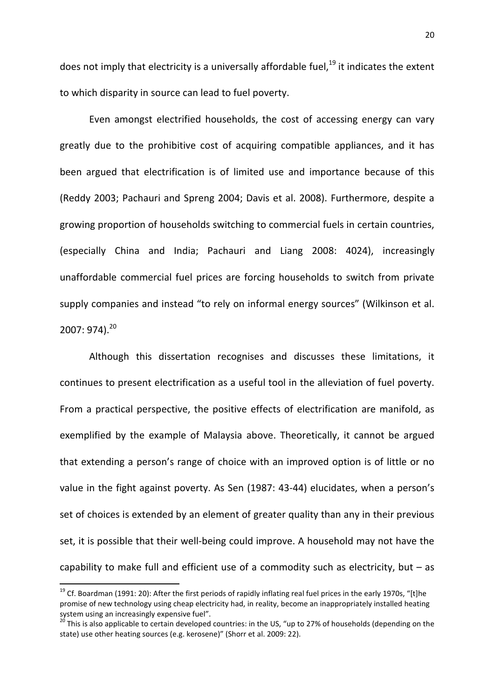does not imply that electricity is a universally affordable fuel, $^{19}$  it indicates the extent to which disparity in source can lead to fuel poverty.

Even amongst electrified households, the cost of accessing energy can vary greatly due to the prohibitive cost of acquiring compatible appliances, and it has been argued that electrification is of limited use and importance because of this (Reddy 2003; Pachauri and Spreng 2004; Davis et al. 2008). Furthermore, despite a growing proportion of households switching to commercial fuels in certain countries, (especially China and India; Pachauri and Liang 2008: 4024), increasingly unaffordable commercial fuel prices are forcing households to switch from private supply companies and instead "to rely on informal energy sources" (Wilkinson et al.  $2007:974$ ).<sup>20</sup>

Although this dissertation recognises and discusses these limitations, it continues to present electrification as a useful tool in the alleviation of fuel poverty. From a practical perspective, the positive effects of electrification are manifold, as exemplified by the example of Malaysia above. Theoretically, it cannot be argued that extending a person's range of choice with an improved option is of little or no value in the fight against poverty. As Sen (1987: 43-44) elucidates, when a person's set of choices is extended by an element of greater quality than any in their previous set, it is possible that their well-being could improve. A household may not have the capability to make full and efficient use of a commodity such as electricity, but  $-$  as

l

<sup>&</sup>lt;sup>19</sup> Cf. Boardman (1991: 20): After the first periods of rapidly inflating real fuel prices in the early 1970s, "[t]he promise of new technology using cheap electricity had, in reality, become an inappropriately installed heating system using an increasingly expensive fuel".

 $20$  This is also applicable to certain developed countries: in the US, "up to 27% of households (depending on the state) use other heating sources (e.g. kerosene)" (Shorr et al. 2009: 22).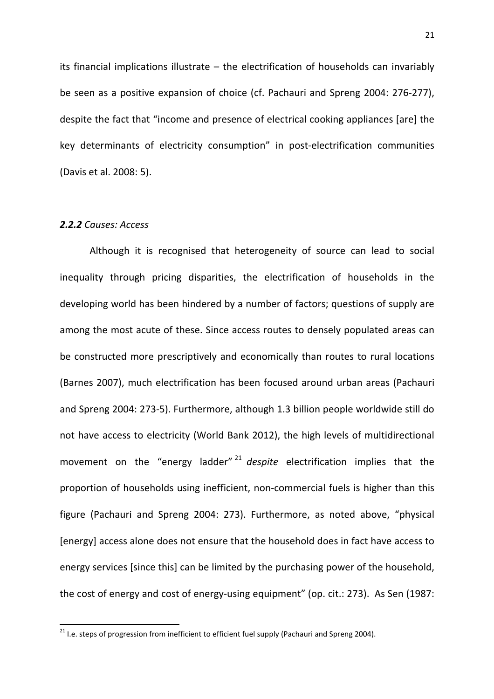its financial implications illustrate – the electrification of households can invariably be seen as a positive expansion of choice (cf. Pachauri and Spreng 2004: 276-277), despite the fact that "income and presence of electrical cooking appliances [are] the key determinants of electricity consumption" in post-electrification communities (Davis et al. 2008: 5).

### 2.2.2 Causes: Access

 $\overline{a}$ 

Although it is recognised that heterogeneity of source can lead to social inequality through pricing disparities, the electrification of households in the developing world has been hindered by a number of factors; questions of supply are among the most acute of these. Since access routes to densely populated areas can be constructed more prescriptively and economically than routes to rural locations (Barnes 2007), much electrification has been focused around urban areas (Pachauri and Spreng 2004: 273-5). Furthermore, although 1.3 billion people worldwide still do not have access to electricity (World Bank 2012), the high levels of multidirectional movement on the "energy ladder"  $21$  despite electrification implies that the proportion of households using inefficient, non-commercial fuels is higher than this figure (Pachauri and Spreng 2004: 273). Furthermore, as noted above, "physical [energy] access alone does not ensure that the household does in fact have access to energy services [since this] can be limited by the purchasing power of the household, the cost of energy and cost of energy-using equipment" (op. cit.: 273). As Sen (1987:

<sup>&</sup>lt;sup>21</sup> I.e. steps of progression from inefficient to efficient fuel supply (Pachauri and Spreng 2004).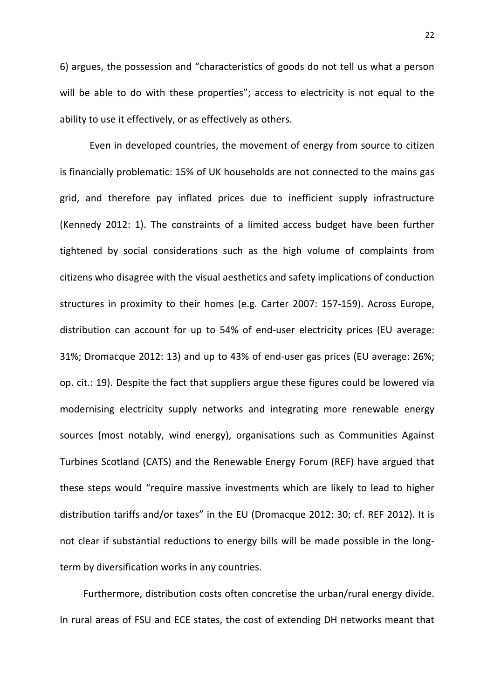6) argues, the possession and "characteristics of goods do not tell us what a person will be able to do with these properties"; access to electricity is not equal to the ability to use it effectively, or as effectively as others.

Even in developed countries, the movement of energy from source to citizen is financially problematic: 15% of UK households are not connected to the mains gas grid, and therefore pay inflated prices due to inefficient supply infrastructure (Kennedy 2012: 1). The constraints of a limited access budget have been further tightened by social considerations such as the high volume of complaints from citizens who disagree with the visual aesthetics and safety implications of conduction structures in proximity to their homes (e.g. Carter 2007: 157-159). Across Europe, distribution can account for up to 54% of end-user electricity prices (EU average: 31%; Dromacque 2012: 13) and up to 43% of end-user gas prices (EU average: 26%; op. cit.: 19). Despite the fact that suppliers argue these figures could be lowered via modernising electricity supply networks and integrating more renewable energy sources (most notably, wind energy), organisations such as Communities Against Turbines Scotland (CATS) and the Renewable Energy Forum (REF) have argued that these steps would "require massive investments which are likely to lead to higher distribution tariffs and/or taxes" in the EU (Dromacque 2012: 30; cf. REF 2012). It is not clear if substantial reductions to energy bills will be made possible in the longterm by diversification works in any countries.

Furthermore, distribution costs often concretise the urban/rural energy divide. In rural areas of FSU and ECE states, the cost of extending DH networks meant that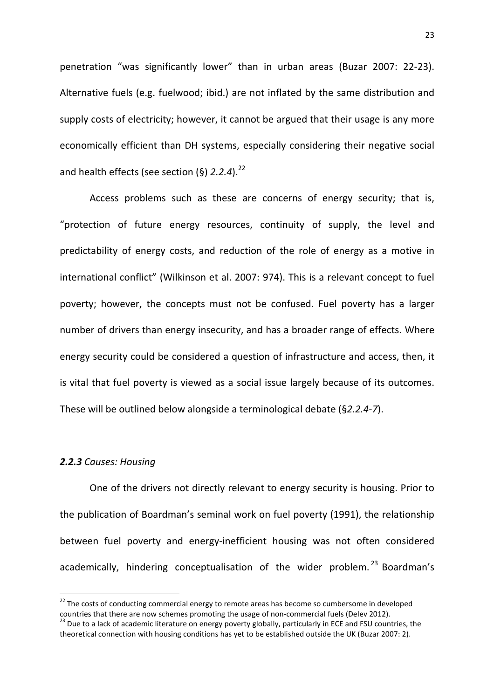penetration "was significantly lower" than in urban areas (Buzar 2007: 22-23). Alternative fuels (e.g. fuelwood; ibid.) are not inflated by the same distribution and supply costs of electricity; however, it cannot be argued that their usage is any more economically efficient than DH systems, especially considering their negative social and health effects (see section  $(\S)$  2.2.4).<sup>22</sup>

Access problems such as these are concerns of energy security; that is, "protection of future energy resources, continuity of supply, the level and predictability of energy costs, and reduction of the role of energy as a motive in international conflict" (Wilkinson et al. 2007: 974). This is a relevant concept to fuel poverty; however, the concepts must not be confused. Fuel poverty has a larger number of drivers than energy insecurity, and has a broader range of effects. Where energy security could be considered a question of infrastructure and access, then, it is vital that fuel poverty is viewed as a social issue largely because of its outcomes. These will be outlined below alongside a terminological debate (§2.2.4-7).

### 2.2.3 Causes: Housing

 $\overline{\phantom{0}}$ 

One of the drivers not directly relevant to energy security is housing. Prior to the publication of Boardman's seminal work on fuel poverty (1991), the relationship between fuel poverty and energy-inefficient housing was not often considered academically, hindering conceptualisation of the wider problem.<sup>23</sup> Boardman's

 $22$  The costs of conducting commercial energy to remote areas has become so cumbersome in developed countries that there are now schemes promoting the usage of non-commercial fuels (Delev 2012).

<sup>&</sup>lt;sup>23</sup> Due to a lack of academic literature on energy poverty globally, particularly in ECE and FSU countries, the theoretical connection with housing conditions has yet to be established outside the UK (Buzar 2007: 2).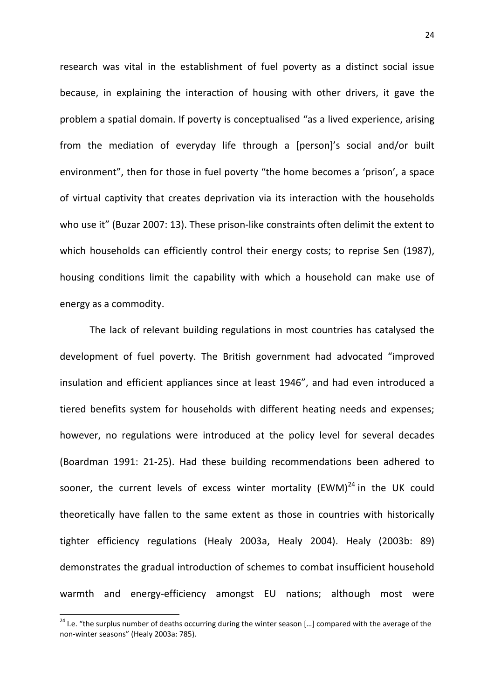research was vital in the establishment of fuel poverty as a distinct social issue because, in explaining the interaction of housing with other drivers, it gave the problem a spatial domain. If poverty is conceptualised "as a lived experience, arising from the mediation of everyday life through a [person]'s social and/or built environment", then for those in fuel poverty "the home becomes a 'prison', a space of virtual captivity that creates deprivation via its interaction with the households who use it" (Buzar 2007: 13). These prison-like constraints often delimit the extent to which households can efficiently control their energy costs; to reprise Sen (1987), housing conditions limit the capability with which a household can make use of energy as a commodity.

The lack of relevant building regulations in most countries has catalysed the development of fuel poverty. The British government had advocated "improved insulation and efficient appliances since at least 1946", and had even introduced a tiered benefits system for households with different heating needs and expenses; however, no regulations were introduced at the policy level for several decades (Boardman 1991: 21-25). Had these building recommendations been adhered to sooner, the current levels of excess winter mortality (EWM) $^{24}$  in the UK could theoretically have fallen to the same extent as those in countries with historically tighter efficiency regulations (Healy 2003a, Healy 2004). Healy (2003b: 89) demonstrates the gradual introduction of schemes to combat insufficient household warmth and energy-efficiency amongst EU nations; although most were

 $\overline{\phantom{0}}$ 

<sup>&</sup>lt;sup>24</sup> I.e. "the surplus number of deaths occurring during the winter season [...] compared with the average of the non-winter seasons" (Healy 2003a: 785).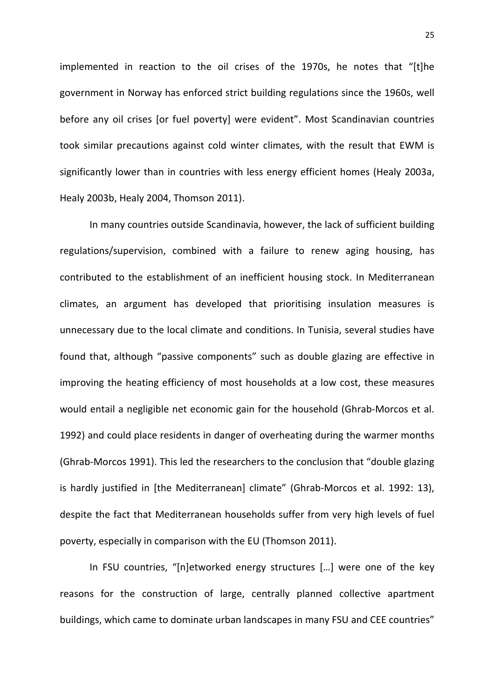implemented in reaction to the oil crises of the 1970s, he notes that "[t]he government in Norway has enforced strict building regulations since the 1960s, well before any oil crises [or fuel poverty] were evident". Most Scandinavian countries took similar precautions against cold winter climates, with the result that EWM is significantly lower than in countries with less energy efficient homes (Healy 2003a, Healy 2003b, Healy 2004, Thomson 2011).

In many countries outside Scandinavia, however, the lack of sufficient building regulations/supervision, combined with a failure to renew aging housing, has contributed to the establishment of an inefficient housing stock. In Mediterranean climates, an argument has developed that prioritising insulation measures is unnecessary due to the local climate and conditions. In Tunisia, several studies have found that, although "passive components" such as double glazing are effective in improving the heating efficiency of most households at a low cost, these measures would entail a negligible net economic gain for the household (Ghrab-Morcos et al. 1992) and could place residents in danger of overheating during the warmer months (Ghrab-Morcos 1991). This led the researchers to the conclusion that "double glazing is hardly justified in [the Mediterranean] climate" (Ghrab-Morcos et al. 1992: 13), despite the fact that Mediterranean households suffer from very high levels of fuel poverty, especially in comparison with the EU (Thomson 2011).

In FSU countries, "[n]etworked energy structures […] were one of the key reasons for the construction of large, centrally planned collective apartment buildings, which came to dominate urban landscapes in many FSU and CEE countries"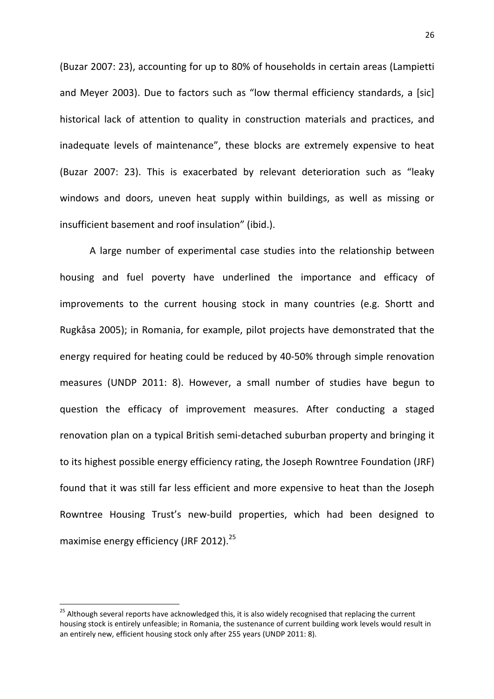(Buzar 2007: 23), accounting for up to 80% of households in certain areas (Lampietti and Meyer 2003). Due to factors such as "low thermal efficiency standards, a [sic] historical lack of attention to quality in construction materials and practices, and inadequate levels of maintenance", these blocks are extremely expensive to heat (Buzar 2007: 23). This is exacerbated by relevant deterioration such as "leaky windows and doors, uneven heat supply within buildings, as well as missing or insufficient basement and roof insulation" (ibid.).

A large number of experimental case studies into the relationship between housing and fuel poverty have underlined the importance and efficacy of improvements to the current housing stock in many countries (e.g. Shortt and Rugkåsa 2005); in Romania, for example, pilot projects have demonstrated that the energy required for heating could be reduced by 40-50% through simple renovation measures (UNDP 2011: 8). However, a small number of studies have begun to question the efficacy of improvement measures. After conducting a staged renovation plan on a typical British semi-detached suburban property and bringing it to its highest possible energy efficiency rating, the Joseph Rowntree Foundation (JRF) found that it was still far less efficient and more expensive to heat than the Joseph Rowntree Housing Trust's new-build properties, which had been designed to maximise energy efficiency (JRF 2012). $^{25}$ 

 $\overline{a}$ 

<sup>&</sup>lt;sup>25</sup> Although several reports have acknowledged this, it is also widely recognised that replacing the current housing stock is entirely unfeasible; in Romania, the sustenance of current building work levels would result in an entirely new, efficient housing stock only after 255 years (UNDP 2011: 8).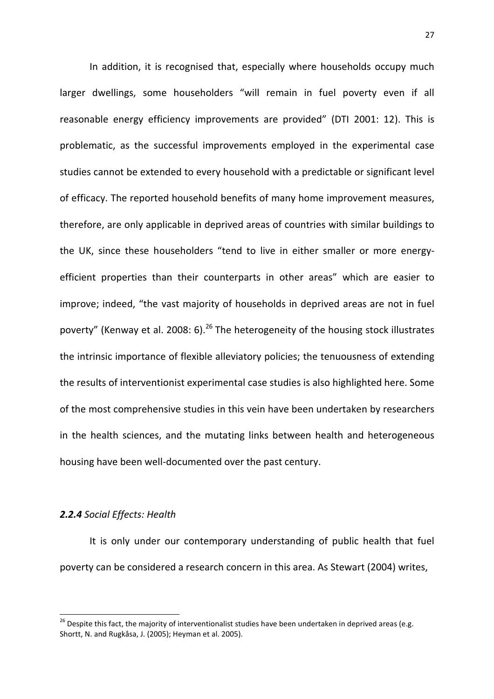In addition, it is recognised that, especially where households occupy much larger dwellings, some householders "will remain in fuel poverty even if all reasonable energy efficiency improvements are provided" (DTI 2001: 12). This is problematic, as the successful improvements employed in the experimental case studies cannot be extended to every household with a predictable or significant level of efficacy. The reported household benefits of many home improvement measures, therefore, are only applicable in deprived areas of countries with similar buildings to the UK, since these householders "tend to live in either smaller or more energyefficient properties than their counterparts in other areas" which are easier to improve; indeed, "the vast majority of households in deprived areas are not in fuel poverty" (Kenway et al. 2008: 6).<sup>26</sup> The heterogeneity of the housing stock illustrates the intrinsic importance of flexible alleviatory policies; the tenuousness of extending the results of interventionist experimental case studies is also highlighted here. Some of the most comprehensive studies in this vein have been undertaken by researchers in the health sciences, and the mutating links between health and heterogeneous housing have been well-documented over the past century.

### 2.2.4 Social Effects: Health

 $\overline{\phantom{0}}$ 

 It is only under our contemporary understanding of public health that fuel poverty can be considered a research concern in this area. As Stewart (2004) writes,

 $26$  Despite this fact, the majority of interventionalist studies have been undertaken in deprived areas (e.g. Shortt, N. and Rugkåsa, J. (2005); Heyman et al. 2005).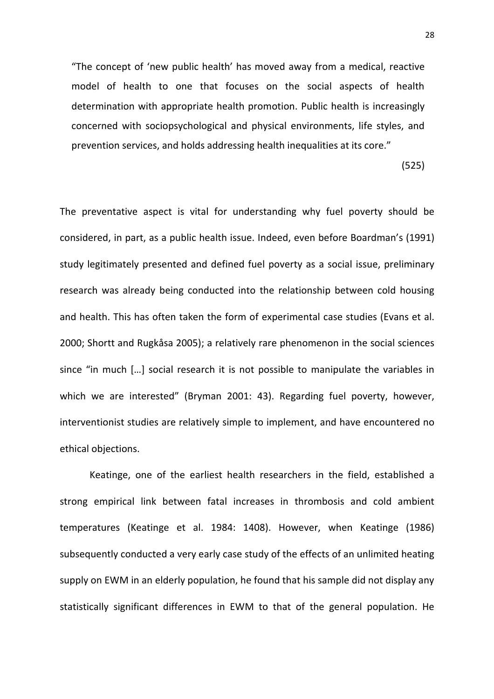"The concept of 'new public health' has moved away from a medical, reactive model of health to one that focuses on the social aspects of health determination with appropriate health promotion. Public health is increasingly concerned with sociopsychological and physical environments, life styles, and prevention services, and holds addressing health inequalities at its core."

(525)

The preventative aspect is vital for understanding why fuel poverty should be considered, in part, as a public health issue. Indeed, even before Boardman's (1991) study legitimately presented and defined fuel poverty as a social issue, preliminary research was already being conducted into the relationship between cold housing and health. This has often taken the form of experimental case studies (Evans et al. 2000; Shortt and Rugkåsa 2005); a relatively rare phenomenon in the social sciences since "in much […] social research it is not possible to manipulate the variables in which we are interested" (Bryman 2001: 43). Regarding fuel poverty, however, interventionist studies are relatively simple to implement, and have encountered no ethical objections.

 Keatinge, one of the earliest health researchers in the field, established a strong empirical link between fatal increases in thrombosis and cold ambient temperatures (Keatinge et al. 1984: 1408). However, when Keatinge (1986) subsequently conducted a very early case study of the effects of an unlimited heating supply on EWM in an elderly population, he found that his sample did not display any statistically significant differences in EWM to that of the general population. He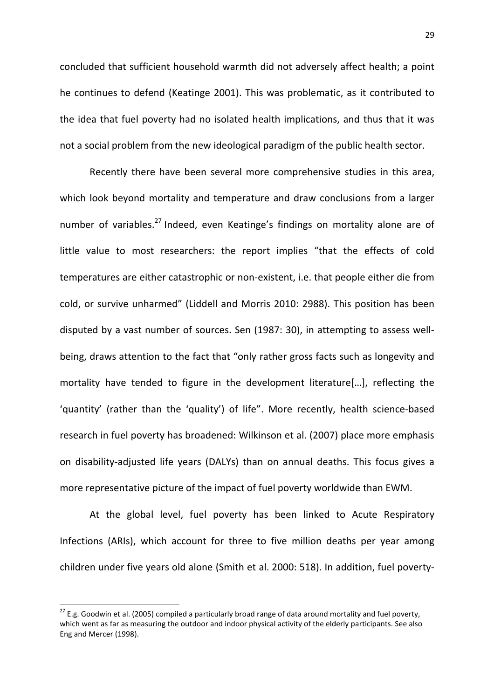concluded that sufficient household warmth did not adversely affect health; a point he continues to defend (Keatinge 2001). This was problematic, as it contributed to the idea that fuel poverty had no isolated health implications, and thus that it was not a social problem from the new ideological paradigm of the public health sector.

Recently there have been several more comprehensive studies in this area, which look beyond mortality and temperature and draw conclusions from a larger number of variables.<sup>27</sup> Indeed, even Keatinge's findings on mortality alone are of little value to most researchers: the report implies "that the effects of cold temperatures are either catastrophic or non-existent, i.e. that people either die from cold, or survive unharmed" (Liddell and Morris 2010: 2988). This position has been disputed by a vast number of sources. Sen (1987: 30), in attempting to assess wellbeing, draws attention to the fact that "only rather gross facts such as longevity and mortality have tended to figure in the development literature[…], reflecting the 'quantity' (rather than the 'quality') of life". More recently, health science-based research in fuel poverty has broadened: Wilkinson et al. (2007) place more emphasis on disability-adjusted life years (DALYs) than on annual deaths. This focus gives a more representative picture of the impact of fuel poverty worldwide than EWM.

At the global level, fuel poverty has been linked to Acute Respiratory Infections (ARIs), which account for three to five million deaths per year among children under five years old alone (Smith et al. 2000: 518). In addition, fuel poverty-

 $\overline{a}$ 

 $27$  E.g. Goodwin et al. (2005) compiled a particularly broad range of data around mortality and fuel poverty, which went as far as measuring the outdoor and indoor physical activity of the elderly participants. See also Eng and Mercer (1998).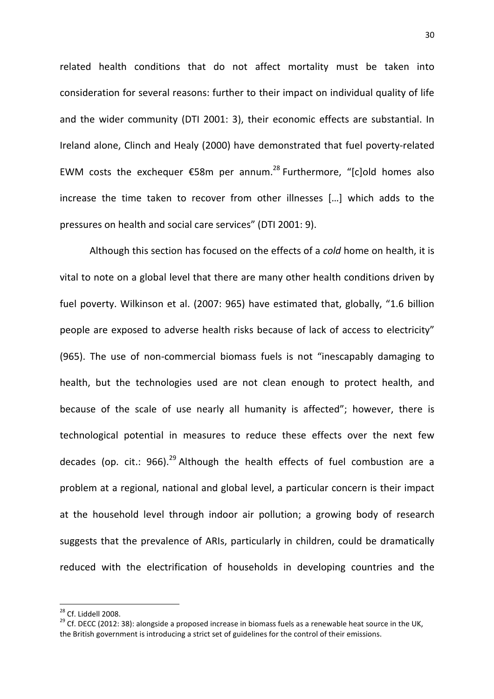related health conditions that do not affect mortality must be taken into consideration for several reasons: further to their impact on individual quality of life and the wider community (DTI 2001: 3), their economic effects are substantial. In Ireland alone, Clinch and Healy (2000) have demonstrated that fuel poverty-related EWM costs the exchequer  $\epsilon$ 58m per annum.<sup>28</sup> Furthermore, "[c]old homes also increase the time taken to recover from other illnesses […] which adds to the pressures on health and social care services" (DTI 2001: 9).

Although this section has focused on the effects of a *cold* home on health, it is vital to note on a global level that there are many other health conditions driven by fuel poverty. Wilkinson et al. (2007: 965) have estimated that, globally, "1.6 billion people are exposed to adverse health risks because of lack of access to electricity" (965). The use of non-commercial biomass fuels is not "inescapably damaging to health, but the technologies used are not clean enough to protect health, and because of the scale of use nearly all humanity is affected"; however, there is technological potential in measures to reduce these effects over the next few decades (op. cit.: 966).<sup>29</sup> Although the health effects of fuel combustion are a problem at a regional, national and global level, a particular concern is their impact at the household level through indoor air pollution; a growing body of research suggests that the prevalence of ARIs, particularly in children, could be dramatically reduced with the electrification of households in developing countries and the

 $\overline{a}$ 

<sup>28</sup> Cf. Liddell 2008.

<sup>&</sup>lt;sup>29</sup> Cf. DECC (2012: 38): alongside a proposed increase in biomass fuels as a renewable heat source in the UK, the British government is introducing a strict set of guidelines for the control of their emissions.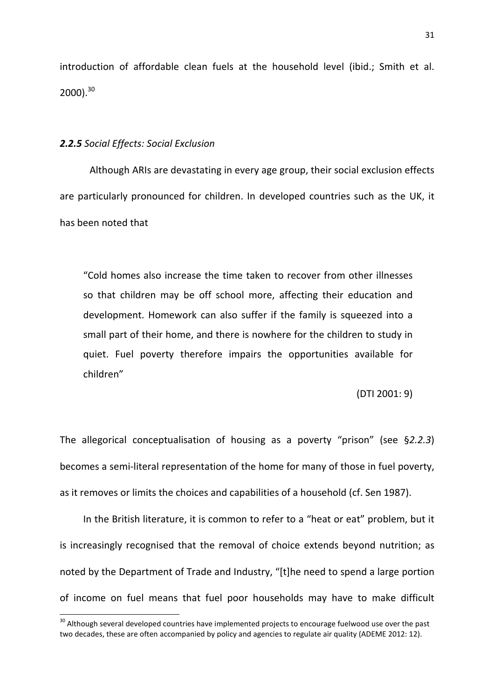introduction of affordable clean fuels at the household level (ibid.; Smith et al.  $2000$ ).<sup>30</sup>

### 2.2.5 Social Effects: Social Exclusion

 $\overline{\phantom{0}}$ 

 Although ARIs are devastating in every age group, their social exclusion effects are particularly pronounced for children. In developed countries such as the UK, it has been noted that

"Cold homes also increase the time taken to recover from other illnesses so that children may be off school more, affecting their education and development. Homework can also suffer if the family is squeezed into a small part of their home, and there is nowhere for the children to study in quiet. Fuel poverty therefore impairs the opportunities available for children"

(DTI 2001: 9)

The allegorical conceptualisation of housing as a poverty "prison" (see §2.2.3) becomes a semi-literal representation of the home for many of those in fuel poverty, as it removes or limits the choices and capabilities of a household (cf. Sen 1987).

In the British literature, it is common to refer to a "heat or eat" problem, but it is increasingly recognised that the removal of choice extends beyond nutrition; as noted by the Department of Trade and Industry, "[t]he need to spend a large portion of income on fuel means that fuel poor households may have to make difficult

<sup>&</sup>lt;sup>30</sup> Although several developed countries have implemented projects to encourage fuelwood use over the past two decades, these are often accompanied by policy and agencies to regulate air quality (ADEME 2012: 12).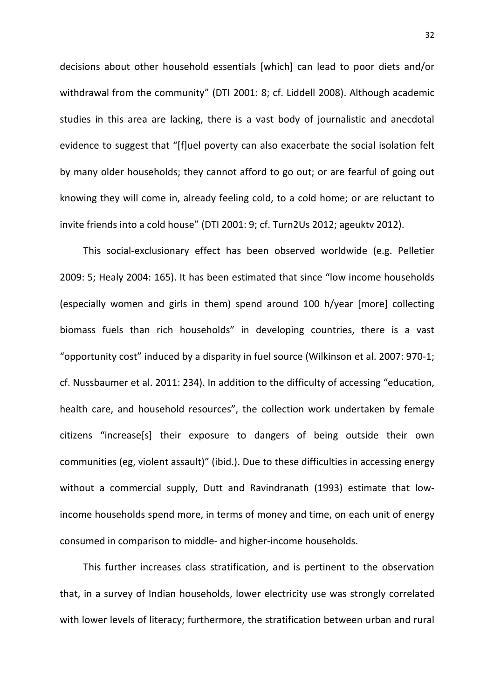decisions about other household essentials [which] can lead to poor diets and/or withdrawal from the community" (DTI 2001: 8; cf. Liddell 2008). Although academic studies in this area are lacking, there is a vast body of journalistic and anecdotal evidence to suggest that "[f]uel poverty can also exacerbate the social isolation felt by many older households; they cannot afford to go out; or are fearful of going out knowing they will come in, already feeling cold, to a cold home; or are reluctant to invite friends into a cold house" (DTI 2001: 9; cf. Turn2Us 2012; ageuktv 2012).

This social-exclusionary effect has been observed worldwide (e.g. Pelletier 2009: 5; Healy 2004: 165). It has been estimated that since "low income households (especially women and girls in them) spend around 100 h/year [more] collecting biomass fuels than rich households" in developing countries, there is a vast "opportunity cost" induced by a disparity in fuel source (Wilkinson et al. 2007: 970-1; cf. Nussbaumer et al. 2011: 234). In addition to the difficulty of accessing "education, health care, and household resources", the collection work undertaken by female citizens "increase[s] their exposure to dangers of being outside their own communities (eg, violent assault)" (ibid.). Due to these difficulties in accessing energy without a commercial supply, Dutt and Ravindranath (1993) estimate that lowincome households spend more, in terms of money and time, on each unit of energy consumed in comparison to middle- and higher-income households.

This further increases class stratification, and is pertinent to the observation that, in a survey of Indian households, lower electricity use was strongly correlated with lower levels of literacy; furthermore, the stratification between urban and rural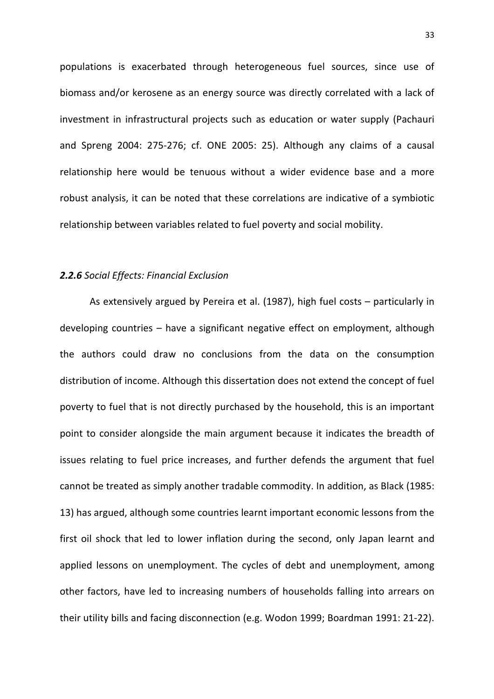populations is exacerbated through heterogeneous fuel sources, since use of biomass and/or kerosene as an energy source was directly correlated with a lack of investment in infrastructural projects such as education or water supply (Pachauri and Spreng 2004: 275-276; cf. ONE 2005: 25). Although any claims of a causal relationship here would be tenuous without a wider evidence base and a more robust analysis, it can be noted that these correlations are indicative of a symbiotic relationship between variables related to fuel poverty and social mobility.

### 2.2.6 Social Effects: Financial Exclusion

As extensively argued by Pereira et al. (1987), high fuel costs – particularly in developing countries – have a significant negative effect on employment, although the authors could draw no conclusions from the data on the consumption distribution of income. Although this dissertation does not extend the concept of fuel poverty to fuel that is not directly purchased by the household, this is an important point to consider alongside the main argument because it indicates the breadth of issues relating to fuel price increases, and further defends the argument that fuel cannot be treated as simply another tradable commodity. In addition, as Black (1985: 13) has argued, although some countries learnt important economic lessons from the first oil shock that led to lower inflation during the second, only Japan learnt and applied lessons on unemployment. The cycles of debt and unemployment, among other factors, have led to increasing numbers of households falling into arrears on their utility bills and facing disconnection (e.g. Wodon 1999; Boardman 1991: 21-22).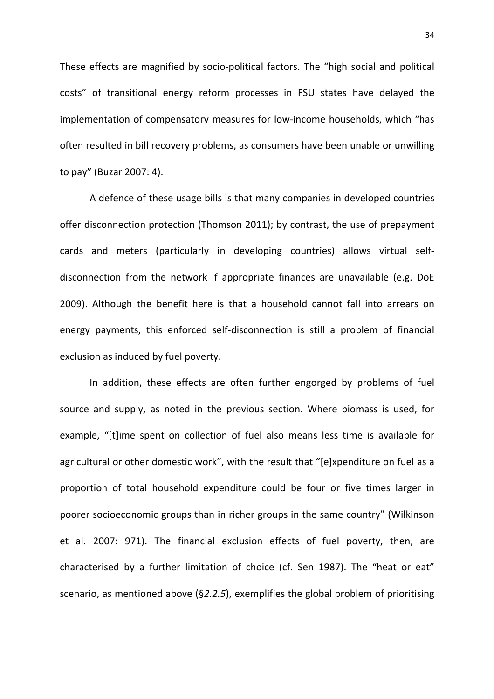These effects are magnified by socio-political factors. The "high social and political costs" of transitional energy reform processes in FSU states have delayed the implementation of compensatory measures for low-income households, which "has often resulted in bill recovery problems, as consumers have been unable or unwilling to pay" (Buzar 2007: 4).

A defence of these usage bills is that many companies in developed countries offer disconnection protection (Thomson 2011); by contrast, the use of prepayment cards and meters (particularly in developing countries) allows virtual selfdisconnection from the network if appropriate finances are unavailable (e.g. DoE 2009). Although the benefit here is that a household cannot fall into arrears on energy payments, this enforced self-disconnection is still a problem of financial exclusion as induced by fuel poverty.

In addition, these effects are often further engorged by problems of fuel source and supply, as noted in the previous section. Where biomass is used, for example, "[t]ime spent on collection of fuel also means less time is available for agricultural or other domestic work", with the result that "[e]xpenditure on fuel as a proportion of total household expenditure could be four or five times larger in poorer socioeconomic groups than in richer groups in the same country" (Wilkinson et al. 2007: 971). The financial exclusion effects of fuel poverty, then, are characterised by a further limitation of choice (cf. Sen 1987). The "heat or eat" scenario, as mentioned above (§2.2.5), exemplifies the global problem of prioritising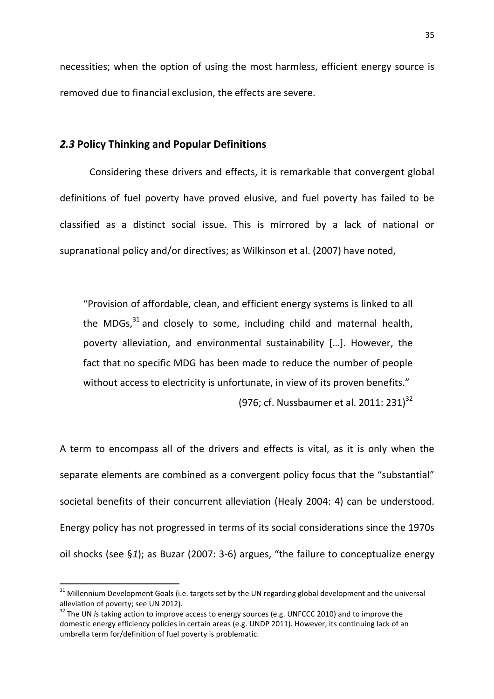necessities; when the option of using the most harmless, efficient energy source is removed due to financial exclusion, the effects are severe.

### 2.3 Policy Thinking and Popular Definitions

 Considering these drivers and effects, it is remarkable that convergent global definitions of fuel poverty have proved elusive, and fuel poverty has failed to be classified as a distinct social issue. This is mirrored by a lack of national or supranational policy and/or directives; as Wilkinson et al. (2007) have noted,

"Provision of affordable, clean, and efficient energy systems is linked to all the MDGs, $31$  and closely to some, including child and maternal health, poverty alleviation, and environmental sustainability […]. However, the fact that no specific MDG has been made to reduce the number of people without access to electricity is unfortunate, in view of its proven benefits." (976; cf. Nussbaumer et al. 2011: 231)<sup>32</sup>

A term to encompass all of the drivers and effects is vital, as it is only when the separate elements are combined as a convergent policy focus that the "substantial" societal benefits of their concurrent alleviation (Healy 2004: 4) can be understood. Energy policy has not progressed in terms of its social considerations since the 1970s oil shocks (see §1); as Buzar (2007: 3-6) argues, "the failure to conceptualize energy

l

 $31$  Millennium Development Goals (i.e. targets set by the UN regarding global development and the universal alleviation of poverty; see UN 2012).

 $32$  The UN is taking action to improve access to energy sources (e.g. UNFCCC 2010) and to improve the domestic energy efficiency policies in certain areas (e.g. UNDP 2011). However, its continuing lack of an umbrella term for/definition of fuel poverty is problematic.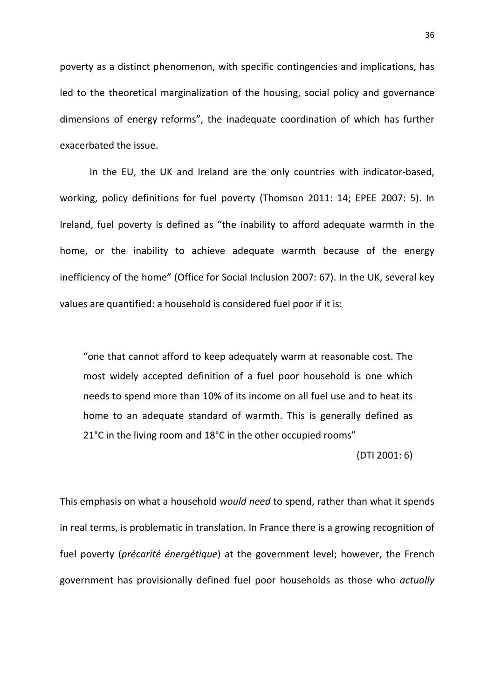poverty as a distinct phenomenon, with specific contingencies and implications, has led to the theoretical marginalization of the housing, social policy and governance dimensions of energy reforms", the inadequate coordination of which has further exacerbated the issue.

In the EU, the UK and Ireland are the only countries with indicator-based, working, policy definitions for fuel poverty (Thomson 2011: 14; EPEE 2007: 5). In Ireland, fuel poverty is defined as "the inability to afford adequate warmth in the home, or the inability to achieve adequate warmth because of the energy inefficiency of the home" (Office for Social Inclusion 2007: 67). In the UK, several key values are quantified: a household is considered fuel poor if it is:

"one that cannot afford to keep adequately warm at reasonable cost. The most widely accepted definition of a fuel poor household is one which needs to spend more than 10% of its income on all fuel use and to heat its home to an adequate standard of warmth. This is generally defined as 21°C in the living room and 18°C in the other occupied rooms"

(DTI 2001: 6)

This emphasis on what a household would need to spend, rather than what it spends in real terms, is problematic in translation. In France there is a growing recognition of fuel poverty (*précarité énergétique*) at the government level; however, the French government has provisionally defined fuel poor households as those who actually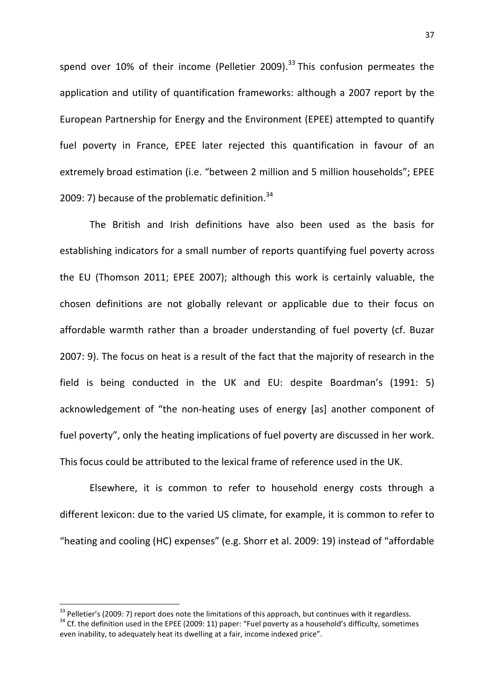spend over 10% of their income (Pelletier 2009).<sup>33</sup> This confusion permeates the application and utility of quantification frameworks: although a 2007 report by the European Partnership for Energy and the Environment (EPEE) attempted to quantify fuel poverty in France, EPEE later rejected this quantification in favour of an extremely broad estimation (i.e. "between 2 million and 5 million households"; EPEE 2009: 7) because of the problematic definition. $34$ 

The British and Irish definitions have also been used as the basis for establishing indicators for a small number of reports quantifying fuel poverty across the EU (Thomson 2011; EPEE 2007); although this work is certainly valuable, the chosen definitions are not globally relevant or applicable due to their focus on affordable warmth rather than a broader understanding of fuel poverty (cf. Buzar 2007: 9). The focus on heat is a result of the fact that the majority of research in the field is being conducted in the UK and EU: despite Boardman's (1991: 5) acknowledgement of "the non-heating uses of energy [as] another component of fuel poverty", only the heating implications of fuel poverty are discussed in her work. This focus could be attributed to the lexical frame of reference used in the UK.

Elsewhere, it is common to refer to household energy costs through a different lexicon: due to the varied US climate, for example, it is common to refer to "heating and cooling (HC) expenses" (e.g. Shorr et al. 2009: 19) instead of "affordable

 $\overline{a}$ 

<sup>&</sup>lt;sup>33</sup> Pelletier's (2009: 7) report does note the limitations of this approach, but continues with it regardless. <sup>34</sup> Cf. the definition used in the EPEE (2009: 11) paper: "Fuel poverty as a household's difficulty, sometimes even inability, to adequately heat its dwelling at a fair, income indexed price".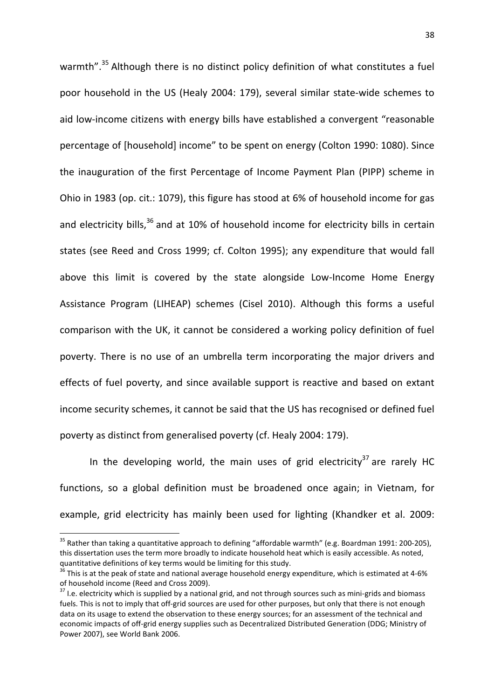warmth".<sup>35</sup> Although there is no distinct policy definition of what constitutes a fuel poor household in the US (Healy 2004: 179), several similar state-wide schemes to aid low-income citizens with energy bills have established a convergent "reasonable percentage of [household] income" to be spent on energy (Colton 1990: 1080). Since the inauguration of the first Percentage of Income Payment Plan (PIPP) scheme in Ohio in 1983 (op. cit.: 1079), this figure has stood at 6% of household income for gas and electricity bills, $36$  and at 10% of household income for electricity bills in certain states (see Reed and Cross 1999; cf. Colton 1995); any expenditure that would fall above this limit is covered by the state alongside Low-Income Home Energy Assistance Program (LIHEAP) schemes (Cisel 2010). Although this forms a useful comparison with the UK, it cannot be considered a working policy definition of fuel poverty. There is no use of an umbrella term incorporating the major drivers and effects of fuel poverty, and since available support is reactive and based on extant income security schemes, it cannot be said that the US has recognised or defined fuel poverty as distinct from generalised poverty (cf. Healy 2004: 179).

In the developing world, the main uses of grid electricity<sup>37</sup> are rarely HC functions, so a global definition must be broadened once again; in Vietnam, for example, grid electricity has mainly been used for lighting (Khandker et al. 2009:

 $\overline{a}$ 

<sup>&</sup>lt;sup>35</sup> Rather than taking a quantitative approach to defining "affordable warmth" (e.g. Boardman 1991: 200-205), this dissertation uses the term more broadly to indicate household heat which is easily accessible. As noted, quantitative definitions of key terms would be limiting for this study.

<sup>&</sup>lt;sup>36</sup> This is at the peak of state and national average household energy expenditure, which is estimated at 4-6% of household income (Reed and Cross 2009).

<sup>&</sup>lt;sup>37</sup> I.e. electricity which is supplied by a national grid, and not through sources such as mini-grids and biomass fuels. This is not to imply that off-grid sources are used for other purposes, but only that there is not enough data on its usage to extend the observation to these energy sources; for an assessment of the technical and economic impacts of off-grid energy supplies such as Decentralized Distributed Generation (DDG; Ministry of Power 2007), see World Bank 2006.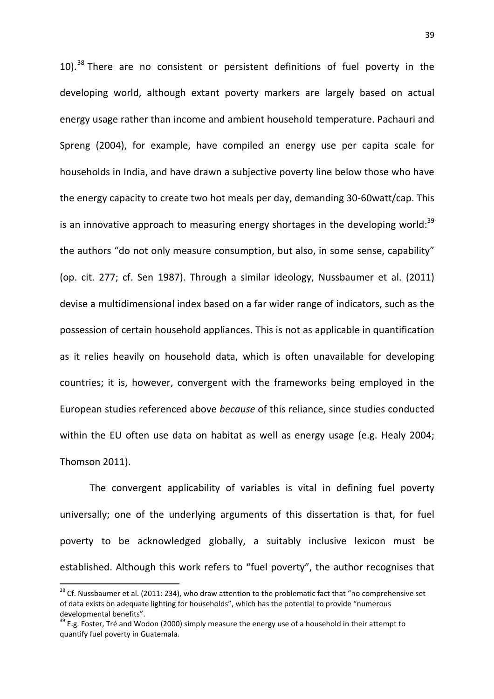10).<sup>38</sup> There are no consistent or persistent definitions of fuel poverty in the developing world, although extant poverty markers are largely based on actual energy usage rather than income and ambient household temperature. Pachauri and Spreng (2004), for example, have compiled an energy use per capita scale for households in India, and have drawn a subjective poverty line below those who have the energy capacity to create two hot meals per day, demanding 30-60watt/cap. This is an innovative approach to measuring energy shortages in the developing world:  $39$ the authors "do not only measure consumption, but also, in some sense, capability" (op. cit. 277; cf. Sen 1987). Through a similar ideology, Nussbaumer et al. (2011) devise a multidimensional index based on a far wider range of indicators, such as the possession of certain household appliances. This is not as applicable in quantification as it relies heavily on household data, which is often unavailable for developing countries; it is, however, convergent with the frameworks being employed in the European studies referenced above because of this reliance, since studies conducted within the EU often use data on habitat as well as energy usage (e.g. Healy 2004; Thomson 2011).

The convergent applicability of variables is vital in defining fuel poverty universally; one of the underlying arguments of this dissertation is that, for fuel poverty to be acknowledged globally, a suitably inclusive lexicon must be established. Although this work refers to "fuel poverty", the author recognises that

l

<sup>&</sup>lt;sup>38</sup> Cf. Nussbaumer et al. (2011: 234), who draw attention to the problematic fact that "no comprehensive set of data exists on adequate lighting for households", which has the potential to provide "numerous developmental benefits".

 $39$  E.g. Foster, Tré and Wodon (2000) simply measure the energy use of a household in their attempt to quantify fuel poverty in Guatemala.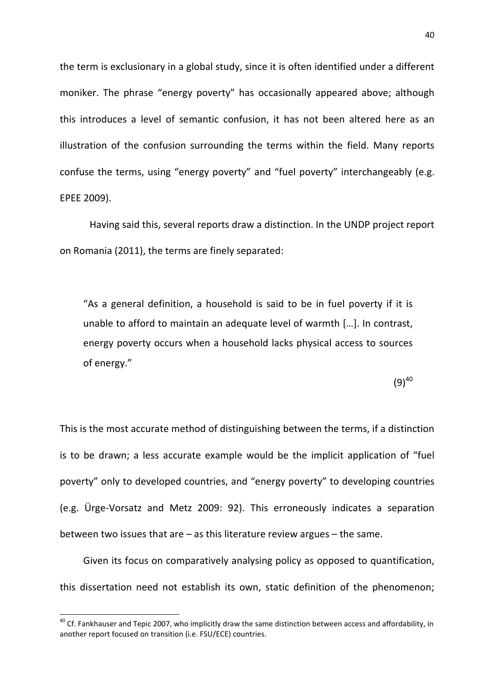the term is exclusionary in a global study, since it is often identified under a different moniker. The phrase "energy poverty" has occasionally appeared above; although this introduces a level of semantic confusion, it has not been altered here as an illustration of the confusion surrounding the terms within the field. Many reports confuse the terms, using "energy poverty" and "fuel poverty" interchangeably (e.g. EPEE 2009).

Having said this, several reports draw a distinction. In the UNDP project report on Romania (2011), the terms are finely separated:

"As a general definition, a household is said to be in fuel poverty if it is unable to afford to maintain an adequate level of warmth […]. In contrast, energy poverty occurs when a household lacks physical access to sources of energy."

 $(9)^{40}$ 

This is the most accurate method of distinguishing between the terms, if a distinction is to be drawn; a less accurate example would be the implicit application of "fuel poverty" only to developed countries, and "energy poverty" to developing countries (e.g. Ürge-Vorsatz and Metz 2009: 92). This erroneously indicates a separation between two issues that are – as this literature review argues – the same.

Given its focus on comparatively analysing policy as opposed to quantification, this dissertation need not establish its own, static definition of the phenomenon;

 $\overline{\phantom{0}}$ 

 $40$  Cf. Fankhauser and Tepic 2007, who implicitly draw the same distinction between access and affordability, in another report focused on transition (i.e. FSU/ECE) countries.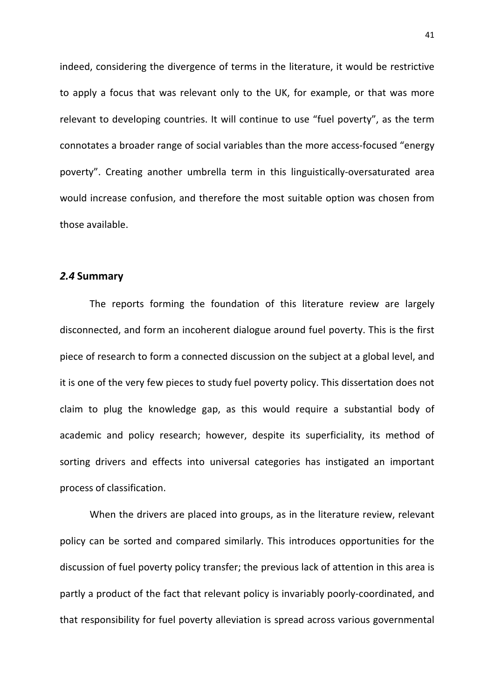indeed, considering the divergence of terms in the literature, it would be restrictive to apply a focus that was relevant only to the UK, for example, or that was more relevant to developing countries. It will continue to use "fuel poverty", as the term connotates a broader range of social variables than the more access-focused "energy poverty". Creating another umbrella term in this linguistically-oversaturated area would increase confusion, and therefore the most suitable option was chosen from those available.

#### 2.4 Summary

 The reports forming the foundation of this literature review are largely disconnected, and form an incoherent dialogue around fuel poverty. This is the first piece of research to form a connected discussion on the subject at a global level, and it is one of the very few pieces to study fuel poverty policy. This dissertation does not claim to plug the knowledge gap, as this would require a substantial body of academic and policy research; however, despite its superficiality, its method of sorting drivers and effects into universal categories has instigated an important process of classification.

 When the drivers are placed into groups, as in the literature review, relevant policy can be sorted and compared similarly. This introduces opportunities for the discussion of fuel poverty policy transfer; the previous lack of attention in this area is partly a product of the fact that relevant policy is invariably poorly-coordinated, and that responsibility for fuel poverty alleviation is spread across various governmental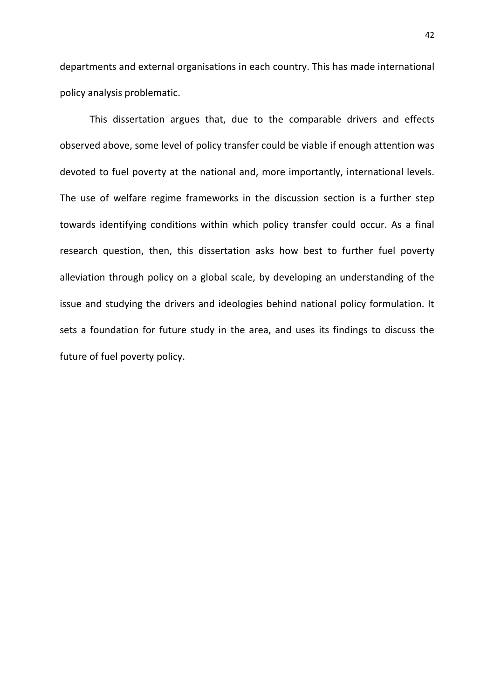departments and external organisations in each country. This has made international policy analysis problematic.

 This dissertation argues that, due to the comparable drivers and effects observed above, some level of policy transfer could be viable if enough attention was devoted to fuel poverty at the national and, more importantly, international levels. The use of welfare regime frameworks in the discussion section is a further step towards identifying conditions within which policy transfer could occur. As a final research question, then, this dissertation asks how best to further fuel poverty alleviation through policy on a global scale, by developing an understanding of the issue and studying the drivers and ideologies behind national policy formulation. It sets a foundation for future study in the area, and uses its findings to discuss the future of fuel poverty policy.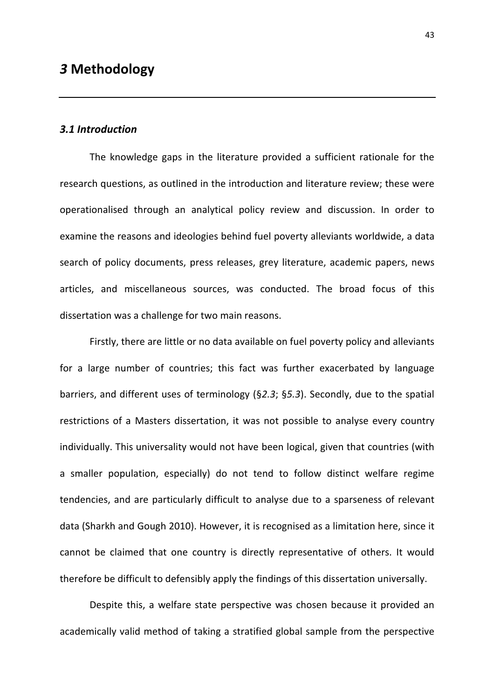# 3.1 Introduction

 The knowledge gaps in the literature provided a sufficient rationale for the research questions, as outlined in the introduction and literature review; these were operationalised through an analytical policy review and discussion. In order to examine the reasons and ideologies behind fuel poverty alleviants worldwide, a data search of policy documents, press releases, grey literature, academic papers, news articles, and miscellaneous sources, was conducted. The broad focus of this dissertation was a challenge for two main reasons.

Firstly, there are little or no data available on fuel poverty policy and alleviants for a large number of countries; this fact was further exacerbated by language barriers, and different uses of terminology (§2.3; §5.3). Secondly, due to the spatial restrictions of a Masters dissertation, it was not possible to analyse every country individually. This universality would not have been logical, given that countries (with a smaller population, especially) do not tend to follow distinct welfare regime tendencies, and are particularly difficult to analyse due to a sparseness of relevant data (Sharkh and Gough 2010). However, it is recognised as a limitation here, since it cannot be claimed that one country is directly representative of others. It would therefore be difficult to defensibly apply the findings of this dissertation universally.

Despite this, a welfare state perspective was chosen because it provided an academically valid method of taking a stratified global sample from the perspective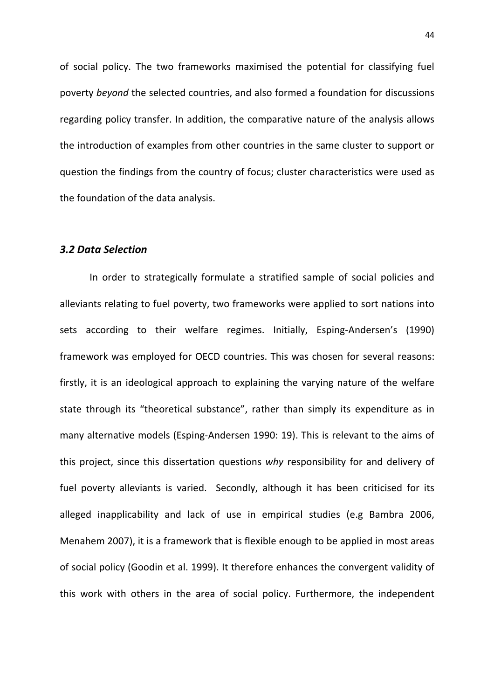of social policy. The two frameworks maximised the potential for classifying fuel poverty beyond the selected countries, and also formed a foundation for discussions regarding policy transfer. In addition, the comparative nature of the analysis allows the introduction of examples from other countries in the same cluster to support or question the findings from the country of focus; cluster characteristics were used as the foundation of the data analysis.

## 3.2 Data Selection

 In order to strategically formulate a stratified sample of social policies and alleviants relating to fuel poverty, two frameworks were applied to sort nations into sets according to their welfare regimes. Initially, Esping-Andersen's (1990) framework was employed for OECD countries. This was chosen for several reasons: firstly, it is an ideological approach to explaining the varying nature of the welfare state through its "theoretical substance", rather than simply its expenditure as in many alternative models (Esping-Andersen 1990: 19). This is relevant to the aims of this project, since this dissertation questions why responsibility for and delivery of fuel poverty alleviants is varied. Secondly, although it has been criticised for its alleged inapplicability and lack of use in empirical studies (e.g Bambra 2006, Menahem 2007), it is a framework that is flexible enough to be applied in most areas of social policy (Goodin et al. 1999). It therefore enhances the convergent validity of this work with others in the area of social policy. Furthermore, the independent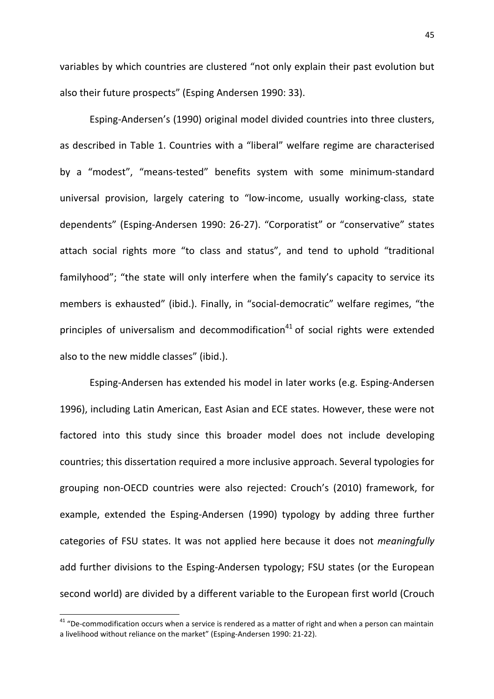variables by which countries are clustered "not only explain their past evolution but also their future prospects" (Esping Andersen 1990: 33).

Esping-Andersen's (1990) original model divided countries into three clusters, as described in Table 1. Countries with a "liberal" welfare regime are characterised by a "modest", "means-tested" benefits system with some minimum-standard universal provision, largely catering to "low-income, usually working-class, state dependents" (Esping-Andersen 1990: 26-27). "Corporatist" or "conservative" states attach social rights more "to class and status", and tend to uphold "traditional familyhood"; "the state will only interfere when the family's capacity to service its members is exhausted" (ibid.). Finally, in "social-democratic" welfare regimes, "the principles of universalism and decommodification<sup>41</sup> of social rights were extended also to the new middle classes" (ibid.).

Esping-Andersen has extended his model in later works (e.g. Esping-Andersen 1996), including Latin American, East Asian and ECE states. However, these were not factored into this study since this broader model does not include developing countries; this dissertation required a more inclusive approach. Several typologies for grouping non-OECD countries were also rejected: Crouch's (2010) framework, for example, extended the Esping-Andersen (1990) typology by adding three further categories of FSU states. It was not applied here because it does not meaningfully add further divisions to the Esping-Andersen typology; FSU states (or the European second world) are divided by a different variable to the European first world (Crouch

 $\overline{\phantom{0}}$ 

<sup>&</sup>lt;sup>41</sup> "De-commodification occurs when a service is rendered as a matter of right and when a person can maintain a livelihood without reliance on the market" (Esping-Andersen 1990: 21-22).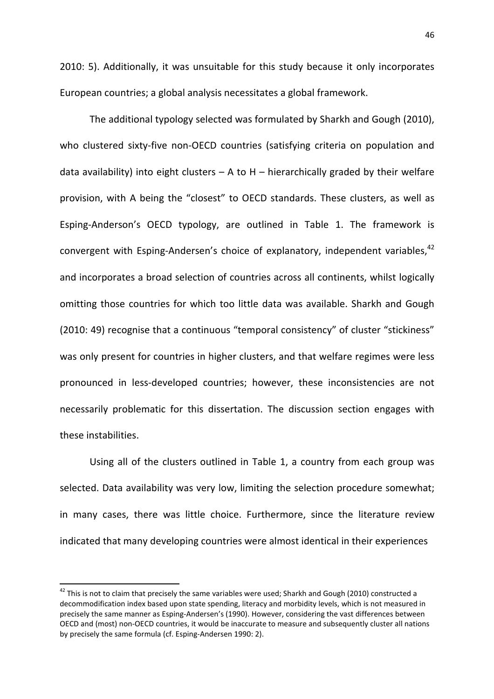2010: 5). Additionally, it was unsuitable for this study because it only incorporates European countries; a global analysis necessitates a global framework.

The additional typology selected was formulated by Sharkh and Gough (2010), who clustered sixty-five non-OECD countries (satisfying criteria on population and data availability) into eight clusters  $- A$  to  $H -$  hierarchically graded by their welfare provision, with A being the "closest" to OECD standards. These clusters, as well as Esping-Anderson's OECD typology, are outlined in Table 1. The framework is convergent with Esping-Andersen's choice of explanatory, independent variables,<sup>42</sup> and incorporates a broad selection of countries across all continents, whilst logically omitting those countries for which too little data was available. Sharkh and Gough (2010: 49) recognise that a continuous "temporal consistency" of cluster "stickiness" was only present for countries in higher clusters, and that welfare regimes were less pronounced in less-developed countries; however, these inconsistencies are not necessarily problematic for this dissertation. The discussion section engages with these instabilities.

Using all of the clusters outlined in Table 1, a country from each group was selected. Data availability was very low, limiting the selection procedure somewhat; in many cases, there was little choice. Furthermore, since the literature review indicated that many developing countries were almost identical in their experiences

l

 $42$  This is not to claim that precisely the same variables were used; Sharkh and Gough (2010) constructed a decommodification index based upon state spending, literacy and morbidity levels, which is not measured in precisely the same manner as Esping-Andersen's (1990). However, considering the vast differences between OECD and (most) non-OECD countries, it would be inaccurate to measure and subsequently cluster all nations by precisely the same formula (cf. Esping-Andersen 1990: 2).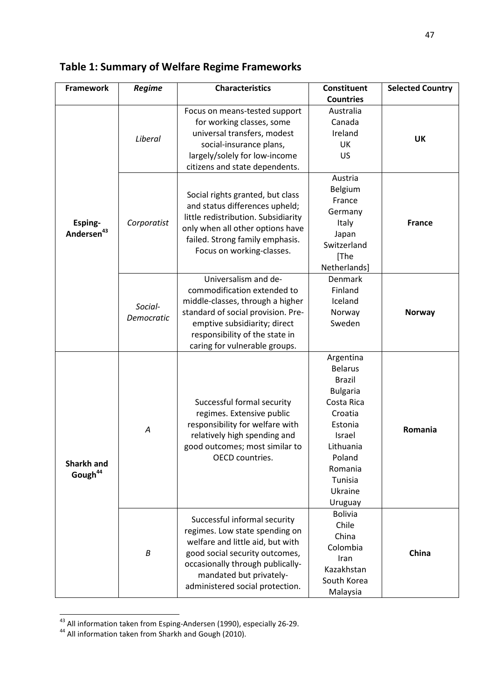| <b>Framework</b>                  | Regime                | <b>Characteristics</b>                                         | Constituent      | <b>Selected Country</b> |  |
|-----------------------------------|-----------------------|----------------------------------------------------------------|------------------|-------------------------|--|
|                                   |                       |                                                                | <b>Countries</b> |                         |  |
|                                   |                       | Focus on means-tested support                                  | Australia        |                         |  |
|                                   |                       | for working classes, some                                      | Canada           |                         |  |
|                                   | Liberal               | universal transfers, modest                                    | Ireland          | <b>UK</b>               |  |
|                                   |                       | social-insurance plans,                                        | UK               |                         |  |
|                                   |                       | largely/solely for low-income                                  | <b>US</b>        |                         |  |
|                                   |                       | citizens and state dependents.                                 |                  |                         |  |
|                                   |                       |                                                                | Austria          |                         |  |
|                                   |                       | Social rights granted, but class                               | Belgium          | <b>France</b>           |  |
|                                   |                       | and status differences upheld;                                 | France           |                         |  |
|                                   |                       | little redistribution. Subsidiarity                            | Germany          |                         |  |
| Esping-                           | Corporatist           | only when all other options have                               | Italy            |                         |  |
| Andersen <sup>43</sup>            |                       | failed. Strong family emphasis.                                | Japan            |                         |  |
|                                   |                       | Focus on working-classes.                                      | Switzerland      |                         |  |
|                                   |                       |                                                                | [The             |                         |  |
|                                   |                       |                                                                | Netherlands]     |                         |  |
|                                   |                       | Universalism and de-                                           | Denmark          |                         |  |
|                                   |                       | commodification extended to                                    | Finland          |                         |  |
|                                   |                       | middle-classes, through a higher                               | Iceland          |                         |  |
|                                   | Social-<br>Democratic | standard of social provision. Pre-                             | Norway           | <b>Norway</b>           |  |
|                                   |                       | emptive subsidiarity; direct                                   | Sweden           |                         |  |
|                                   |                       | responsibility of the state in                                 |                  |                         |  |
|                                   |                       | caring for vulnerable groups.                                  |                  |                         |  |
|                                   |                       |                                                                | Argentina        |                         |  |
|                                   |                       |                                                                | <b>Belarus</b>   |                         |  |
|                                   |                       |                                                                | <b>Brazil</b>    |                         |  |
|                                   |                       |                                                                | <b>Bulgaria</b>  |                         |  |
|                                   |                       | Successful formal security                                     | Costa Rica       |                         |  |
|                                   |                       | regimes. Extensive public                                      | Croatia          |                         |  |
|                                   | A                     | responsibility for welfare with                                | Estonia          | Romania                 |  |
|                                   |                       | relatively high spending and                                   | Israel           |                         |  |
|                                   |                       | good outcomes; most similar to                                 | Lithuania        |                         |  |
|                                   |                       | OECD countries.                                                | Poland           |                         |  |
| Sharkh and<br>Gough <sup>44</sup> |                       |                                                                | Romania          |                         |  |
|                                   |                       |                                                                | Tunisia          |                         |  |
|                                   |                       |                                                                | Ukraine          |                         |  |
|                                   |                       |                                                                | Uruguay          |                         |  |
|                                   |                       |                                                                | <b>Bolivia</b>   |                         |  |
|                                   |                       | Successful informal security<br>regimes. Low state spending on | Chile            |                         |  |
|                                   |                       |                                                                | China            |                         |  |
|                                   | $\boldsymbol{B}$      | welfare and little aid, but with                               | Colombia         | China                   |  |
|                                   |                       | good social security outcomes,                                 | Iran             |                         |  |
|                                   |                       | occasionally through publically-                               | Kazakhstan       |                         |  |
|                                   |                       | mandated but privately-                                        | South Korea      |                         |  |
|                                   |                       | administered social protection.                                | Malaysia         |                         |  |

# Table 1: Summary of Welfare Regime Frameworks

 $\overline{\phantom{0}}$ 

 $^{43}$  All information taken from Esping-Andersen (1990), especially 26-29.

<sup>&</sup>lt;sup>44</sup> All information taken from Sharkh and Gough (2010).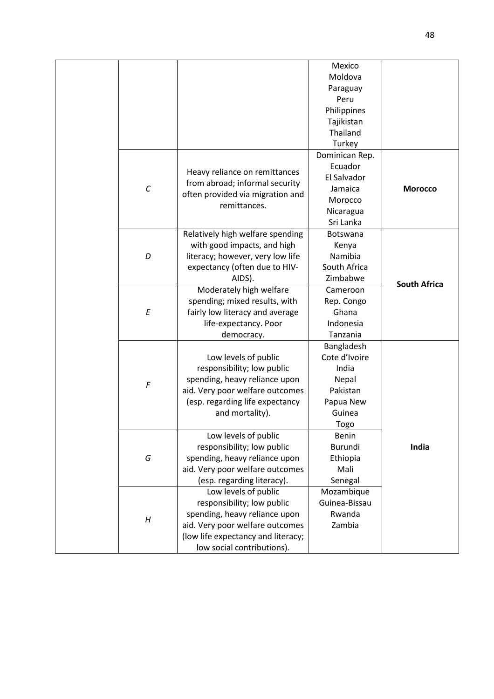|                         |                                    | Mexico         |                     |
|-------------------------|------------------------------------|----------------|---------------------|
|                         |                                    | Moldova        |                     |
|                         |                                    | Paraguay       |                     |
|                         |                                    | Peru           |                     |
|                         |                                    | Philippines    |                     |
|                         |                                    | Tajikistan     |                     |
|                         |                                    | Thailand       |                     |
|                         |                                    | Turkey         |                     |
|                         |                                    | Dominican Rep. |                     |
|                         |                                    | Ecuador        |                     |
|                         | Heavy reliance on remittances      | El Salvador    |                     |
| $\cal C$                | from abroad; informal security     | Jamaica        | <b>Morocco</b>      |
|                         | often provided via migration and   | Morocco        |                     |
|                         | remittances.                       | Nicaragua      |                     |
|                         |                                    | Sri Lanka      |                     |
|                         | Relatively high welfare spending   | Botswana       |                     |
|                         | with good impacts, and high        | Kenya          |                     |
| D                       | literacy; however, very low life   | Namibia        |                     |
|                         | expectancy (often due to HIV-      | South Africa   |                     |
|                         | AIDS).                             | Zimbabwe       |                     |
|                         | Moderately high welfare            | Cameroon       | <b>South Africa</b> |
|                         | spending; mixed results, with      | Rep. Congo     |                     |
| $\cal E$                | fairly low literacy and average    | Ghana          |                     |
|                         | life-expectancy. Poor              | Indonesia      |                     |
|                         | democracy.                         | Tanzania       |                     |
|                         |                                    | Bangladesh     |                     |
|                         | Low levels of public               | Cote d'Ivoire  |                     |
|                         | responsibility; low public         | India          |                     |
|                         | spending, heavy reliance upon      | Nepal          |                     |
| $\boldsymbol{\digamma}$ | aid. Very poor welfare outcomes    | Pakistan       |                     |
|                         | (esp. regarding life expectancy    | Papua New      |                     |
|                         | and mortality).                    | Guinea         |                     |
|                         |                                    | Togo           |                     |
|                         | Low levels of public               | Benin          |                     |
|                         | responsibility; low public         | Burundi        | India               |
| G                       | spending, heavy reliance upon      | Ethiopia       |                     |
|                         | aid. Very poor welfare outcomes    | Mali           |                     |
|                         | (esp. regarding literacy).         | Senegal        |                     |
|                         | Low levels of public               | Mozambique     |                     |
|                         | responsibility; low public         | Guinea-Bissau  |                     |
|                         | spending, heavy reliance upon      | Rwanda         |                     |
| H                       | aid. Very poor welfare outcomes    | Zambia         |                     |
|                         | (low life expectancy and literacy; |                |                     |
|                         | low social contributions).         |                |                     |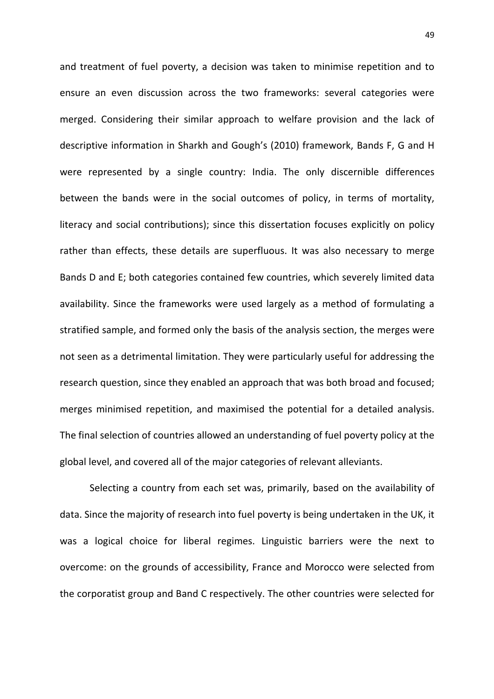and treatment of fuel poverty, a decision was taken to minimise repetition and to ensure an even discussion across the two frameworks: several categories were merged. Considering their similar approach to welfare provision and the lack of descriptive information in Sharkh and Gough's (2010) framework, Bands F, G and H were represented by a single country: India. The only discernible differences between the bands were in the social outcomes of policy, in terms of mortality, literacy and social contributions); since this dissertation focuses explicitly on policy rather than effects, these details are superfluous. It was also necessary to merge Bands D and E; both categories contained few countries, which severely limited data availability. Since the frameworks were used largely as a method of formulating a stratified sample, and formed only the basis of the analysis section, the merges were not seen as a detrimental limitation. They were particularly useful for addressing the research question, since they enabled an approach that was both broad and focused; merges minimised repetition, and maximised the potential for a detailed analysis. The final selection of countries allowed an understanding of fuel poverty policy at the global level, and covered all of the major categories of relevant alleviants.

Selecting a country from each set was, primarily, based on the availability of data. Since the majority of research into fuel poverty is being undertaken in the UK, it was a logical choice for liberal regimes. Linguistic barriers were the next to overcome: on the grounds of accessibility, France and Morocco were selected from the corporatist group and Band C respectively. The other countries were selected for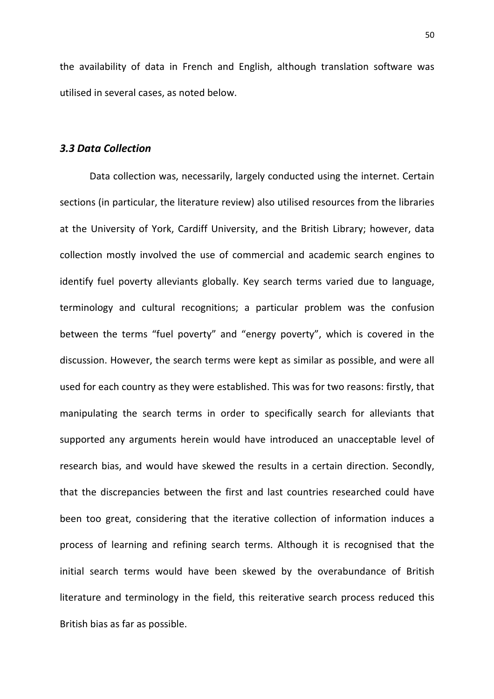the availability of data in French and English, although translation software was utilised in several cases, as noted below.

## 3.3 Data Collection

 Data collection was, necessarily, largely conducted using the internet. Certain sections (in particular, the literature review) also utilised resources from the libraries at the University of York, Cardiff University, and the British Library; however, data collection mostly involved the use of commercial and academic search engines to identify fuel poverty alleviants globally. Key search terms varied due to language, terminology and cultural recognitions; a particular problem was the confusion between the terms "fuel poverty" and "energy poverty", which is covered in the discussion. However, the search terms were kept as similar as possible, and were all used for each country as they were established. This was for two reasons: firstly, that manipulating the search terms in order to specifically search for alleviants that supported any arguments herein would have introduced an unacceptable level of research bias, and would have skewed the results in a certain direction. Secondly, that the discrepancies between the first and last countries researched could have been too great, considering that the iterative collection of information induces a process of learning and refining search terms. Although it is recognised that the initial search terms would have been skewed by the overabundance of British literature and terminology in the field, this reiterative search process reduced this British bias as far as possible.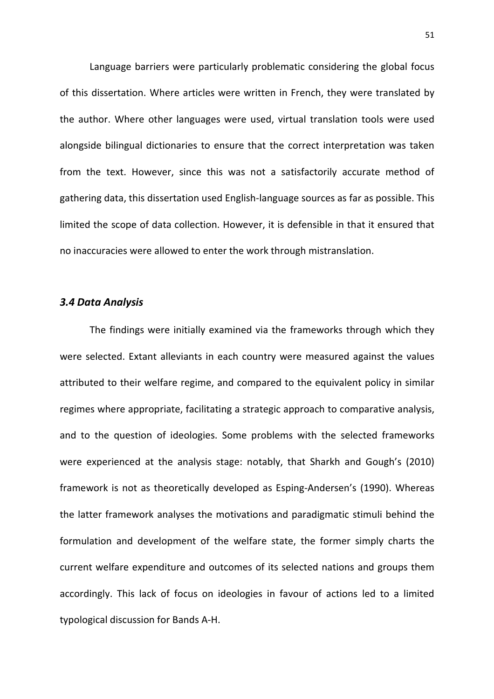Language barriers were particularly problematic considering the global focus of this dissertation. Where articles were written in French, they were translated by the author. Where other languages were used, virtual translation tools were used alongside bilingual dictionaries to ensure that the correct interpretation was taken from the text. However, since this was not a satisfactorily accurate method of gathering data, this dissertation used English-language sources as far as possible. This limited the scope of data collection. However, it is defensible in that it ensured that no inaccuracies were allowed to enter the work through mistranslation.

#### 3.4 Data Analysis

 The findings were initially examined via the frameworks through which they were selected. Extant alleviants in each country were measured against the values attributed to their welfare regime, and compared to the equivalent policy in similar regimes where appropriate, facilitating a strategic approach to comparative analysis, and to the question of ideologies. Some problems with the selected frameworks were experienced at the analysis stage: notably, that Sharkh and Gough's (2010) framework is not as theoretically developed as Esping-Andersen's (1990). Whereas the latter framework analyses the motivations and paradigmatic stimuli behind the formulation and development of the welfare state, the former simply charts the current welfare expenditure and outcomes of its selected nations and groups them accordingly. This lack of focus on ideologies in favour of actions led to a limited typological discussion for Bands A-H.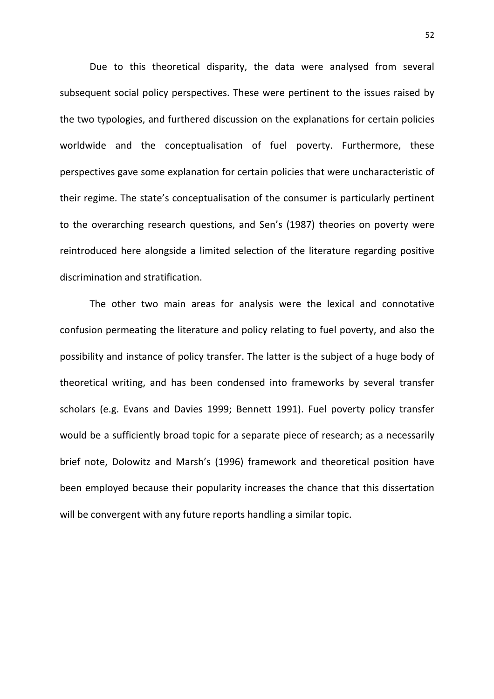Due to this theoretical disparity, the data were analysed from several subsequent social policy perspectives. These were pertinent to the issues raised by the two typologies, and furthered discussion on the explanations for certain policies worldwide and the conceptualisation of fuel poverty. Furthermore, these perspectives gave some explanation for certain policies that were uncharacteristic of their regime. The state's conceptualisation of the consumer is particularly pertinent to the overarching research questions, and Sen's (1987) theories on poverty were reintroduced here alongside a limited selection of the literature regarding positive discrimination and stratification.

 The other two main areas for analysis were the lexical and connotative confusion permeating the literature and policy relating to fuel poverty, and also the possibility and instance of policy transfer. The latter is the subject of a huge body of theoretical writing, and has been condensed into frameworks by several transfer scholars (e.g. Evans and Davies 1999; Bennett 1991). Fuel poverty policy transfer would be a sufficiently broad topic for a separate piece of research; as a necessarily brief note, Dolowitz and Marsh's (1996) framework and theoretical position have been employed because their popularity increases the chance that this dissertation will be convergent with any future reports handling a similar topic.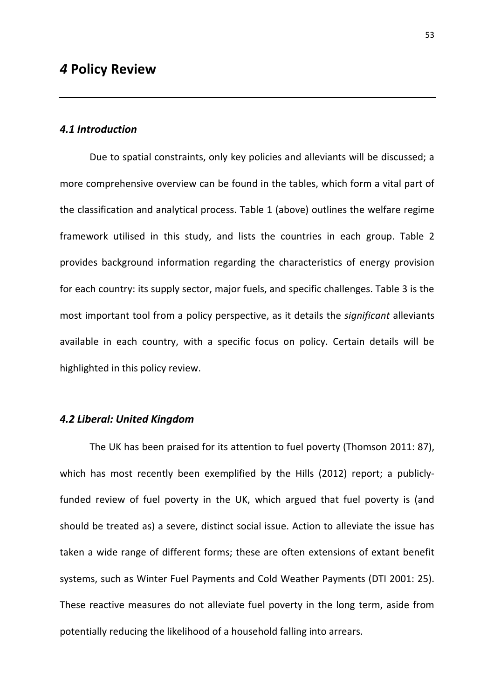# 4.1 Introduction

 Due to spatial constraints, only key policies and alleviants will be discussed; a more comprehensive overview can be found in the tables, which form a vital part of the classification and analytical process. Table 1 (above) outlines the welfare regime framework utilised in this study, and lists the countries in each group. Table 2 provides background information regarding the characteristics of energy provision for each country: its supply sector, major fuels, and specific challenges. Table 3 is the most important tool from a policy perspective, as it details the significant alleviants available in each country, with a specific focus on policy. Certain details will be highlighted in this policy review.

#### 4.2 Liberal: United Kingdom

 The UK has been praised for its attention to fuel poverty (Thomson 2011: 87), which has most recently been exemplified by the Hills (2012) report; a publiclyfunded review of fuel poverty in the UK, which argued that fuel poverty is (and should be treated as) a severe, distinct social issue. Action to alleviate the issue has taken a wide range of different forms; these are often extensions of extant benefit systems, such as Winter Fuel Payments and Cold Weather Payments (DTI 2001: 25). These reactive measures do not alleviate fuel poverty in the long term, aside from potentially reducing the likelihood of a household falling into arrears.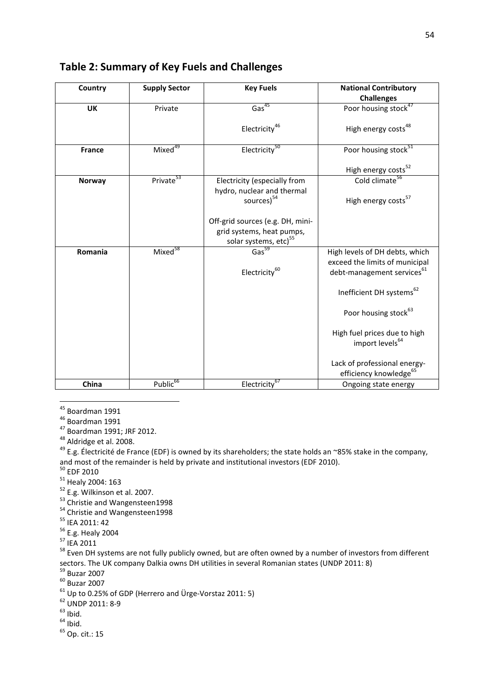| Country       | <b>Supply Sector</b>     | <b>Key Fuels</b>                                              | <b>National Contributory</b><br><b>Challenges</b>                        |
|---------------|--------------------------|---------------------------------------------------------------|--------------------------------------------------------------------------|
| <b>UK</b>     | Private                  | Gas <sup>45</sup>                                             | Poor housing stock <sup>47</sup>                                         |
|               |                          | Electricity <sup>46</sup>                                     | High energy costs <sup>48</sup>                                          |
| <b>France</b> | Mixed <sup>49</sup>      | Electricity <sup>50</sup>                                     | Poor housing stock <sup>51</sup>                                         |
|               |                          |                                                               | High energy costs <sup>52</sup><br>Cold climate <sup>56</sup>            |
| Norway        | Private <sup>53</sup>    | Electricity (especially from                                  |                                                                          |
|               |                          | hydro, nuclear and thermal<br>sources) <sup>54</sup>          | High energy costs <sup>57</sup>                                          |
|               |                          | Off-grid sources (e.g. DH, mini-<br>grid systems, heat pumps, |                                                                          |
|               |                          | solar systems, etc) <sup>55</sup>                             |                                                                          |
| Romania       | Mixe $\overline{d}^{58}$ | Gas <sup>59</sup>                                             | High levels of DH debts, which                                           |
|               |                          | Electricity <sup>60</sup>                                     | exceed the limits of municipal<br>debt-management services <sup>61</sup> |
|               |                          |                                                               | Inefficient DH systems <sup>62</sup>                                     |
|               |                          |                                                               | Poor housing stock <sup>63</sup>                                         |
|               |                          |                                                               | High fuel prices due to high<br>import levels <sup>64</sup>              |
|               |                          |                                                               | Lack of professional energy-<br>efficiency knowledge <sup>65</sup>       |
| China         | Public <sup>66</sup>     | Electricity <sup>67</sup>                                     | Ongoing state energy                                                     |

# Table 2: Summary of Key Fuels and Challenges

l <sup>45</sup> Boardman 1991

<sup>46</sup> Boardman 1991

<sup>47</sup> Boardman 1991; JRF 2012.

48 Aldridge et al. 2008.

<sup>49</sup> E.g. Électricité de France (EDF) is owned by its shareholders; the state holds an ~85% stake in the company, and most of the remainder is held by private and institutional investors (EDF 2010).

- $^{50}$  EDF 2010
- $51$  Healy 2004: 163
- <sup>52</sup> E.g. Wilkinson et al. 2007.
- <sup>53</sup> Christie and Wangensteen1998
- 54 Christie and Wangensteen1998
- <sup>55</sup> IEA 2011: 42
- <sup>56</sup> E.g. Healy 2004
- <sup>57</sup> IEA 2011

<sup>58</sup> Even DH systems are not fully publicly owned, but are often owned by a number of investors from different sectors. The UK company Dalkia owns DH utilities in several Romanian states (UNDP 2011: 8)

- $59$  Buzar 2007
- <sup>60</sup> Buzar 2007
- $61$  Up to 0.25% of GDP (Herrero and Ürge-Vorstaz 2011: 5)
- <sup>62</sup> UNDP 2011: 8-9
- $63$  Ibid.
- $64$  Ibid.
- <sup>65</sup> Op. cit.: 15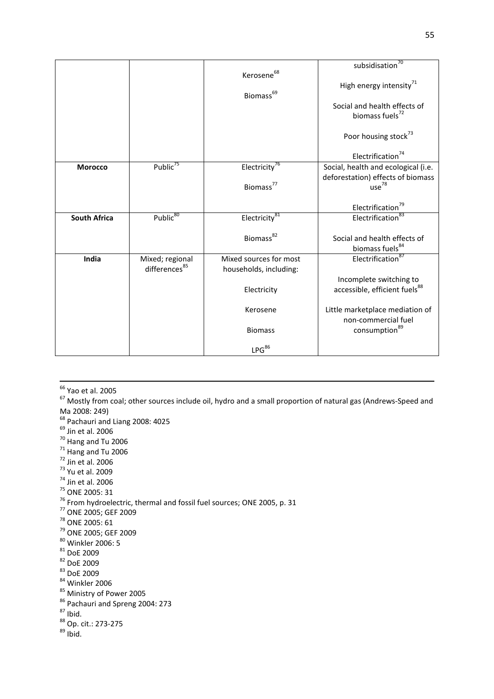|                     |                           |                           | subsidisation <sup>70</sup>               |
|---------------------|---------------------------|---------------------------|-------------------------------------------|
|                     |                           | Kerosene <sup>68</sup>    |                                           |
|                     |                           |                           | High energy intensity <sup>71</sup>       |
|                     |                           | Biomass <sup>69</sup>     |                                           |
|                     |                           |                           | Social and health effects of              |
|                     |                           |                           | biomass fuels <sup>72</sup>               |
|                     |                           |                           |                                           |
|                     |                           |                           | Poor housing stock <sup>73</sup>          |
|                     |                           |                           |                                           |
|                     |                           |                           | Electrification <sup>74</sup>             |
| <b>Morocco</b>      | Public <sup>75</sup>      | Electricity <sup>76</sup> | Social, health and ecological (i.e.       |
|                     |                           |                           | deforestation) effects of biomass         |
|                     |                           | Biomass <sup>77</sup>     | use <sup>78</sup>                         |
|                     |                           |                           |                                           |
|                     |                           |                           | Electrification <sup>79</sup>             |
| <b>South Africa</b> | Public <sup>80</sup>      | Electricity <sup>81</sup> | Electrification <sup>83</sup>             |
|                     |                           |                           |                                           |
|                     |                           | Biomass <sup>82</sup>     | Social and health effects of              |
|                     |                           |                           | biomass fuels <sup>84</sup>               |
| India               | Mixed; regional           | Mixed sources for most    | Electrification <sup>87</sup>             |
|                     | differences <sup>85</sup> | households, including:    |                                           |
|                     |                           |                           | Incomplete switching to                   |
|                     |                           | Electricity               | accessible, efficient fuels <sup>88</sup> |
|                     |                           |                           |                                           |
|                     |                           | Kerosene                  | Little marketplace mediation of           |
|                     |                           |                           | non-commercial fuel                       |
|                     |                           | <b>Biomass</b>            | consumption <sup>89</sup>                 |
|                     |                           |                           |                                           |
|                     |                           | LPG <sup>86</sup>         |                                           |

<sup>66</sup> Yao et al. 2005

l

<sup>67</sup> Mostly from coal; other sources include oil, hydro and a small proportion of natural gas (Andrews-Speed and Ma 2008: 249)

- <sup>68</sup> Pachauri and Liang 2008: 4025
- $^{69}$  Jin et al. 2006
- <sup>70</sup> Hang and Tu 2006
- $^{71}$  Hang and Tu 2006
- $72$  Jin et al. 2006
- $73$  Yu et al. 2009
- $74$  Jin et al. 2006
- <sup>75</sup> ONE 2005: 31
- $^{76}$  From hydroelectric, thermal and fossil fuel sources; ONE 2005, p. 31
- <sup>77</sup> ONE 2005; GEF 2009
- <sup>78</sup> ONE 2005: 61
- <sup>79</sup> ONE 2005; GEF 2009
- <sup>80</sup> Winkler 2006: 5
- 81 DoE 2009
- <sup>82</sup> DoE 2009
- <sup>83</sup> DoE 2009
- <sup>84</sup> Winkler 2006
- <sup>85</sup> Ministry of Power 2005
- <sup>86</sup> Pachauri and Spreng 2004: 273

 $87$  Ibid.

88 Op. cit.: 273-275

<sup>89</sup> Ibid.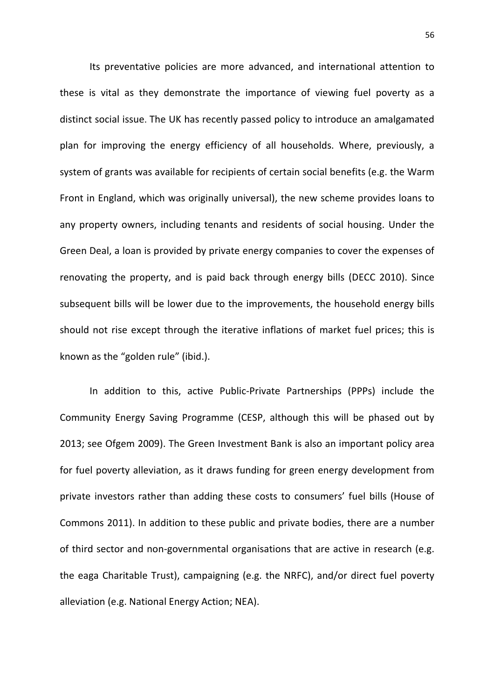Its preventative policies are more advanced, and international attention to these is vital as they demonstrate the importance of viewing fuel poverty as a distinct social issue. The UK has recently passed policy to introduce an amalgamated plan for improving the energy efficiency of all households. Where, previously, a system of grants was available for recipients of certain social benefits (e.g. the Warm Front in England, which was originally universal), the new scheme provides loans to any property owners, including tenants and residents of social housing. Under the Green Deal, a loan is provided by private energy companies to cover the expenses of renovating the property, and is paid back through energy bills (DECC 2010). Since subsequent bills will be lower due to the improvements, the household energy bills should not rise except through the iterative inflations of market fuel prices; this is known as the "golden rule" (ibid.).

In addition to this, active Public-Private Partnerships (PPPs) include the Community Energy Saving Programme (CESP, although this will be phased out by 2013; see Ofgem 2009). The Green Investment Bank is also an important policy area for fuel poverty alleviation, as it draws funding for green energy development from private investors rather than adding these costs to consumers' fuel bills (House of Commons 2011). In addition to these public and private bodies, there are a number of third sector and non-governmental organisations that are active in research (e.g. the eaga Charitable Trust), campaigning (e.g. the NRFC), and/or direct fuel poverty alleviation (e.g. National Energy Action; NEA).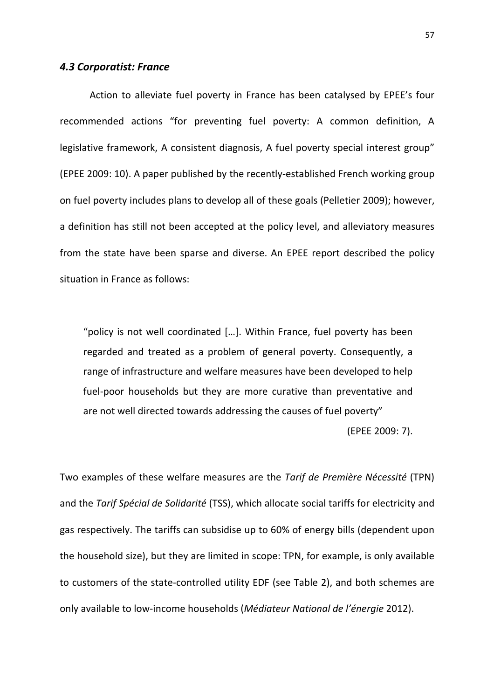#### 4.3 Corporatist: France

 Action to alleviate fuel poverty in France has been catalysed by EPEE's four recommended actions "for preventing fuel poverty: A common definition, A legislative framework, A consistent diagnosis, A fuel poverty special interest group" (EPEE 2009: 10). A paper published by the recently-established French working group on fuel poverty includes plans to develop all of these goals (Pelletier 2009); however, a definition has still not been accepted at the policy level, and alleviatory measures from the state have been sparse and diverse. An EPEE report described the policy situation in France as follows:

"policy is not well coordinated […]. Within France, fuel poverty has been regarded and treated as a problem of general poverty. Consequently, a range of infrastructure and welfare measures have been developed to help fuel-poor households but they are more curative than preventative and are not well directed towards addressing the causes of fuel poverty"

(EPEE 2009: 7).

Two examples of these welfare measures are the Tarif de Première Nécessité (TPN) and the Tarif Spécial de Solidarité (TSS), which allocate social tariffs for electricity and gas respectively. The tariffs can subsidise up to 60% of energy bills (dependent upon the household size), but they are limited in scope: TPN, for example, is only available to customers of the state-controlled utility EDF (see Table 2), and both schemes are only available to low-income households (Médiateur National de l'énergie 2012).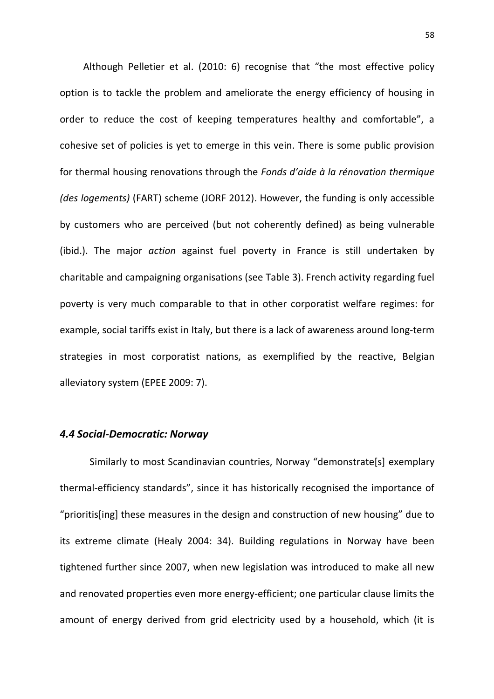Although Pelletier et al. (2010: 6) recognise that "the most effective policy option is to tackle the problem and ameliorate the energy efficiency of housing in order to reduce the cost of keeping temperatures healthy and comfortable", a cohesive set of policies is yet to emerge in this vein. There is some public provision for thermal housing renovations through the Fonds d'aide à la rénovation thermique (des logements) (FART) scheme (JORF 2012). However, the funding is only accessible by customers who are perceived (but not coherently defined) as being vulnerable (ibid.). The major *action* against fuel poverty in France is still undertaken by charitable and campaigning organisations (see Table 3). French activity regarding fuel poverty is very much comparable to that in other corporatist welfare regimes: for example, social tariffs exist in Italy, but there is a lack of awareness around long-term strategies in most corporatist nations, as exemplified by the reactive, Belgian alleviatory system (EPEE 2009: 7).

# 4.4 Social-Democratic: Norway

Similarly to most Scandinavian countries, Norway "demonstrate[s] exemplary thermal-efficiency standards", since it has historically recognised the importance of "prioritis[ing] these measures in the design and construction of new housing" due to its extreme climate (Healy 2004: 34). Building regulations in Norway have been tightened further since 2007, when new legislation was introduced to make all new and renovated properties even more energy-efficient; one particular clause limits the amount of energy derived from grid electricity used by a household, which (it is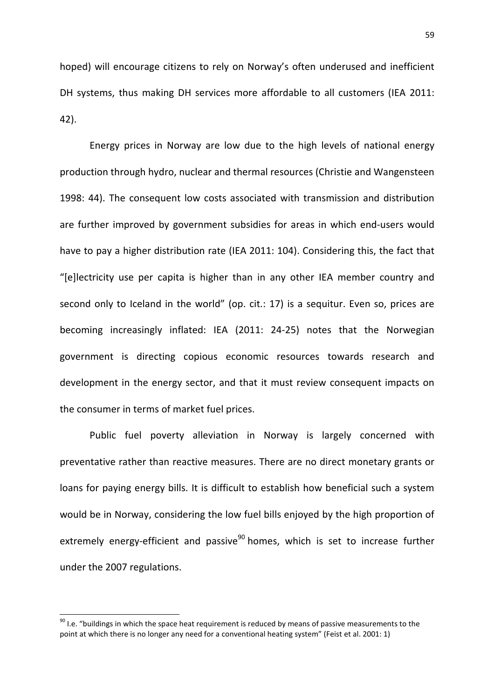hoped) will encourage citizens to rely on Norway's often underused and inefficient DH systems, thus making DH services more affordable to all customers (IEA 2011: 42).

Energy prices in Norway are low due to the high levels of national energy production through hydro, nuclear and thermal resources (Christie and Wangensteen 1998: 44). The consequent low costs associated with transmission and distribution are further improved by government subsidies for areas in which end-users would have to pay a higher distribution rate (IEA 2011: 104). Considering this, the fact that "[e]lectricity use per capita is higher than in any other IEA member country and second only to Iceland in the world" (op. cit.: 17) is a sequitur. Even so, prices are becoming increasingly inflated: IEA (2011: 24-25) notes that the Norwegian government is directing copious economic resources towards research and development in the energy sector, and that it must review consequent impacts on the consumer in terms of market fuel prices.

 Public fuel poverty alleviation in Norway is largely concerned with preventative rather than reactive measures. There are no direct monetary grants or loans for paying energy bills. It is difficult to establish how beneficial such a system would be in Norway, considering the low fuel bills enjoyed by the high proportion of extremely energy-efficient and passive<sup>90</sup> homes, which is set to increase further under the 2007 regulations.

 $\overline{\phantom{0}}$ 

 $90$  I.e. "buildings in which the space heat requirement is reduced by means of passive measurements to the point at which there is no longer any need for a conventional heating system" (Feist et al. 2001: 1)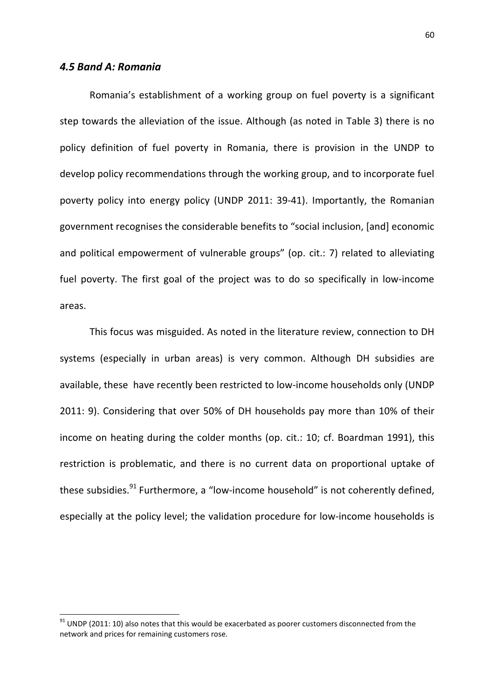# 4.5 Band A: Romania

 $\overline{\phantom{0}}$ 

Romania's establishment of a working group on fuel poverty is a significant step towards the alleviation of the issue. Although (as noted in Table 3) there is no policy definition of fuel poverty in Romania, there is provision in the UNDP to develop policy recommendations through the working group, and to incorporate fuel poverty policy into energy policy (UNDP 2011: 39-41). Importantly, the Romanian government recognises the considerable benefits to "social inclusion, [and] economic and political empowerment of vulnerable groups" (op. cit.: 7) related to alleviating fuel poverty. The first goal of the project was to do so specifically in low-income areas.

This focus was misguided. As noted in the literature review, connection to DH systems (especially in urban areas) is very common. Although DH subsidies are available, these have recently been restricted to low-income households only (UNDP 2011: 9). Considering that over 50% of DH households pay more than 10% of their income on heating during the colder months (op. cit.: 10; cf. Boardman 1991), this restriction is problematic, and there is no current data on proportional uptake of these subsidies.<sup>91</sup> Furthermore, a "low-income household" is not coherently defined, especially at the policy level; the validation procedure for low-income households is

 $91$  UNDP (2011: 10) also notes that this would be exacerbated as poorer customers disconnected from the network and prices for remaining customers rose.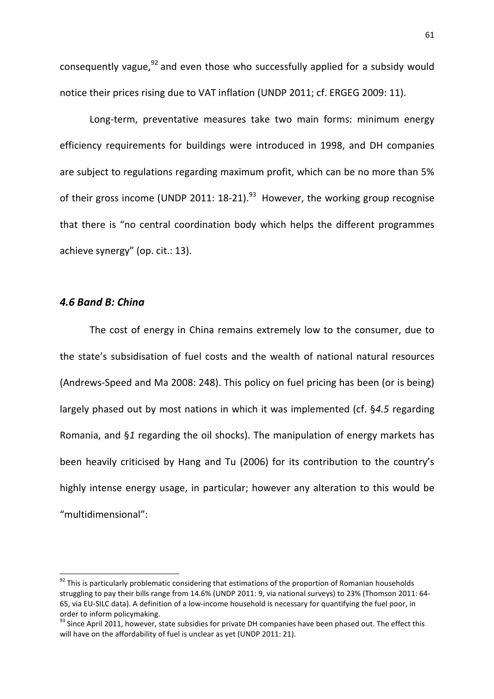consequently vague, $92$  and even those who successfully applied for a subsidy would notice their prices rising due to VAT inflation (UNDP 2011; cf. ERGEG 2009: 11).

Long-term, preventative measures take two main forms: minimum energy efficiency requirements for buildings were introduced in 1998, and DH companies are subject to regulations regarding maximum profit, which can be no more than 5% of their gross income (UNDP 2011:  $18-21$ ).<sup>93</sup> However, the working group recognise that there is "no central coordination body which helps the different programmes achieve synergy" (op. cit.: 13).

# 4.6 Band B: China

 $\overline{\phantom{0}}$ 

The cost of energy in China remains extremely low to the consumer, due to the state's subsidisation of fuel costs and the wealth of national natural resources (Andrews-Speed and Ma 2008: 248). This policy on fuel pricing has been (or is being) largely phased out by most nations in which it was implemented (cf. §4.5 regarding Romania, and §1 regarding the oil shocks). The manipulation of energy markets has been heavily criticised by Hang and Tu (2006) for its contribution to the country's highly intense energy usage, in particular; however any alteration to this would be "multidimensional":

<sup>&</sup>lt;sup>92</sup> This is particularly problematic considering that estimations of the proportion of Romanian households struggling to pay their bills range from 14.6% (UNDP 2011: 9, via national surveys) to 23% (Thomson 2011: 64- 65, via EU-SILC data). A definition of a low-income household is necessary for quantifying the fuel poor, in order to inform policymaking.

<sup>&</sup>lt;sup>93</sup> Since April 2011, however, state subsidies for private DH companies have been phased out. The effect this will have on the affordability of fuel is unclear as yet (UNDP 2011: 21).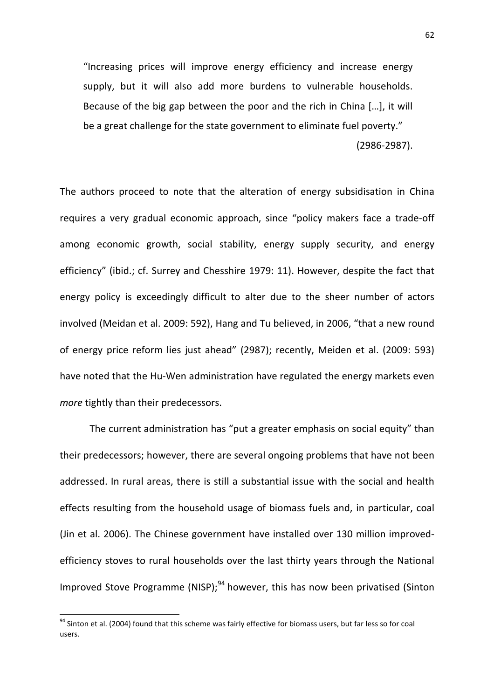"Increasing prices will improve energy efficiency and increase energy supply, but it will also add more burdens to vulnerable households. Because of the big gap between the poor and the rich in China […], it will be a great challenge for the state government to eliminate fuel poverty." (2986-2987).

The authors proceed to note that the alteration of energy subsidisation in China requires a very gradual economic approach, since "policy makers face a trade-off among economic growth, social stability, energy supply security, and energy efficiency" (ibid.; cf. Surrey and Chesshire 1979: 11). However, despite the fact that energy policy is exceedingly difficult to alter due to the sheer number of actors involved (Meidan et al. 2009: 592), Hang and Tu believed, in 2006, "that a new round of energy price reform lies just ahead" (2987); recently, Meiden et al. (2009: 593) have noted that the Hu-Wen administration have regulated the energy markets even more tightly than their predecessors.

 The current administration has "put a greater emphasis on social equity" than their predecessors; however, there are several ongoing problems that have not been addressed. In rural areas, there is still a substantial issue with the social and health effects resulting from the household usage of biomass fuels and, in particular, coal (Jin et al. 2006). The Chinese government have installed over 130 million improvedefficiency stoves to rural households over the last thirty years through the National Improved Stove Programme (NISP); $^{94}$  however, this has now been privatised (Sinton

 $\overline{\phantom{0}}$ 

<sup>94</sup> Sinton et al. (2004) found that this scheme was fairly effective for biomass users, but far less so for coal users.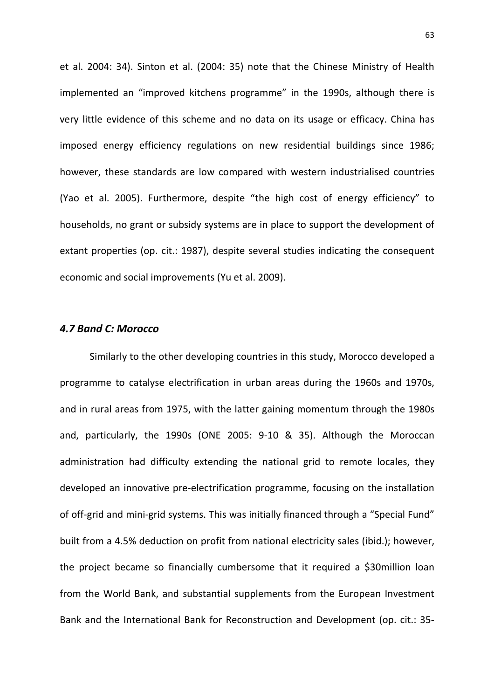et al. 2004: 34). Sinton et al. (2004: 35) note that the Chinese Ministry of Health implemented an "improved kitchens programme" in the 1990s, although there is very little evidence of this scheme and no data on its usage or efficacy. China has imposed energy efficiency regulations on new residential buildings since 1986; however, these standards are low compared with western industrialised countries (Yao et al. 2005). Furthermore, despite "the high cost of energy efficiency" to households, no grant or subsidy systems are in place to support the development of extant properties (op. cit.: 1987), despite several studies indicating the consequent economic and social improvements (Yu et al. 2009).

# 4.7 Band C: Morocco

 Similarly to the other developing countries in this study, Morocco developed a programme to catalyse electrification in urban areas during the 1960s and 1970s, and in rural areas from 1975, with the latter gaining momentum through the 1980s and, particularly, the 1990s (ONE 2005: 9-10 & 35). Although the Moroccan administration had difficulty extending the national grid to remote locales, they developed an innovative pre-electrification programme, focusing on the installation of off-grid and mini-grid systems. This was initially financed through a "Special Fund" built from a 4.5% deduction on profit from national electricity sales (ibid.); however, the project became so financially cumbersome that it required a \$30million loan from the World Bank, and substantial supplements from the European Investment Bank and the International Bank for Reconstruction and Development (op. cit.: 35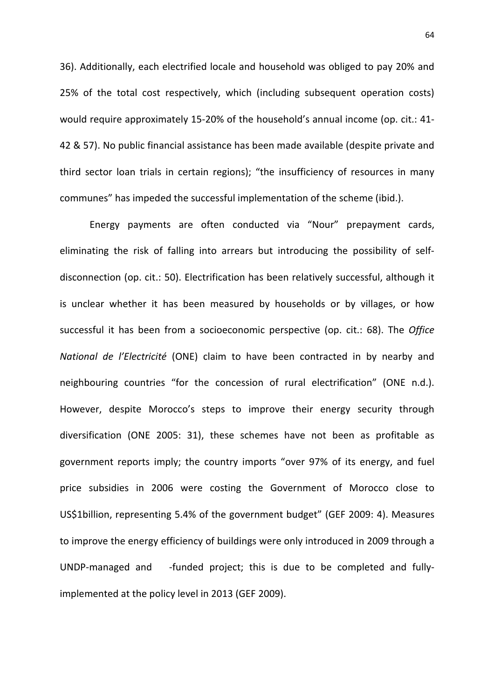36). Additionally, each electrified locale and household was obliged to pay 20% and 25% of the total cost respectively, which (including subsequent operation costs) would require approximately 15-20% of the household's annual income (op. cit.: 41- 42 & 57). No public financial assistance has been made available (despite private and third sector loan trials in certain regions); "the insufficiency of resources in many communes" has impeded the successful implementation of the scheme (ibid.).

Energy payments are often conducted via "Nour" prepayment cards, eliminating the risk of falling into arrears but introducing the possibility of selfdisconnection (op. cit.: 50). Electrification has been relatively successful, although it is unclear whether it has been measured by households or by villages, or how successful it has been from a socioeconomic perspective (op. cit.: 68). The Office National de l'Electricité (ONE) claim to have been contracted in by nearby and neighbouring countries "for the concession of rural electrification" (ONE n.d.). However, despite Morocco's steps to improve their energy security through diversification (ONE 2005: 31), these schemes have not been as profitable as government reports imply; the country imports "over 97% of its energy, and fuel price subsidies in 2006 were costing the Government of Morocco close to US\$1billion, representing 5.4% of the government budget" (GEF 2009: 4). Measures to improve the energy efficiency of buildings were only introduced in 2009 through a UNDP-managed and -funded project; this is due to be completed and fullyimplemented at the policy level in 2013 (GEF 2009).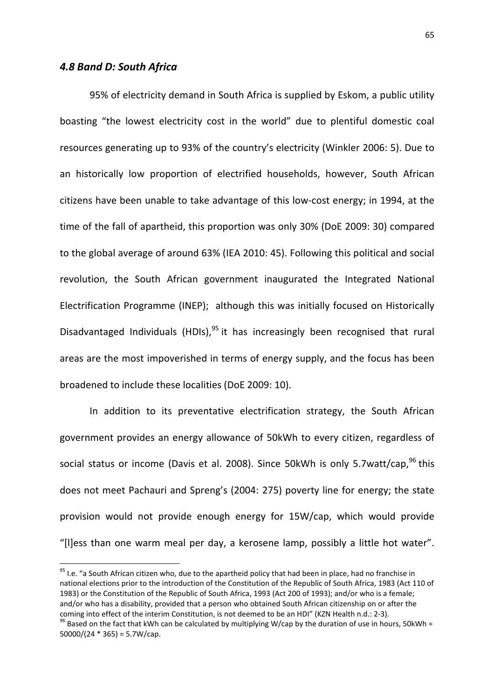# 4.8 Band D: South Africa

l

 95% of electricity demand in South Africa is supplied by Eskom, a public utility boasting "the lowest electricity cost in the world" due to plentiful domestic coal resources generating up to 93% of the country's electricity (Winkler 2006: 5). Due to an historically low proportion of electrified households, however, South African citizens have been unable to take advantage of this low-cost energy; in 1994, at the time of the fall of apartheid, this proportion was only 30% (DoE 2009: 30) compared to the global average of around 63% (IEA 2010: 45). Following this political and social revolution, the South African government inaugurated the Integrated National Electrification Programme (INEP); although this was initially focused on Historically Disadvantaged Individuals (HDIs),  $95$  it has increasingly been recognised that rural areas are the most impoverished in terms of energy supply, and the focus has been broadened to include these localities (DoE 2009: 10).

In addition to its preventative electrification strategy, the South African government provides an energy allowance of 50kWh to every citizen, regardless of social status or income (Davis et al. 2008). Since 50kWh is only 5.7watt/cap, $96$  this does not meet Pachauri and Spreng's (2004: 275) poverty line for energy; the state provision would not provide enough energy for 15W/cap, which would provide "[l]ess than one warm meal per day, a kerosene lamp, possibly a little hot water".

 $95$  I.e. "a South African citizen who, due to the apartheid policy that had been in place, had no franchise in national elections prior to the introduction of the Constitution of the Republic of South Africa, 1983 (Act 110 of 1983) or the Constitution of the Republic of South Africa, 1993 (Act 200 of 1993); and/or who is a female; and/or who has a disability, provided that a person who obtained South African citizenship on or after the coming into effect of the interim Constitution, is not deemed to be an HDI" (KZN Health n.d.: 2-3).  $96$  Based on the fact that kWh can be calculated by multiplying W/cap by the duration of use in hours, 50kWh =  $50000/(24 * 365) = 5.7W/cap.$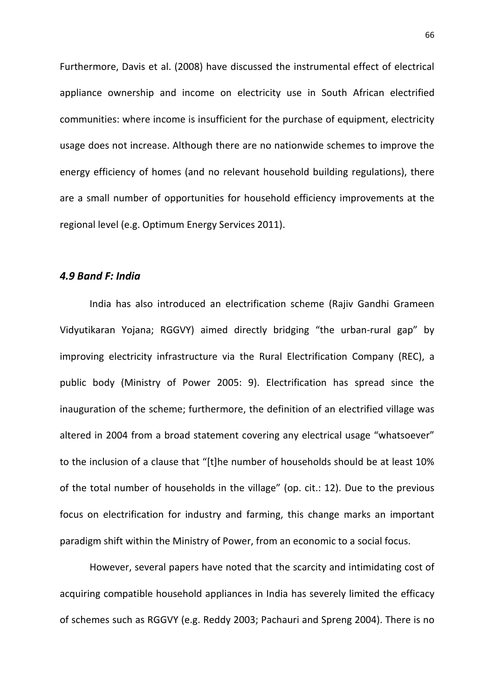Furthermore, Davis et al. (2008) have discussed the instrumental effect of electrical appliance ownership and income on electricity use in South African electrified communities: where income is insufficient for the purchase of equipment, electricity usage does not increase. Although there are no nationwide schemes to improve the energy efficiency of homes (and no relevant household building regulations), there are a small number of opportunities for household efficiency improvements at the regional level (e.g. Optimum Energy Services 2011).

#### 4.9 Band F: India

India has also introduced an electrification scheme (Rajiv Gandhi Grameen Vidyutikaran Yojana; RGGVY) aimed directly bridging "the urban-rural gap" by improving electricity infrastructure via the Rural Electrification Company (REC), a public body (Ministry of Power 2005: 9). Electrification has spread since the inauguration of the scheme; furthermore, the definition of an electrified village was altered in 2004 from a broad statement covering any electrical usage "whatsoever" to the inclusion of a clause that "[t]he number of households should be at least 10% of the total number of households in the village" (op. cit.: 12). Due to the previous focus on electrification for industry and farming, this change marks an important paradigm shift within the Ministry of Power, from an economic to a social focus.

However, several papers have noted that the scarcity and intimidating cost of acquiring compatible household appliances in India has severely limited the efficacy of schemes such as RGGVY (e.g. Reddy 2003; Pachauri and Spreng 2004). There is no

66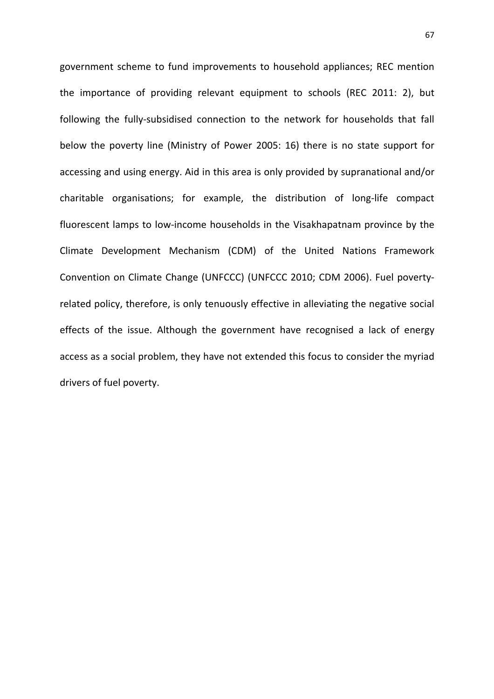government scheme to fund improvements to household appliances; REC mention the importance of providing relevant equipment to schools (REC 2011: 2), but following the fully-subsidised connection to the network for households that fall below the poverty line (Ministry of Power 2005: 16) there is no state support for accessing and using energy. Aid in this area is only provided by supranational and/or charitable organisations; for example, the distribution of long-life compact fluorescent lamps to low-income households in the Visakhapatnam province by the Climate Development Mechanism (CDM) of the United Nations Framework Convention on Climate Change (UNFCCC) (UNFCCC 2010; CDM 2006). Fuel povertyrelated policy, therefore, is only tenuously effective in alleviating the negative social effects of the issue. Although the government have recognised a lack of energy access as a social problem, they have not extended this focus to consider the myriad drivers of fuel poverty.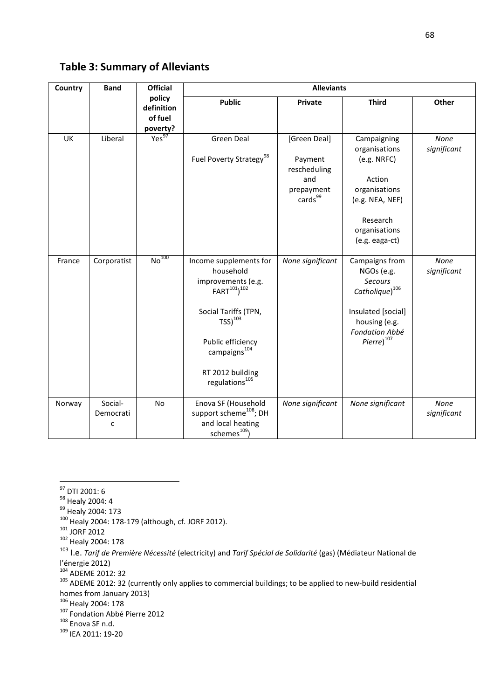Table 3: Summary of Alleviants

| Country | <b>Band</b>               | <b>Official</b>                             | <b>Alleviants</b>                                                                                                                                                                                                                      |                                                                                     |                                                                                                                                                                       |                     |
|---------|---------------------------|---------------------------------------------|----------------------------------------------------------------------------------------------------------------------------------------------------------------------------------------------------------------------------------------|-------------------------------------------------------------------------------------|-----------------------------------------------------------------------------------------------------------------------------------------------------------------------|---------------------|
|         |                           | policy<br>definition<br>of fuel<br>poverty? | <b>Public</b>                                                                                                                                                                                                                          | Private                                                                             | <b>Third</b>                                                                                                                                                          | Other               |
| UK      | Liberal                   | Yes <sup>97</sup>                           | Green Deal<br>Fuel Poverty Strategy <sup>98</sup>                                                                                                                                                                                      | [Green Deal]<br>Payment<br>rescheduling<br>and<br>prepayment<br>cards <sup>99</sup> | Campaigning<br>organisations<br>(e.g. NRFC)<br>Action<br>organisations<br>(e.g. NEA, NEF)<br>Research<br>organisations<br>(e.g. eaga-ct)                              | None<br>significant |
| France  | Corporatist               | N <sup>100</sup>                            | Income supplements for<br>household<br>improvements (e.g.<br>FART <sup>101</sup> ) <sup>102</sup><br>Social Tariffs (TPN,<br>$TSS)^{103}$<br>Public efficiency<br>campaigns <sup>104</sup><br>RT 2012 building<br>regulations $^{105}$ | None significant                                                                    | Campaigns from<br>NGOs (e.g.<br><b>Secours</b><br>$\textit{Catholique}\big)^{106}$<br>Insulated [social]<br>housing (e.g.<br>Fondation Abbé<br>Pierre) <sup>107</sup> | None<br>significant |
| Norway  | Social-<br>Democrati<br>C | No                                          | Enova SF (Household<br>support scheme <sup>108</sup> ; DH<br>and local heating<br>schemes <sup>109</sup> )                                                                                                                             | None significant                                                                    | None significant                                                                                                                                                      | None<br>significant |

 $\overline{a}$ 

- <sup>99</sup> Healy 2004: 173
- <sup>100</sup> Healy 2004: 178-179 (although, cf. JORF 2012).
- $101$  JORF 2012
- <sup>102</sup> Healy 2004: 178

103 I.e. Tarif de Première Nécessité (electricity) and Tarif Spécial de Solidarité (gas) (Médiateur National de l'énergie 2012)

<sup>104</sup> ADEME 2012: 32

<sup>105</sup> ADEME 2012: 32 (currently only applies to commercial buildings; to be applied to new-build residential homes from January 2013)

<sup>106</sup> Healy 2004: 178

- 107 Fondation Abbé Pierre 2012
- <sup>108</sup> Enova SF n.d.
- <sup>109</sup> IEA 2011: 19-20

<sup>&</sup>lt;sup>97</sup> DTI 2001: 6

<sup>&</sup>lt;sup>98</sup> Healy 2004: 4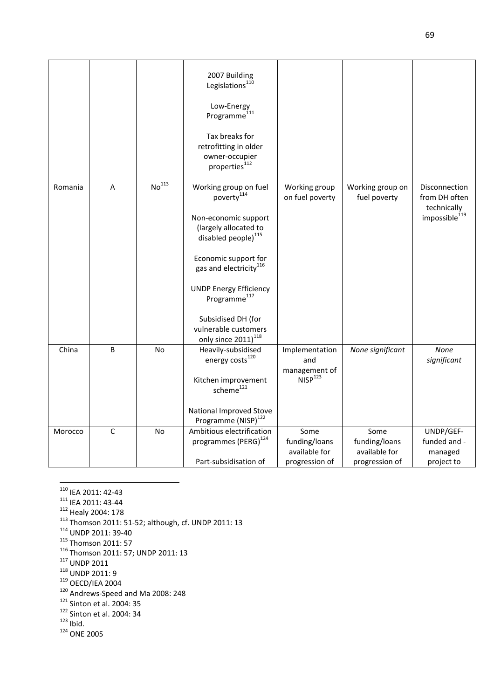|         |                |                   | 2007 Building<br>Legislations <sup>110</sup><br>Low-Energy<br>Programme $^{111}$<br>Tax breaks for<br>retrofitting in older<br>owner-occupier<br>properties <sup>112</sup>                                                                                                                                                                      |                                                          |                                                          |                                                                            |
|---------|----------------|-------------------|-------------------------------------------------------------------------------------------------------------------------------------------------------------------------------------------------------------------------------------------------------------------------------------------------------------------------------------------------|----------------------------------------------------------|----------------------------------------------------------|----------------------------------------------------------------------------|
| Romania | $\sf A$        | No <sup>113</sup> | Working group on fuel<br>poverty <sup>114</sup><br>Non-economic support<br>(largely allocated to<br>disabled people) <sup>115</sup><br>Economic support for<br>gas and electricity <sup>116</sup><br><b>UNDP Energy Efficiency</b><br>Programme <sup>117</sup><br>Subsidised DH (for<br>vulnerable customers<br>only since 2011) <sup>118</sup> | Working group<br>on fuel poverty                         | Working group on<br>fuel poverty                         | Disconnection<br>from DH often<br>technically<br>impossible <sup>119</sup> |
| China   | $\overline{B}$ | <b>No</b>         | Heavily-subsidised<br>energy costs <sup>120</sup><br>Kitchen improvement<br>scheme <sup>121</sup><br>National Improved Stove<br>Programme (NISP) <sup>122</sup>                                                                                                                                                                                 | Implementation<br>and<br>management of<br>$NISP^{123}$   | None significant                                         | None<br>significant                                                        |
| Morocco | C              | <b>No</b>         | Ambitious electrification<br>programmes (PERG) <sup>124</sup><br>Part-subsidisation of                                                                                                                                                                                                                                                          | Some<br>funding/loans<br>available for<br>progression of | Some<br>funding/loans<br>available for<br>progression of | UNDP/GEF-<br>funded and -<br>managed<br>project to                         |

<sup>110</sup> IEA 2011: 42-43

 $\overline{\phantom{0}}$ 

- <sup>111</sup> IEA 2011: 43-44
- <sup>112</sup> Healy 2004: 178
- $113$  Thomson 2011: 51-52; although, cf. UNDP 2011: 13
- <sup>114</sup> UNDP 2011: 39-40
- <sup>115</sup> Thomson 2011: 57
- <sup>116</sup> Thomson 2011: 57; UNDP 2011: 13
- <sup>117</sup> UNDP 2011
- <sup>118</sup> UNDP 2011: 9
- $119$  OECD/IEA 2004
- <sup>120</sup> Andrews-Speed and Ma 2008: 248
- <sup>121</sup> Sinton et al. 2004: 35
- <sup>122</sup> Sinton et al. 2004: 34
- $^{123}$  Ibid.
- <sup>124</sup> ONE 2005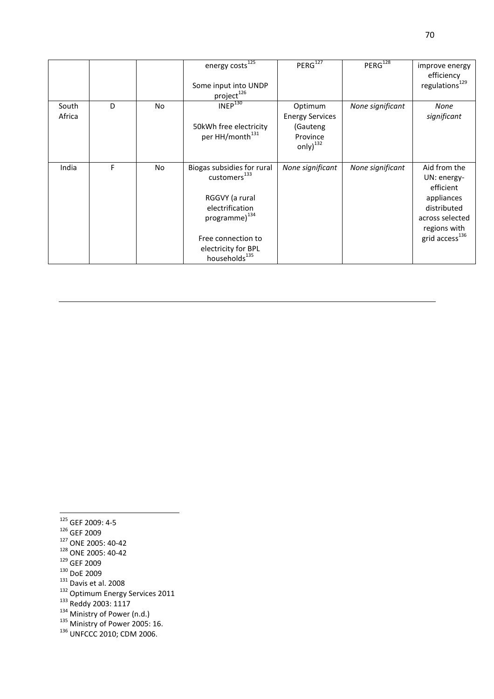|                 |   |           | energy costs <sup>125</sup><br>Some input into UNDP<br>project <sup>126</sup>                                                                                                                      | PERG <sup>127</sup>                                                         | $PERG^{128}$     | improve energy<br>efficiency<br>regulations <sup>129</sup>                                                                             |
|-----------------|---|-----------|----------------------------------------------------------------------------------------------------------------------------------------------------------------------------------------------------|-----------------------------------------------------------------------------|------------------|----------------------------------------------------------------------------------------------------------------------------------------|
| South<br>Africa | D | <b>No</b> | INEP <sup>130</sup><br>50kWh free electricity<br>per HH/month <sup>131</sup>                                                                                                                       | Optimum<br><b>Energy Services</b><br>(Gauteng<br>Province<br>only $)^{132}$ | None significant | None<br>significant                                                                                                                    |
| India           | F | No.       | Biogas subsidies for rural<br>customers <sup>133</sup><br>RGGVY (a rural<br>electrification<br>programme) <sup>134</sup><br>Free connection to<br>electricity for BPL<br>households <sup>135</sup> | None significant                                                            | None significant | Aid from the<br>UN: energy-<br>efficient<br>appliances<br>distributed<br>across selected<br>regions with<br>grid access <sup>136</sup> |

l <sup>125</sup> GEF 2009: 4-5

- <sup>126</sup> GEF 2009
- <sup>127</sup> ONE 2005: 40-42
- <sup>128</sup> ONE 2005: 40-42
- <sup>129</sup> GEF 2009
- <sup>130</sup> DoE 2009
- $131$  Davis et al. 2008
- <sup>132</sup> Optimum Energy Services 2011
- <sup>133</sup> Reddy 2003: 1117
- <sup>134</sup> Ministry of Power (n.d.)
- $135$  Ministry of Power 2005: 16.
- <sup>136</sup> UNFCCC 2010; CDM 2006.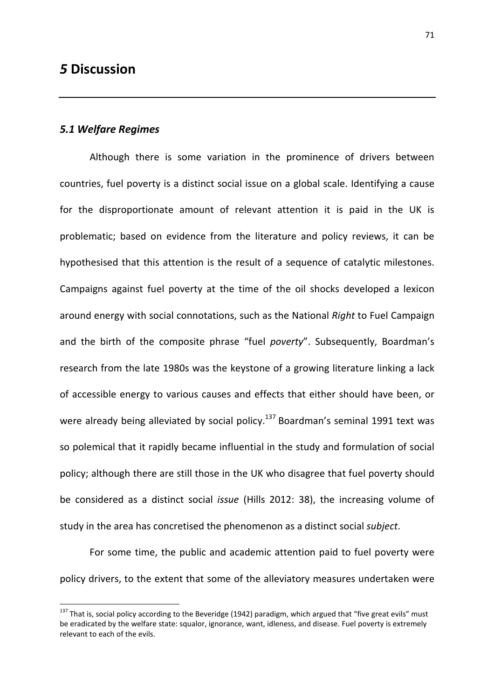# 5 Discussion

# 5.1 Welfare Regimes

 $\overline{a}$ 

Although there is some variation in the prominence of drivers between countries, fuel poverty is a distinct social issue on a global scale. Identifying a cause for the disproportionate amount of relevant attention it is paid in the UK is problematic; based on evidence from the literature and policy reviews, it can be hypothesised that this attention is the result of a sequence of catalytic milestones. Campaigns against fuel poverty at the time of the oil shocks developed a lexicon around energy with social connotations, such as the National Right to Fuel Campaign and the birth of the composite phrase "fuel poverty". Subsequently, Boardman's research from the late 1980s was the keystone of a growing literature linking a lack of accessible energy to various causes and effects that either should have been, or were already being alleviated by social policy.<sup>137</sup> Boardman's seminal 1991 text was so polemical that it rapidly became influential in the study and formulation of social policy; although there are still those in the UK who disagree that fuel poverty should be considered as a distinct social issue (Hills 2012: 38), the increasing volume of study in the area has concretised the phenomenon as a distinct social subject.

For some time, the public and academic attention paid to fuel poverty were policy drivers, to the extent that some of the alleviatory measures undertaken were

<sup>&</sup>lt;sup>137</sup> That is, social policy according to the Beveridge (1942) paradigm, which argued that "five great evils" must be eradicated by the welfare state: squalor, ignorance, want, idleness, and disease. Fuel poverty is extremely relevant to each of the evils.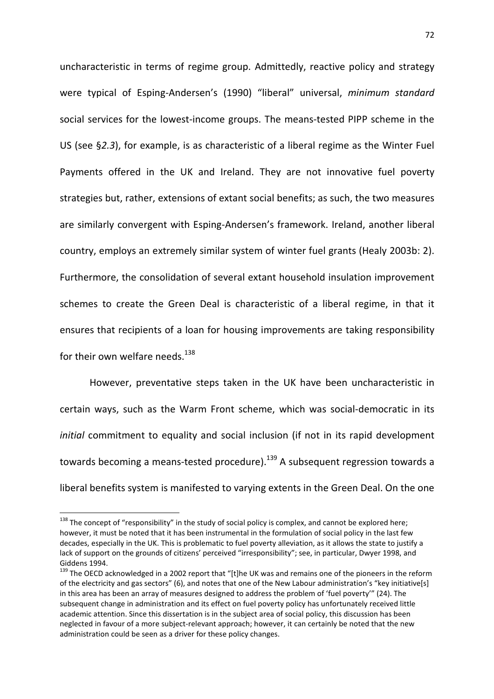uncharacteristic in terms of regime group. Admittedly, reactive policy and strategy were typical of Esping-Andersen's (1990) "liberal" universal, minimum standard social services for the lowest-income groups. The means-tested PIPP scheme in the US (see §2.3), for example, is as characteristic of a liberal regime as the Winter Fuel Payments offered in the UK and Ireland. They are not innovative fuel poverty strategies but, rather, extensions of extant social benefits; as such, the two measures are similarly convergent with Esping-Andersen's framework. Ireland, another liberal country, employs an extremely similar system of winter fuel grants (Healy 2003b: 2). Furthermore, the consolidation of several extant household insulation improvement schemes to create the Green Deal is characteristic of a liberal regime, in that it ensures that recipients of a loan for housing improvements are taking responsibility for their own welfare needs.<sup>138</sup>

However, preventative steps taken in the UK have been uncharacteristic in certain ways, such as the Warm Front scheme, which was social-democratic in its initial commitment to equality and social inclusion (if not in its rapid development towards becoming a means-tested procedure).<sup>139</sup> A subsequent regression towards a liberal benefits system is manifested to varying extents in the Green Deal. On the one

l

 $138$  The concept of "responsibility" in the study of social policy is complex, and cannot be explored here; however, it must be noted that it has been instrumental in the formulation of social policy in the last few decades, especially in the UK. This is problematic to fuel poverty alleviation, as it allows the state to justify a lack of support on the grounds of citizens' perceived "irresponsibility"; see, in particular, Dwyer 1998, and Giddens 1994.

<sup>&</sup>lt;sup>139</sup> The OECD acknowledged in a 2002 report that "[t]he UK was and remains one of the pioneers in the reform of the electricity and gas sectors" (6), and notes that one of the New Labour administration's "key initiative[s] in this area has been an array of measures designed to address the problem of 'fuel poverty'" (24). The subsequent change in administration and its effect on fuel poverty policy has unfortunately received little academic attention. Since this dissertation is in the subject area of social policy, this discussion has been neglected in favour of a more subject-relevant approach; however, it can certainly be noted that the new administration could be seen as a driver for these policy changes.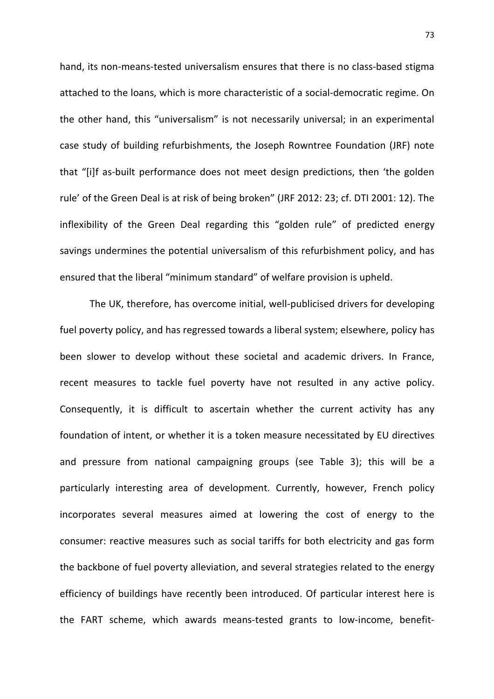hand, its non-means-tested universalism ensures that there is no class-based stigma attached to the loans, which is more characteristic of a social-democratic regime. On the other hand, this "universalism" is not necessarily universal; in an experimental case study of building refurbishments, the Joseph Rowntree Foundation (JRF) note that "[i]f as-built performance does not meet design predictions, then 'the golden rule' of the Green Deal is at risk of being broken" (JRF 2012: 23; cf. DTI 2001: 12). The inflexibility of the Green Deal regarding this "golden rule" of predicted energy savings undermines the potential universalism of this refurbishment policy, and has ensured that the liberal "minimum standard" of welfare provision is upheld.

 The UK, therefore, has overcome initial, well-publicised drivers for developing fuel poverty policy, and has regressed towards a liberal system; elsewhere, policy has been slower to develop without these societal and academic drivers. In France, recent measures to tackle fuel poverty have not resulted in any active policy. Consequently, it is difficult to ascertain whether the current activity has any foundation of intent, or whether it is a token measure necessitated by EU directives and pressure from national campaigning groups (see Table 3); this will be a particularly interesting area of development. Currently, however, French policy incorporates several measures aimed at lowering the cost of energy to the consumer: reactive measures such as social tariffs for both electricity and gas form the backbone of fuel poverty alleviation, and several strategies related to the energy efficiency of buildings have recently been introduced. Of particular interest here is the FART scheme, which awards means-tested grants to low-income, benefit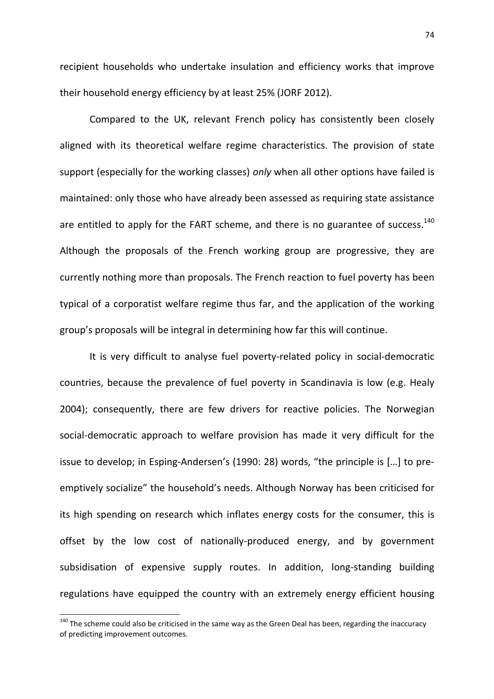recipient households who undertake insulation and efficiency works that improve their household energy efficiency by at least 25% (JORF 2012).

Compared to the UK, relevant French policy has consistently been closely aligned with its theoretical welfare regime characteristics. The provision of state support (especially for the working classes) only when all other options have failed is maintained: only those who have already been assessed as requiring state assistance are entitled to apply for the FART scheme, and there is no guarantee of success.<sup>140</sup> Although the proposals of the French working group are progressive, they are currently nothing more than proposals. The French reaction to fuel poverty has been typical of a corporatist welfare regime thus far, and the application of the working group's proposals will be integral in determining how far this will continue.

It is very difficult to analyse fuel poverty-related policy in social-democratic countries, because the prevalence of fuel poverty in Scandinavia is low (e.g. Healy 2004); consequently, there are few drivers for reactive policies. The Norwegian social-democratic approach to welfare provision has made it very difficult for the issue to develop; in Esping-Andersen's (1990: 28) words, "the principle is […] to preemptively socialize" the household's needs. Although Norway has been criticised for its high spending on research which inflates energy costs for the consumer, this is offset by the low cost of nationally-produced energy, and by government subsidisation of expensive supply routes. In addition, long-standing building regulations have equipped the country with an extremely energy efficient housing

 $\overline{\phantom{0}}$ 

<sup>&</sup>lt;sup>140</sup> The scheme could also be criticised in the same way as the Green Deal has been, regarding the inaccuracy of predicting improvement outcomes.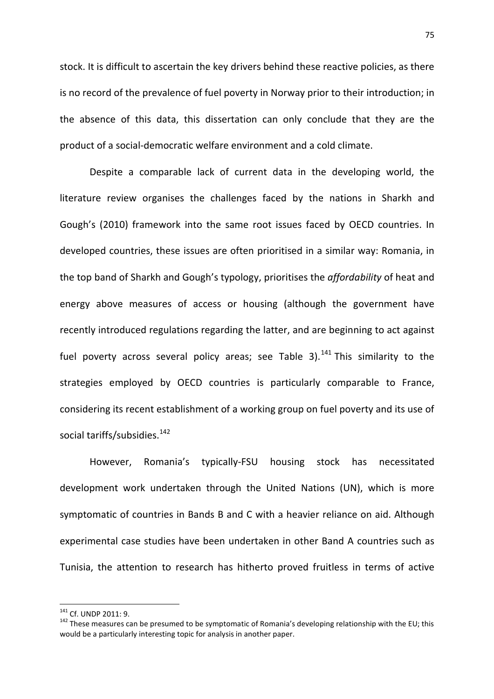stock. It is difficult to ascertain the key drivers behind these reactive policies, as there is no record of the prevalence of fuel poverty in Norway prior to their introduction; in the absence of this data, this dissertation can only conclude that they are the product of a social-democratic welfare environment and a cold climate.

Despite a comparable lack of current data in the developing world, the literature review organises the challenges faced by the nations in Sharkh and Gough's (2010) framework into the same root issues faced by OECD countries. In developed countries, these issues are often prioritised in a similar way: Romania, in the top band of Sharkh and Gough's typology, prioritises the affordability of heat and energy above measures of access or housing (although the government have recently introduced regulations regarding the latter, and are beginning to act against fuel poverty across several policy areas; see Table 3).<sup>141</sup> This similarity to the strategies employed by OECD countries is particularly comparable to France, considering its recent establishment of a working group on fuel poverty and its use of social tariffs/subsidies.<sup>142</sup>

However, Romania's typically-FSU housing stock has necessitated development work undertaken through the United Nations (UN), which is more symptomatic of countries in Bands B and C with a heavier reliance on aid. Although experimental case studies have been undertaken in other Band A countries such as Tunisia, the attention to research has hitherto proved fruitless in terms of active

 $\overline{a}$ 

<sup>141</sup> Cf. UNDP 2011: 9.

<sup>&</sup>lt;sup>142</sup> These measures can be presumed to be symptomatic of Romania's developing relationship with the EU; this would be a particularly interesting topic for analysis in another paper.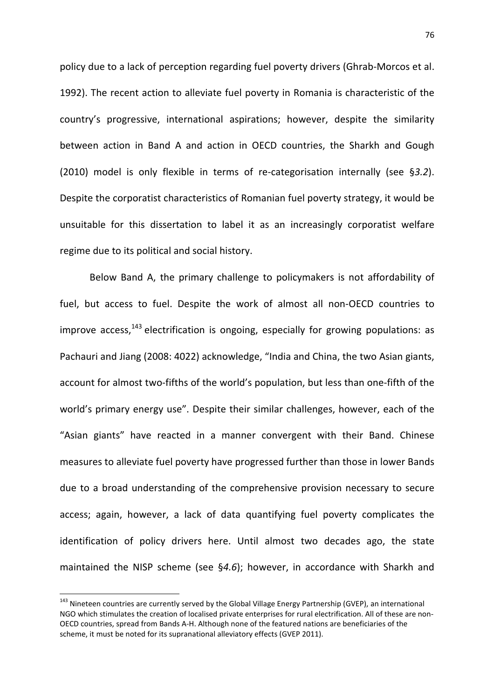policy due to a lack of perception regarding fuel poverty drivers (Ghrab-Morcos et al. 1992). The recent action to alleviate fuel poverty in Romania is characteristic of the country's progressive, international aspirations; however, despite the similarity between action in Band A and action in OECD countries, the Sharkh and Gough (2010) model is only flexible in terms of re-categorisation internally (see §3.2). Despite the corporatist characteristics of Romanian fuel poverty strategy, it would be unsuitable for this dissertation to label it as an increasingly corporatist welfare regime due to its political and social history.

Below Band A, the primary challenge to policymakers is not affordability of fuel, but access to fuel. Despite the work of almost all non-OECD countries to improve access, $143$  electrification is ongoing, especially for growing populations: as Pachauri and Jiang (2008: 4022) acknowledge, "India and China, the two Asian giants, account for almost two-fifths of the world's population, but less than one-fifth of the world's primary energy use". Despite their similar challenges, however, each of the "Asian giants" have reacted in a manner convergent with their Band. Chinese measures to alleviate fuel poverty have progressed further than those in lower Bands due to a broad understanding of the comprehensive provision necessary to secure access; again, however, a lack of data quantifying fuel poverty complicates the identification of policy drivers here. Until almost two decades ago, the state maintained the NISP scheme (see §4.6); however, in accordance with Sharkh and

 $\overline{\phantom{0}}$ 

<sup>&</sup>lt;sup>143</sup> Nineteen countries are currently served by the Global Village Energy Partnership (GVEP), an international NGO which stimulates the creation of localised private enterprises for rural electrification. All of these are non-OECD countries, spread from Bands A-H. Although none of the featured nations are beneficiaries of the scheme, it must be noted for its supranational alleviatory effects (GVEP 2011).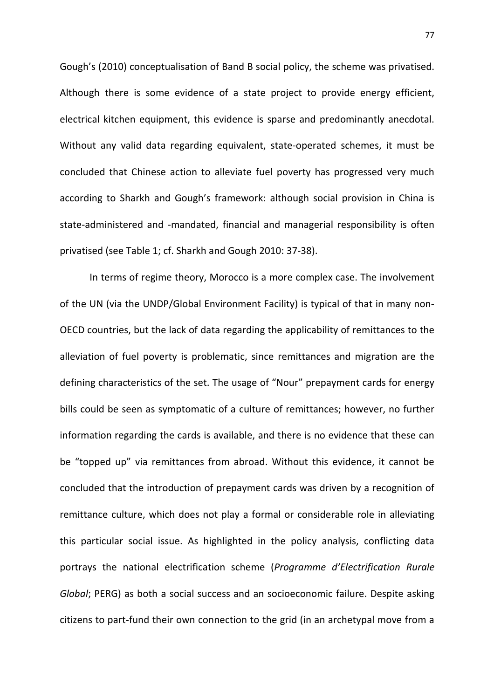Gough's (2010) conceptualisation of Band B social policy, the scheme was privatised. Although there is some evidence of a state project to provide energy efficient, electrical kitchen equipment, this evidence is sparse and predominantly anecdotal. Without any valid data regarding equivalent, state-operated schemes, it must be concluded that Chinese action to alleviate fuel poverty has progressed very much according to Sharkh and Gough's framework: although social provision in China is state-administered and -mandated, financial and managerial responsibility is often privatised (see Table 1; cf. Sharkh and Gough 2010: 37-38).

In terms of regime theory, Morocco is a more complex case. The involvement of the UN (via the UNDP/Global Environment Facility) is typical of that in many non-OECD countries, but the lack of data regarding the applicability of remittances to the alleviation of fuel poverty is problematic, since remittances and migration are the defining characteristics of the set. The usage of "Nour" prepayment cards for energy bills could be seen as symptomatic of a culture of remittances; however, no further information regarding the cards is available, and there is no evidence that these can be "topped up" via remittances from abroad. Without this evidence, it cannot be concluded that the introduction of prepayment cards was driven by a recognition of remittance culture, which does not play a formal or considerable role in alleviating this particular social issue. As highlighted in the policy analysis, conflicting data portrays the national electrification scheme (Programme d'Electrification Rurale Global; PERG) as both a social success and an socioeconomic failure. Despite asking citizens to part-fund their own connection to the grid (in an archetypal move from a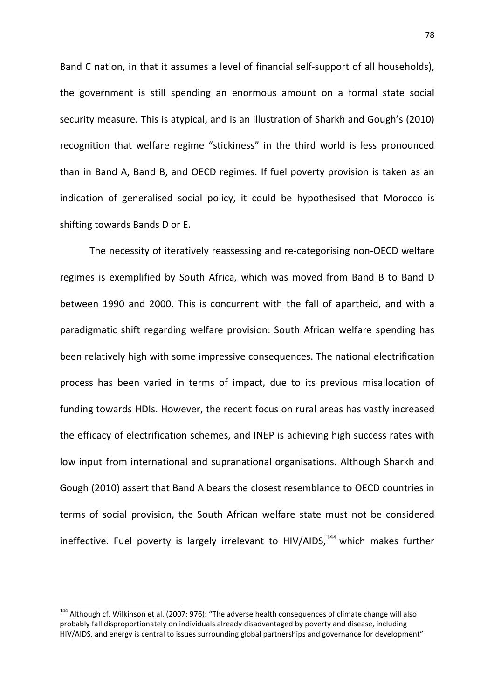Band C nation, in that it assumes a level of financial self-support of all households), the government is still spending an enormous amount on a formal state social security measure. This is atypical, and is an illustration of Sharkh and Gough's (2010) recognition that welfare regime "stickiness" in the third world is less pronounced than in Band A, Band B, and OECD regimes. If fuel poverty provision is taken as an indication of generalised social policy, it could be hypothesised that Morocco is shifting towards Bands D or E.

The necessity of iteratively reassessing and re-categorising non-OECD welfare regimes is exemplified by South Africa, which was moved from Band B to Band D between 1990 and 2000. This is concurrent with the fall of apartheid, and with a paradigmatic shift regarding welfare provision: South African welfare spending has been relatively high with some impressive consequences. The national electrification process has been varied in terms of impact, due to its previous misallocation of funding towards HDIs. However, the recent focus on rural areas has vastly increased the efficacy of electrification schemes, and INEP is achieving high success rates with low input from international and supranational organisations. Although Sharkh and Gough (2010) assert that Band A bears the closest resemblance to OECD countries in terms of social provision, the South African welfare state must not be considered ineffective. Fuel poverty is largely irrelevant to HIV/AIDS.<sup>144</sup> which makes further

 $\overline{a}$ 

<sup>&</sup>lt;sup>144</sup> Although cf. Wilkinson et al. (2007: 976): "The adverse health consequences of climate change will also probably fall disproportionately on individuals already disadvantaged by poverty and disease, including HIV/AIDS, and energy is central to issues surrounding global partnerships and governance for development"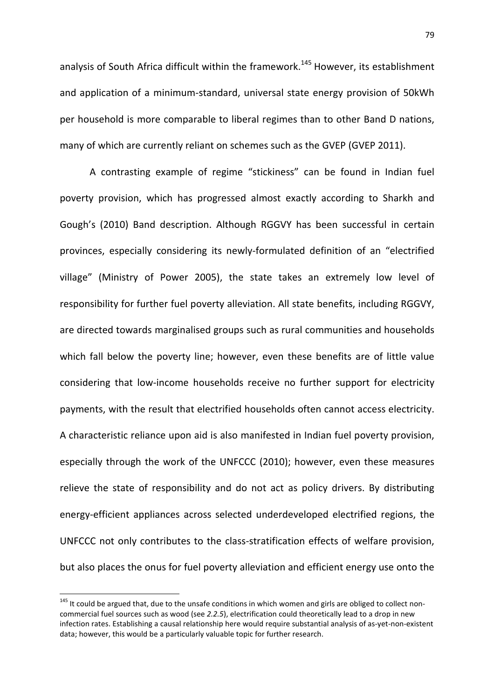analysis of South Africa difficult within the framework.<sup>145</sup> However, its establishment and application of a minimum-standard, universal state energy provision of 50kWh per household is more comparable to liberal regimes than to other Band D nations, many of which are currently reliant on schemes such as the GVEP (GVEP 2011).

A contrasting example of regime "stickiness" can be found in Indian fuel poverty provision, which has progressed almost exactly according to Sharkh and Gough's (2010) Band description. Although RGGVY has been successful in certain provinces, especially considering its newly-formulated definition of an "electrified village" (Ministry of Power 2005), the state takes an extremely low level of responsibility for further fuel poverty alleviation. All state benefits, including RGGVY, are directed towards marginalised groups such as rural communities and households which fall below the poverty line; however, even these benefits are of little value considering that low-income households receive no further support for electricity payments, with the result that electrified households often cannot access electricity. A characteristic reliance upon aid is also manifested in Indian fuel poverty provision, especially through the work of the UNFCCC (2010); however, even these measures relieve the state of responsibility and do not act as policy drivers. By distributing energy-efficient appliances across selected underdeveloped electrified regions, the UNFCCC not only contributes to the class-stratification effects of welfare provision, but also places the onus for fuel poverty alleviation and efficient energy use onto the

 $\overline{\phantom{0}}$ 

<sup>&</sup>lt;sup>145</sup> It could be argued that, due to the unsafe conditions in which women and girls are obliged to collect noncommercial fuel sources such as wood (see 2.2.5), electrification could theoretically lead to a drop in new infection rates. Establishing a causal relationship here would require substantial analysis of as-yet-non-existent data; however, this would be a particularly valuable topic for further research.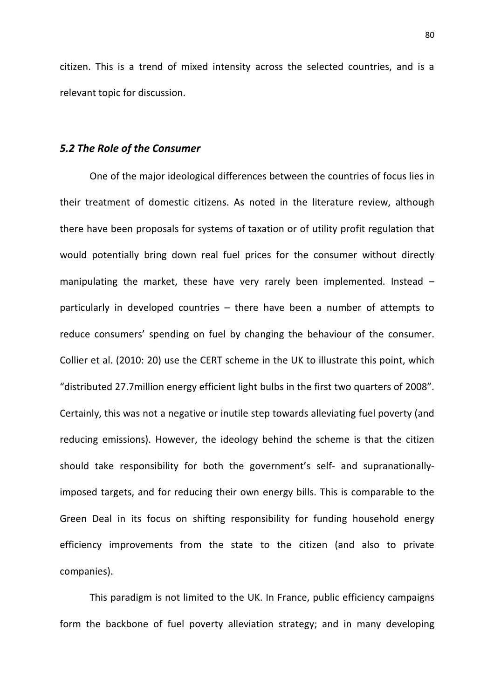citizen. This is a trend of mixed intensity across the selected countries, and is a relevant topic for discussion.

## 5.2 The Role of the Consumer

One of the major ideological differences between the countries of focus lies in their treatment of domestic citizens. As noted in the literature review, although there have been proposals for systems of taxation or of utility profit regulation that would potentially bring down real fuel prices for the consumer without directly manipulating the market, these have very rarely been implemented. Instead – particularly in developed countries – there have been a number of attempts to reduce consumers' spending on fuel by changing the behaviour of the consumer. Collier et al. (2010: 20) use the CERT scheme in the UK to illustrate this point, which "distributed 27.7million energy efficient light bulbs in the first two quarters of 2008". Certainly, this was not a negative or inutile step towards alleviating fuel poverty (and reducing emissions). However, the ideology behind the scheme is that the citizen should take responsibility for both the government's self- and supranationallyimposed targets, and for reducing their own energy bills. This is comparable to the Green Deal in its focus on shifting responsibility for funding household energy efficiency improvements from the state to the citizen (and also to private companies).

 This paradigm is not limited to the UK. In France, public efficiency campaigns form the backbone of fuel poverty alleviation strategy; and in many developing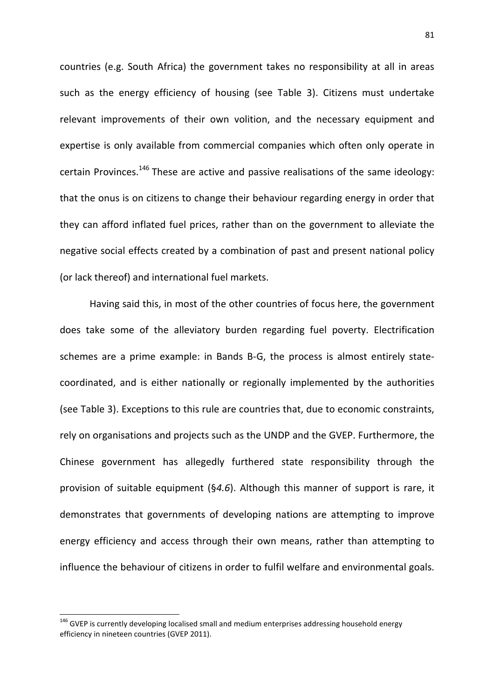countries (e.g. South Africa) the government takes no responsibility at all in areas such as the energy efficiency of housing (see Table 3). Citizens must undertake relevant improvements of their own volition, and the necessary equipment and expertise is only available from commercial companies which often only operate in certain Provinces.<sup>146</sup> These are active and passive realisations of the same ideology: that the onus is on citizens to change their behaviour regarding energy in order that they can afford inflated fuel prices, rather than on the government to alleviate the negative social effects created by a combination of past and present national policy (or lack thereof) and international fuel markets.

 Having said this, in most of the other countries of focus here, the government does take some of the alleviatory burden regarding fuel poverty. Electrification schemes are a prime example: in Bands B-G, the process is almost entirely statecoordinated, and is either nationally or regionally implemented by the authorities (see Table 3). Exceptions to this rule are countries that, due to economic constraints, rely on organisations and projects such as the UNDP and the GVEP. Furthermore, the Chinese government has allegedly furthered state responsibility through the provision of suitable equipment (§4.6). Although this manner of support is rare, it demonstrates that governments of developing nations are attempting to improve energy efficiency and access through their own means, rather than attempting to influence the behaviour of citizens in order to fulfil welfare and environmental goals.

 $\overline{\phantom{0}}$ 

<sup>&</sup>lt;sup>146</sup> GVEP is currently developing localised small and medium enterprises addressing household energy efficiency in nineteen countries (GVEP 2011).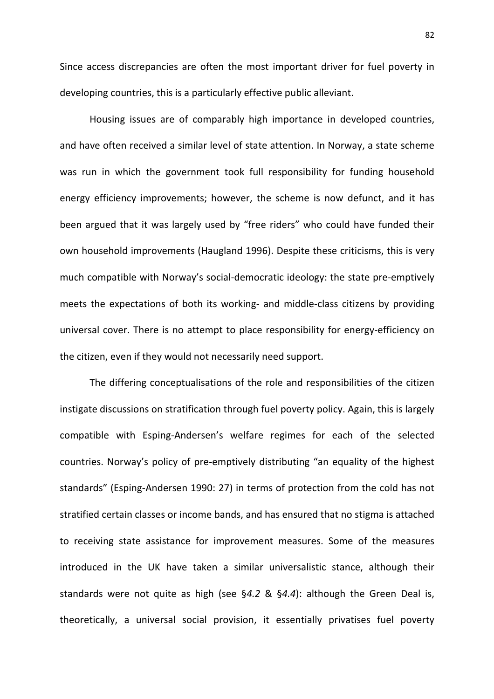Since access discrepancies are often the most important driver for fuel poverty in developing countries, this is a particularly effective public alleviant.

 Housing issues are of comparably high importance in developed countries, and have often received a similar level of state attention. In Norway, a state scheme was run in which the government took full responsibility for funding household energy efficiency improvements; however, the scheme is now defunct, and it has been argued that it was largely used by "free riders" who could have funded their own household improvements (Haugland 1996). Despite these criticisms, this is very much compatible with Norway's social-democratic ideology: the state pre-emptively meets the expectations of both its working- and middle-class citizens by providing universal cover. There is no attempt to place responsibility for energy-efficiency on the citizen, even if they would not necessarily need support.

 The differing conceptualisations of the role and responsibilities of the citizen instigate discussions on stratification through fuel poverty policy. Again, this is largely compatible with Esping-Andersen's welfare regimes for each of the selected countries. Norway's policy of pre-emptively distributing "an equality of the highest standards" (Esping-Andersen 1990: 27) in terms of protection from the cold has not stratified certain classes or income bands, and has ensured that no stigma is attached to receiving state assistance for improvement measures. Some of the measures introduced in the UK have taken a similar universalistic stance, although their standards were not quite as high (see §4.2 & §4.4): although the Green Deal is, theoretically, a universal social provision, it essentially privatises fuel poverty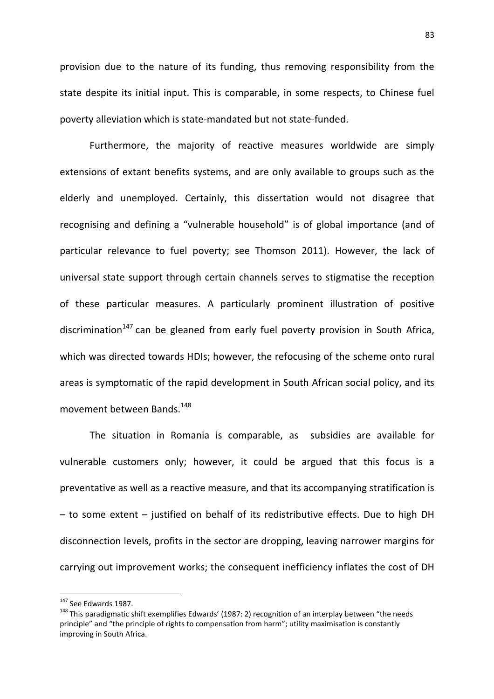provision due to the nature of its funding, thus removing responsibility from the state despite its initial input. This is comparable, in some respects, to Chinese fuel poverty alleviation which is state-mandated but not state-funded.

 Furthermore, the majority of reactive measures worldwide are simply extensions of extant benefits systems, and are only available to groups such as the elderly and unemployed. Certainly, this dissertation would not disagree that recognising and defining a "vulnerable household" is of global importance (and of particular relevance to fuel poverty; see Thomson 2011). However, the lack of universal state support through certain channels serves to stigmatise the reception of these particular measures. A particularly prominent illustration of positive discrimination<sup>147</sup> can be gleaned from early fuel poverty provision in South Africa, which was directed towards HDIs; however, the refocusing of the scheme onto rural areas is symptomatic of the rapid development in South African social policy, and its movement between Bands.<sup>148</sup>

 The situation in Romania is comparable, as subsidies are available for vulnerable customers only; however, it could be argued that this focus is a preventative as well as a reactive measure, and that its accompanying stratification is – to some extent – justified on behalf of its redistributive effects. Due to high DH disconnection levels, profits in the sector are dropping, leaving narrower margins for carrying out improvement works; the consequent inefficiency inflates the cost of DH

 $\overline{\phantom{0}}$ 

<sup>&</sup>lt;sup>147</sup> See Edwards 1987.

<sup>&</sup>lt;sup>148</sup> This paradigmatic shift exemplifies Edwards' (1987: 2) recognition of an interplay between "the needs principle" and "the principle of rights to compensation from harm"; utility maximisation is constantly improving in South Africa.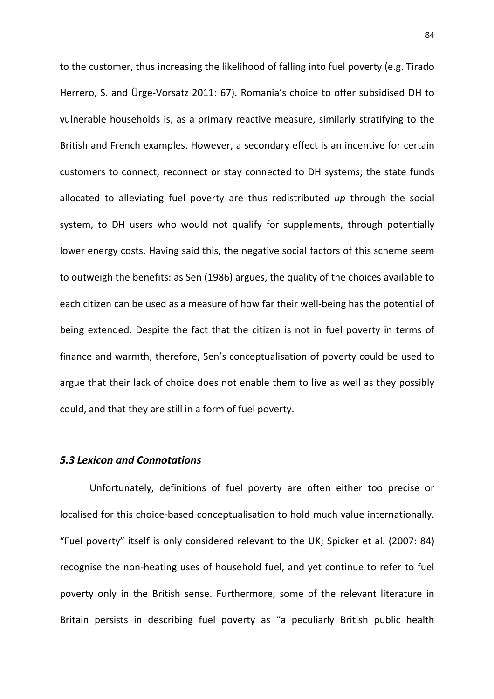to the customer, thus increasing the likelihood of falling into fuel poverty (e.g. Tirado Herrero, S. and Ürge-Vorsatz 2011: 67). Romania's choice to offer subsidised DH to vulnerable households is, as a primary reactive measure, similarly stratifying to the British and French examples. However, a secondary effect is an incentive for certain customers to connect, reconnect or stay connected to DH systems; the state funds allocated to alleviating fuel poverty are thus redistributed up through the social system, to DH users who would not qualify for supplements, through potentially lower energy costs. Having said this, the negative social factors of this scheme seem to outweigh the benefits: as Sen (1986) argues, the quality of the choices available to each citizen can be used as a measure of how far their well-being has the potential of being extended. Despite the fact that the citizen is not in fuel poverty in terms of finance and warmth, therefore, Sen's conceptualisation of poverty could be used to argue that their lack of choice does not enable them to live as well as they possibly could, and that they are still in a form of fuel poverty.

## 5.3 Lexicon and Connotations

Unfortunately, definitions of fuel poverty are often either too precise or localised for this choice-based conceptualisation to hold much value internationally. "Fuel poverty" itself is only considered relevant to the UK; Spicker et al. (2007: 84) recognise the non-heating uses of household fuel, and yet continue to refer to fuel poverty only in the British sense. Furthermore, some of the relevant literature in Britain persists in describing fuel poverty as "a peculiarly British public health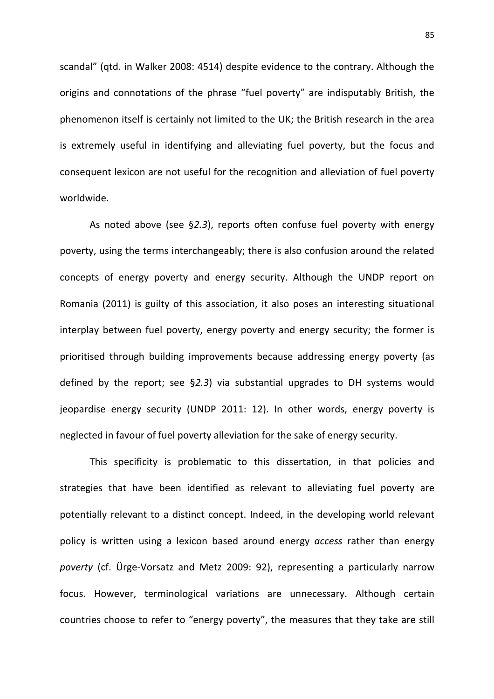scandal" (qtd. in Walker 2008: 4514) despite evidence to the contrary. Although the origins and connotations of the phrase "fuel poverty" are indisputably British, the phenomenon itself is certainly not limited to the UK; the British research in the area is extremely useful in identifying and alleviating fuel poverty, but the focus and consequent lexicon are not useful for the recognition and alleviation of fuel poverty worldwide.

 As noted above (see §2.3), reports often confuse fuel poverty with energy poverty, using the terms interchangeably; there is also confusion around the related concepts of energy poverty and energy security. Although the UNDP report on Romania (2011) is guilty of this association, it also poses an interesting situational interplay between fuel poverty, energy poverty and energy security; the former is prioritised through building improvements because addressing energy poverty (as defined by the report; see §2.3) via substantial upgrades to DH systems would jeopardise energy security (UNDP 2011: 12). In other words, energy poverty is neglected in favour of fuel poverty alleviation for the sake of energy security.

 This specificity is problematic to this dissertation, in that policies and strategies that have been identified as relevant to alleviating fuel poverty are potentially relevant to a distinct concept. Indeed, in the developing world relevant policy is written using a lexicon based around energy access rather than energy poverty (cf. Ürge-Vorsatz and Metz 2009: 92), representing a particularly narrow focus. However, terminological variations are unnecessary. Although certain countries choose to refer to "energy poverty", the measures that they take are still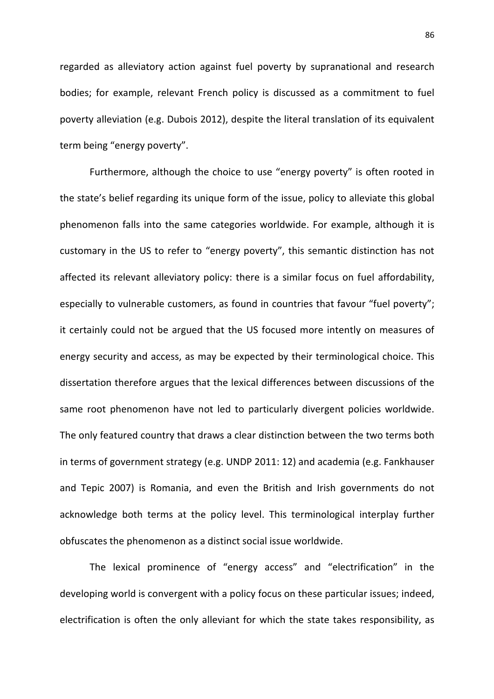regarded as alleviatory action against fuel poverty by supranational and research bodies; for example, relevant French policy is discussed as a commitment to fuel poverty alleviation (e.g. Dubois 2012), despite the literal translation of its equivalent term being "energy poverty".

 Furthermore, although the choice to use "energy poverty" is often rooted in the state's belief regarding its unique form of the issue, policy to alleviate this global phenomenon falls into the same categories worldwide. For example, although it is customary in the US to refer to "energy poverty", this semantic distinction has not affected its relevant alleviatory policy: there is a similar focus on fuel affordability, especially to vulnerable customers, as found in countries that favour "fuel poverty"; it certainly could not be argued that the US focused more intently on measures of energy security and access, as may be expected by their terminological choice. This dissertation therefore argues that the lexical differences between discussions of the same root phenomenon have not led to particularly divergent policies worldwide. The only featured country that draws a clear distinction between the two terms both in terms of government strategy (e.g. UNDP 2011: 12) and academia (e.g. Fankhauser and Tepic 2007) is Romania, and even the British and Irish governments do not acknowledge both terms at the policy level. This terminological interplay further obfuscates the phenomenon as a distinct social issue worldwide.

 The lexical prominence of "energy access" and "electrification" in the developing world is convergent with a policy focus on these particular issues; indeed, electrification is often the only alleviant for which the state takes responsibility, as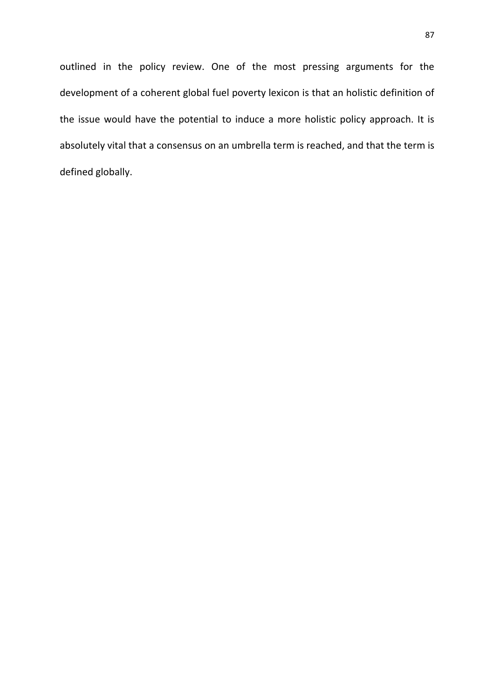outlined in the policy review. One of the most pressing arguments for the development of a coherent global fuel poverty lexicon is that an holistic definition of the issue would have the potential to induce a more holistic policy approach. It is absolutely vital that a consensus on an umbrella term is reached, and that the term is defined globally.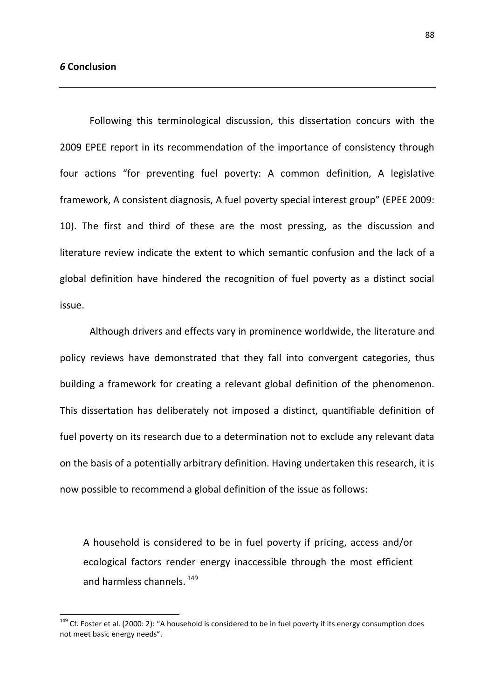$\overline{\phantom{0}}$ 

Following this terminological discussion, this dissertation concurs with the 2009 EPEE report in its recommendation of the importance of consistency through four actions "for preventing fuel poverty: A common definition, A legislative framework, A consistent diagnosis, A fuel poverty special interest group" (EPEE 2009: 10). The first and third of these are the most pressing, as the discussion and literature review indicate the extent to which semantic confusion and the lack of a global definition have hindered the recognition of fuel poverty as a distinct social issue.

Although drivers and effects vary in prominence worldwide, the literature and policy reviews have demonstrated that they fall into convergent categories, thus building a framework for creating a relevant global definition of the phenomenon. This dissertation has deliberately not imposed a distinct, quantifiable definition of fuel poverty on its research due to a determination not to exclude any relevant data on the basis of a potentially arbitrary definition. Having undertaken this research, it is now possible to recommend a global definition of the issue as follows:

A household is considered to be in fuel poverty if pricing, access and/or ecological factors render energy inaccessible through the most efficient and harmless channels.<sup>149</sup>

<sup>&</sup>lt;sup>149</sup> Cf. Foster et al. (2000: 2): "A household is considered to be in fuel poverty if its energy consumption does not meet basic energy needs".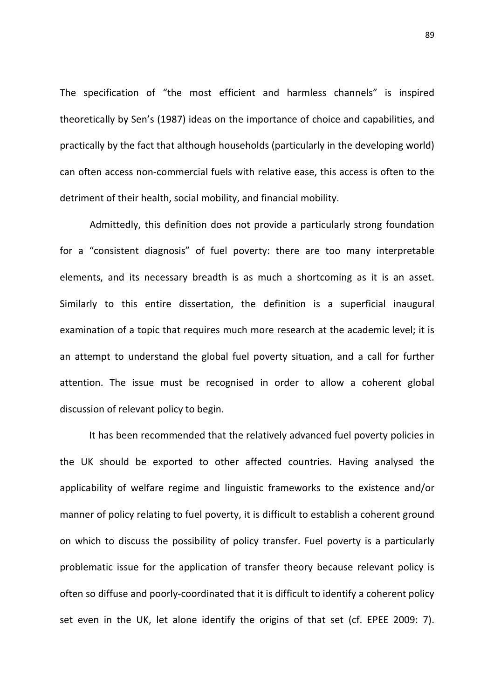The specification of "the most efficient and harmless channels" is inspired theoretically by Sen's (1987) ideas on the importance of choice and capabilities, and practically by the fact that although households (particularly in the developing world) can often access non-commercial fuels with relative ease, this access is often to the detriment of their health, social mobility, and financial mobility.

 Admittedly, this definition does not provide a particularly strong foundation for a "consistent diagnosis" of fuel poverty: there are too many interpretable elements, and its necessary breadth is as much a shortcoming as it is an asset. Similarly to this entire dissertation, the definition is a superficial inaugural examination of a topic that requires much more research at the academic level; it is an attempt to understand the global fuel poverty situation, and a call for further attention. The issue must be recognised in order to allow a coherent global discussion of relevant policy to begin.

It has been recommended that the relatively advanced fuel poverty policies in the UK should be exported to other affected countries. Having analysed the applicability of welfare regime and linguistic frameworks to the existence and/or manner of policy relating to fuel poverty, it is difficult to establish a coherent ground on which to discuss the possibility of policy transfer. Fuel poverty is a particularly problematic issue for the application of transfer theory because relevant policy is often so diffuse and poorly-coordinated that it is difficult to identify a coherent policy set even in the UK, let alone identify the origins of that set (cf. EPEE 2009: 7).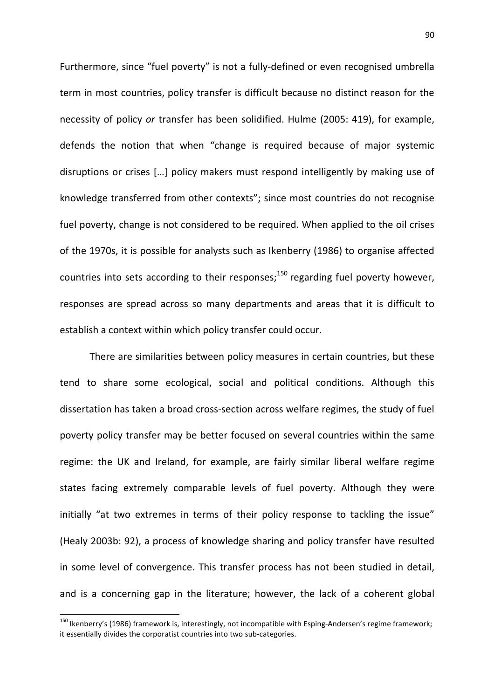Furthermore, since "fuel poverty" is not a fully-defined or even recognised umbrella term in most countries, policy transfer is difficult because no distinct reason for the necessity of policy or transfer has been solidified. Hulme (2005: 419), for example, defends the notion that when "change is required because of major systemic disruptions or crises […] policy makers must respond intelligently by making use of knowledge transferred from other contexts"; since most countries do not recognise fuel poverty, change is not considered to be required. When applied to the oil crises of the 1970s, it is possible for analysts such as Ikenberry (1986) to organise affected countries into sets according to their responses; $150$  regarding fuel poverty however, responses are spread across so many departments and areas that it is difficult to establish a context within which policy transfer could occur.

 There are similarities between policy measures in certain countries, but these tend to share some ecological, social and political conditions. Although this dissertation has taken a broad cross-section across welfare regimes, the study of fuel poverty policy transfer may be better focused on several countries within the same regime: the UK and Ireland, for example, are fairly similar liberal welfare regime states facing extremely comparable levels of fuel poverty. Although they were initially "at two extremes in terms of their policy response to tackling the issue" (Healy 2003b: 92), a process of knowledge sharing and policy transfer have resulted in some level of convergence. This transfer process has not been studied in detail, and is a concerning gap in the literature; however, the lack of a coherent global

 $\overline{\phantom{0}}$ 

<sup>&</sup>lt;sup>150</sup> Ikenberry's (1986) framework is, interestingly, not incompatible with Esping-Andersen's regime framework; it essentially divides the corporatist countries into two sub-categories.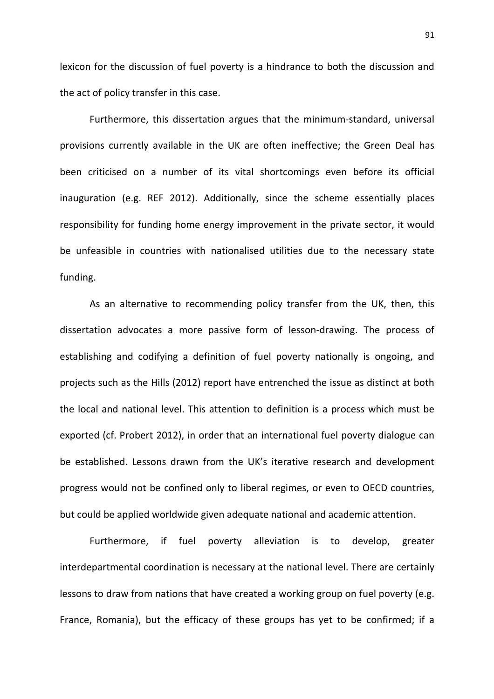lexicon for the discussion of fuel poverty is a hindrance to both the discussion and the act of policy transfer in this case.

 Furthermore, this dissertation argues that the minimum-standard, universal provisions currently available in the UK are often ineffective; the Green Deal has been criticised on a number of its vital shortcomings even before its official inauguration (e.g. REF 2012). Additionally, since the scheme essentially places responsibility for funding home energy improvement in the private sector, it would be unfeasible in countries with nationalised utilities due to the necessary state funding.

 As an alternative to recommending policy transfer from the UK, then, this dissertation advocates a more passive form of lesson-drawing. The process of establishing and codifying a definition of fuel poverty nationally is ongoing, and projects such as the Hills (2012) report have entrenched the issue as distinct at both the local and national level. This attention to definition is a process which must be exported (cf. Probert 2012), in order that an international fuel poverty dialogue can be established. Lessons drawn from the UK's iterative research and development progress would not be confined only to liberal regimes, or even to OECD countries, but could be applied worldwide given adequate national and academic attention.

 Furthermore, if fuel poverty alleviation is to develop, greater interdepartmental coordination is necessary at the national level. There are certainly lessons to draw from nations that have created a working group on fuel poverty (e.g. France, Romania), but the efficacy of these groups has yet to be confirmed; if a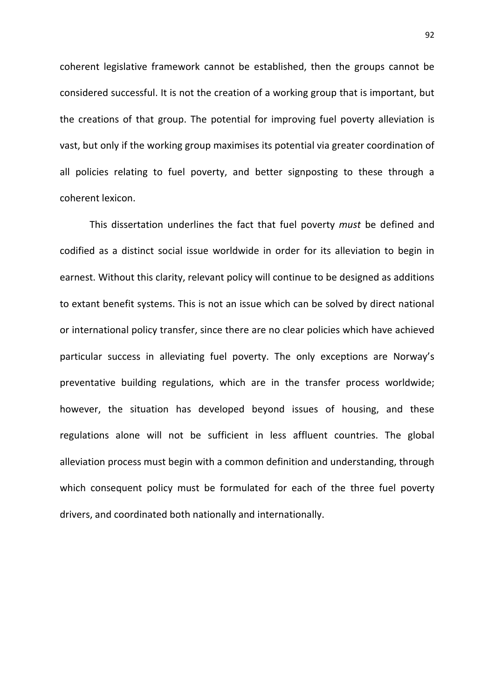coherent legislative framework cannot be established, then the groups cannot be considered successful. It is not the creation of a working group that is important, but the creations of that group. The potential for improving fuel poverty alleviation is vast, but only if the working group maximises its potential via greater coordination of all policies relating to fuel poverty, and better signposting to these through a coherent lexicon.

This dissertation underlines the fact that fuel poverty must be defined and codified as a distinct social issue worldwide in order for its alleviation to begin in earnest. Without this clarity, relevant policy will continue to be designed as additions to extant benefit systems. This is not an issue which can be solved by direct national or international policy transfer, since there are no clear policies which have achieved particular success in alleviating fuel poverty. The only exceptions are Norway's preventative building regulations, which are in the transfer process worldwide; however, the situation has developed beyond issues of housing, and these regulations alone will not be sufficient in less affluent countries. The global alleviation process must begin with a common definition and understanding, through which consequent policy must be formulated for each of the three fuel poverty drivers, and coordinated both nationally and internationally.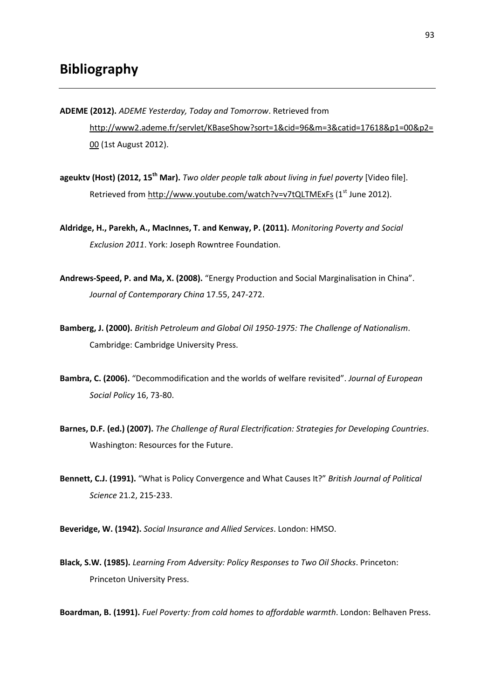- ADEME (2012). ADEME Yesterday, Today and Tomorrow. Retrieved from http://www2.ademe.fr/servlet/KBaseShow?sort=1&cid=96&m=3&catid=17618&p1=00&p2= 00 (1st August 2012).
- ageukty (Host) (2012, 15<sup>th</sup> Mar). Two older people talk about living in fuel poverty [Video file]. Retrieved from http://www.youtube.com/watch?v=v7tQLTMExFs (1<sup>st</sup> June 2012).
- Aldridge, H., Parekh, A., MacInnes, T. and Kenway, P. (2011). Monitoring Poverty and Social Exclusion 2011. York: Joseph Rowntree Foundation.
- Andrews-Speed, P. and Ma, X. (2008). "Energy Production and Social Marginalisation in China". Journal of Contemporary China 17.55, 247-272.
- Bamberg, J. (2000). British Petroleum and Global Oil 1950-1975: The Challenge of Nationalism. Cambridge: Cambridge University Press.
- Bambra, C. (2006). "Decommodification and the worlds of welfare revisited". Journal of European Social Policy 16, 73-80.
- Barnes, D.F. (ed.) (2007). The Challenge of Rural Electrification: Strategies for Developing Countries. Washington: Resources for the Future.
- Bennett, C.J. (1991). "What is Policy Convergence and What Causes It?" British Journal of Political Science 21.2, 215-233.
- Beveridge, W. (1942). Social Insurance and Allied Services. London: HMSO.
- Black, S.W. (1985). Learning From Adversity: Policy Responses to Two Oil Shocks. Princeton: Princeton University Press.

Boardman, B. (1991). Fuel Poverty: from cold homes to affordable warmth. London: Belhaven Press.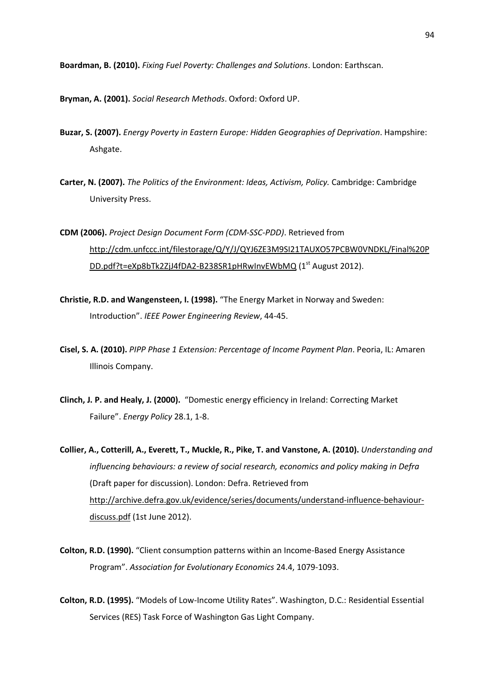Boardman, B. (2010). Fixing Fuel Poverty: Challenges and Solutions. London: Earthscan.

Bryman, A. (2001). Social Research Methods. Oxford: Oxford UP.

- Buzar, S. (2007). Energy Poverty in Eastern Europe: Hidden Geographies of Deprivation. Hampshire: Ashgate.
- Carter, N. (2007). The Politics of the Environment: Ideas, Activism, Policy. Cambridge: Cambridge University Press.
- CDM (2006). Project Design Document Form (CDM-SSC-PDD). Retrieved from http://cdm.unfccc.int/filestorage/Q/Y/J/QYJ6ZE3M9SI21TAUXO57PCBW0VNDKL/Final%20P DD.pdf?t=eXp8bTk2ZjJ4fDA2-B238SR1pHRwInvEWbMQ (1<sup>st</sup> August 2012).
- Christie, R.D. and Wangensteen, I. (1998). "The Energy Market in Norway and Sweden: Introduction". IEEE Power Engineering Review, 44-45.
- Cisel, S. A. (2010). PIPP Phase 1 Extension: Percentage of Income Payment Plan. Peoria, IL: Amaren Illinois Company.
- Clinch, J. P. and Healy, J. (2000). "Domestic energy efficiency in Ireland: Correcting Market Failure". Energy Policy 28.1, 1-8.
- Collier, A., Cotterill, A., Everett, T., Muckle, R., Pike, T. and Vanstone, A. (2010). Understanding and influencing behaviours: a review of social research, economics and policy making in Defra (Draft paper for discussion). London: Defra. Retrieved from http://archive.defra.gov.uk/evidence/series/documents/understand-influence-behaviourdiscuss.pdf (1st June 2012).
- Colton, R.D. (1990). "Client consumption patterns within an Income-Based Energy Assistance Program". Association for Evolutionary Economics 24.4, 1079-1093.
- Colton, R.D. (1995). "Models of Low-Income Utility Rates". Washington, D.C.: Residential Essential Services (RES) Task Force of Washington Gas Light Company.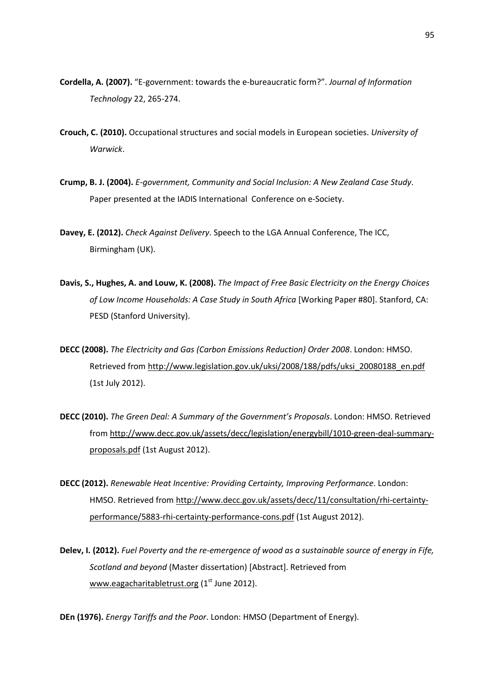- Cordella, A. (2007). "E-government: towards the e-bureaucratic form?". Journal of Information Technology 22, 265-274.
- Crouch, C. (2010). Occupational structures and social models in European societies. University of Warwick.
- Crump, B. J. (2004). E-government, Community and Social Inclusion: A New Zealand Case Study. Paper presented at the IADIS International Conference on e-Society.
- Davey, E. (2012). Check Against Delivery. Speech to the LGA Annual Conference. The ICC. Birmingham (UK).
- Davis, S., Hughes, A. and Louw, K. (2008). The Impact of Free Basic Electricity on the Energy Choices of Low Income Households: A Case Study in South Africa [Working Paper #80]. Stanford, CA: PESD (Stanford University).
- DECC (2008). The Electricity and Gas (Carbon Emissions Reduction) Order 2008. London: HMSO. Retrieved from http://www.legislation.gov.uk/uksi/2008/188/pdfs/uksi\_20080188\_en.pdf (1st July 2012).
- DECC (2010). The Green Deal: A Summary of the Government's Proposals. London: HMSO. Retrieved from http://www.decc.gov.uk/assets/decc/legislation/energybill/1010-green-deal-summaryproposals.pdf (1st August 2012).
- DECC (2012). Renewable Heat Incentive: Providing Certainty, Improving Performance. London: HMSO. Retrieved from http://www.decc.gov.uk/assets/decc/11/consultation/rhi-certaintyperformance/5883-rhi-certainty-performance-cons.pdf (1st August 2012).
- Delev, I. (2012). Fuel Poverty and the re-emergence of wood as a sustainable source of energy in Fife, Scotland and beyond (Master dissertation) [Abstract]. Retrieved from www.eagacharitabletrust.org (1<sup>st</sup> June 2012).

DEn (1976). Energy Tariffs and the Poor. London: HMSO (Department of Energy).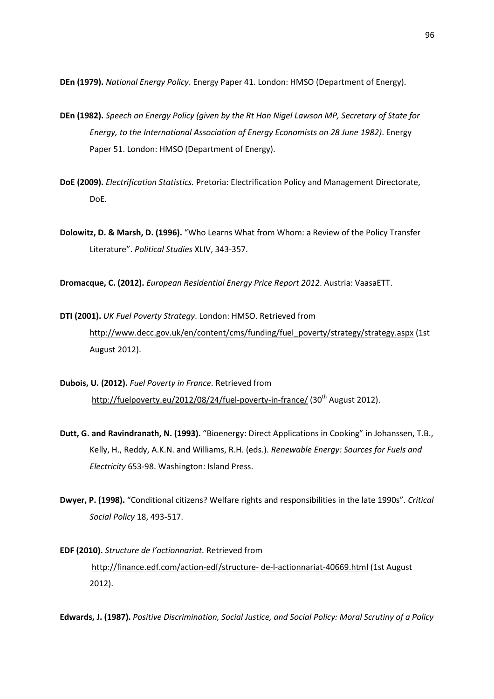DEn (1979). National Energy Policy. Energy Paper 41. London: HMSO (Department of Energy).

- DEn (1982). Speech on Energy Policy (given by the Rt Hon Nigel Lawson MP, Secretary of State for Energy, to the International Association of Energy Economists on 28 June 1982). Energy Paper 51. London: HMSO (Department of Energy).
- DoE (2009). Electrification Statistics. Pretoria: Electrification Policy and Management Directorate, DoE.
- Dolowitz, D. & Marsh, D. (1996). "Who Learns What from Whom: a Review of the Policy Transfer Literature". Political Studies XLIV, 343-357.

Dromacque, C. (2012). European Residential Energy Price Report 2012. Austria: VaasaETT.

- DTI (2001). UK Fuel Poverty Strategy. London: HMSO. Retrieved from http://www.decc.gov.uk/en/content/cms/funding/fuel\_poverty/strategy/strategy.aspx (1st August 2012).
- Dubois, U. (2012). Fuel Poverty in France. Retrieved from http://fuelpoverty.eu/2012/08/24/fuel-poverty-in-france/ (30<sup>th</sup> August 2012).
- Dutt, G. and Ravindranath, N. (1993). "Bioenergy: Direct Applications in Cooking" in Johanssen, T.B., Kelly, H., Reddy, A.K.N. and Williams, R.H. (eds.). Renewable Energy: Sources for Fuels and Electricity 653-98. Washington: Island Press.
- Dwyer, P. (1998). "Conditional citizens? Welfare rights and responsibilities in the late 1990s". Critical Social Policy 18, 493-517.
- EDF (2010). Structure de l'actionnariat. Retrieved from http://finance.edf.com/action-edf/structure- de-l-actionnariat-40669.html (1st August 2012).

Edwards, J. (1987). Positive Discrimination, Social Justice, and Social Policy: Moral Scrutiny of a Policy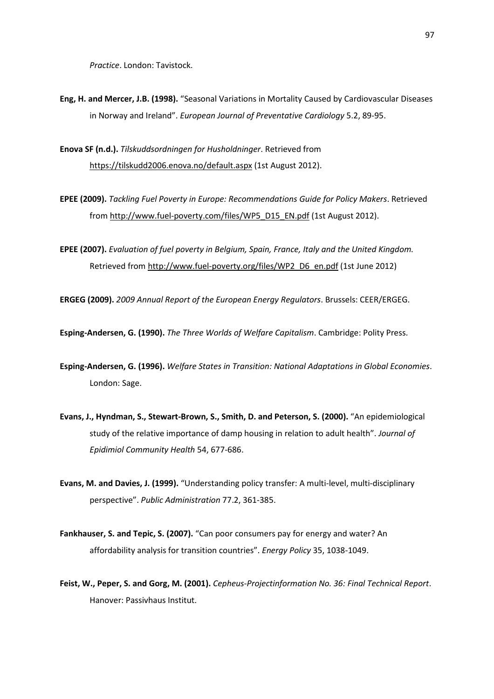Practice. London: Tavistock.

- Eng, H. and Mercer, J.B. (1998). "Seasonal Variations in Mortality Caused by Cardiovascular Diseases in Norway and Ireland". European Journal of Preventative Cardiology 5.2, 89-95.
- Enova SF (n.d.). Tilskuddsordningen for Husholdninger. Retrieved from https://tilskudd2006.enova.no/default.aspx (1st August 2012).
- EPEE (2009). Tackling Fuel Poverty in Europe: Recommendations Guide for Policy Makers. Retrieved from http://www.fuel-poverty.com/files/WP5\_D15\_EN.pdf (1st August 2012).
- EPEE (2007). Evaluation of fuel poverty in Belgium, Spain, France, Italy and the United Kingdom. Retrieved from http://www.fuel-poverty.org/files/WP2\_D6\_en.pdf (1st June 2012)

ERGEG (2009). 2009 Annual Report of the European Energy Regulators. Brussels: CEER/ERGEG.

Esping-Andersen, G. (1990). The Three Worlds of Welfare Capitalism. Cambridge: Polity Press.

- Esping-Andersen, G. (1996). Welfare States in Transition: National Adaptations in Global Economies. London: Sage.
- Evans, J., Hyndman, S., Stewart-Brown, S., Smith, D. and Peterson, S. (2000). "An epidemiological study of the relative importance of damp housing in relation to adult health". Journal of Epidimiol Community Health 54, 677-686.
- Evans, M. and Davies, J. (1999). "Understanding policy transfer: A multi-level, multi-disciplinary perspective". Public Administration 77.2, 361-385.
- Fankhauser, S. and Tepic, S. (2007). "Can poor consumers pay for energy and water? An affordability analysis for transition countries". Energy Policy 35, 1038-1049.
- Feist, W., Peper, S. and Gorg, M. (2001). Cepheus-Projectinformation No. 36: Final Technical Report. Hanover: Passivhaus Institut.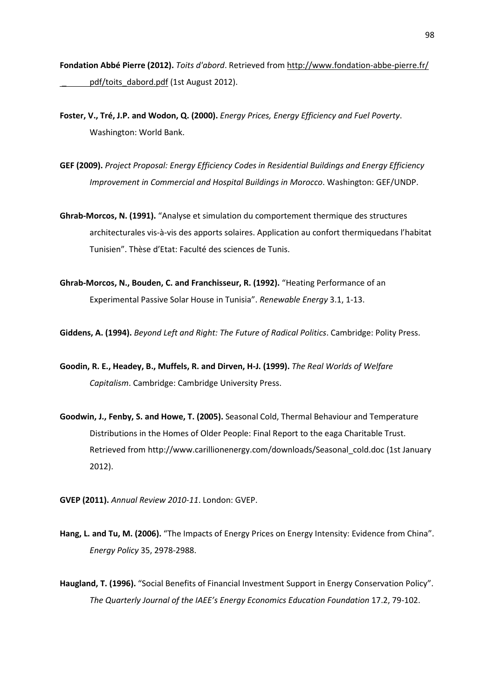Fondation Abbé Pierre (2012). Toits d'abord. Retrieved from http://www.fondation-abbe-pierre.fr/ pdf/toits\_dabord.pdf (1st August 2012).

- Foster, V., Tré, J.P. and Wodon, Q. (2000). Energy Prices, Energy Efficiency and Fuel Poverty. Washington: World Bank.
- GEF (2009). Project Proposal: Energy Efficiency Codes in Residential Buildings and Energy Efficiency Improvement in Commercial and Hospital Buildings in Morocco. Washington: GEF/UNDP.
- Ghrab-Morcos, N. (1991). "Analyse et simulation du comportement thermique des structures architecturales vis-à-vis des apports solaires. Application au confort thermiquedans l'habitat Tunisien". Thèse d'Etat: Faculté des sciences de Tunis.
- Ghrab-Morcos, N., Bouden, C. and Franchisseur, R. (1992). "Heating Performance of an Experimental Passive Solar House in Tunisia". Renewable Energy 3.1, 1-13.

Giddens, A. (1994). Beyond Left and Right: The Future of Radical Politics. Cambridge: Polity Press.

- Goodin, R. E., Headey, B., Muffels, R. and Dirven, H-J. (1999). The Real Worlds of Welfare Capitalism. Cambridge: Cambridge University Press.
- Goodwin, J., Fenby, S. and Howe, T. (2005). Seasonal Cold, Thermal Behaviour and Temperature Distributions in the Homes of Older People: Final Report to the eaga Charitable Trust. Retrieved from http://www.carillionenergy.com/downloads/Seasonal\_cold.doc (1st January 2012).
- GVEP (2011). Annual Review 2010-11. London: GVEP.
- Hang, L. and Tu, M. (2006). "The Impacts of Energy Prices on Energy Intensity: Evidence from China". Energy Policy 35, 2978-2988.
- Haugland, T. (1996). "Social Benefits of Financial Investment Support in Energy Conservation Policy". The Quarterly Journal of the IAEE's Energy Economics Education Foundation 17.2, 79-102.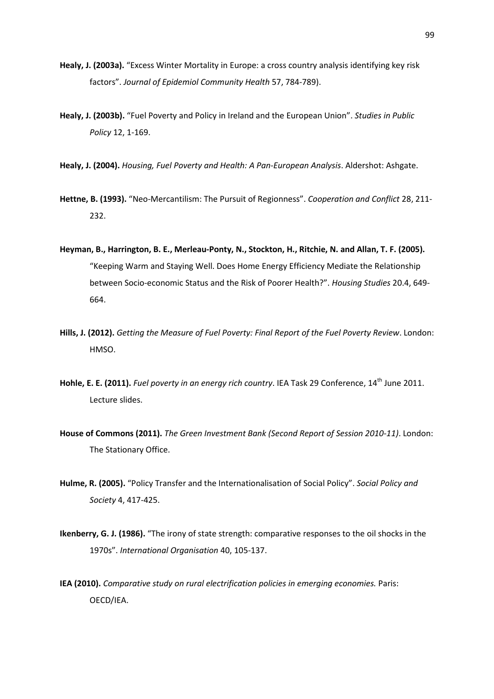- Healy, J. (2003a). "Excess Winter Mortality in Europe: a cross country analysis identifying key risk factors". Journal of Epidemiol Community Health 57, 784-789).
- Healy, J. (2003b). "Fuel Poverty and Policy in Ireland and the European Union". Studies in Public Policy 12, 1-169.
- Healy, J. (2004). Housing, Fuel Poverty and Health: A Pan-European Analysis. Aldershot: Ashgate.
- Hettne, B. (1993). "Neo-Mercantilism: The Pursuit of Regionness". Cooperation and Conflict 28, 211-232.
- Heyman, B., Harrington, B. E., Merleau-Ponty, N., Stockton, H., Ritchie, N. and Allan, T. F. (2005). "Keeping Warm and Staying Well. Does Home Energy Efficiency Mediate the Relationship between Socio-economic Status and the Risk of Poorer Health?". Housing Studies 20.4, 649- 664.
- Hills, J. (2012). Getting the Measure of Fuel Poverty: Final Report of the Fuel Poverty Review. London: HMSO.
- Hohle, E. E. (2011). Fuel poverty in an energy rich country. IEA Task 29 Conference, 14<sup>th</sup> June 2011. Lecture slides.
- House of Commons (2011). The Green Investment Bank (Second Report of Session 2010-11). London: The Stationary Office.
- Hulme, R. (2005). "Policy Transfer and the Internationalisation of Social Policy". Social Policy and Society 4, 417-425.
- Ikenberry, G. J. (1986). "The irony of state strength: comparative responses to the oil shocks in the 1970s". International Organisation 40, 105-137.
- IEA (2010). Comparative study on rural electrification policies in emerging economies. Paris: OECD/IEA.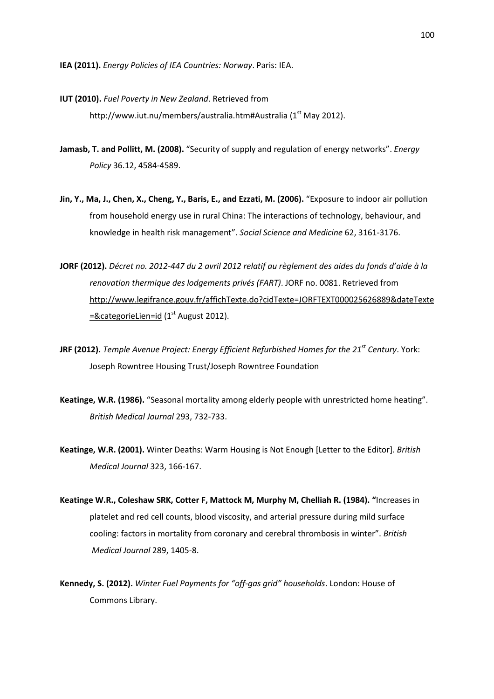IEA (2011). Energy Policies of IEA Countries: Norway. Paris: IEA.

- IUT (2010). Fuel Poverty in New Zealand. Retrieved from http://www.iut.nu/members/australia.htm#Australia (1<sup>st</sup> May 2012).
- Jamasb, T. and Pollitt, M. (2008). "Security of supply and regulation of energy networks". *Energy* Policy 36.12, 4584-4589.
- Jin, Y., Ma, J., Chen, X., Cheng, Y., Baris, E., and Ezzati, M. (2006). "Exposure to indoor air pollution from household energy use in rural China: The interactions of technology, behaviour, and knowledge in health risk management". Social Science and Medicine 62, 3161-3176.
- JORF (2012). Décret no. 2012-447 du 2 avril 2012 relatif au règlement des aides du fonds d'aide à la renovation thermique des lodgements privés (FART). JORF no. 0081. Retrieved from http://www.legifrance.gouv.fr/affichTexte.do?cidTexte=JORFTEXT000025626889&dateTexte  $=$ &categorieLien=id (1<sup>st</sup> August 2012).
- JRF (2012). Temple Avenue Project: Energy Efficient Refurbished Homes for the 21<sup>st</sup> Century. York: Joseph Rowntree Housing Trust/Joseph Rowntree Foundation
- Keatinge, W.R. (1986). "Seasonal mortality among elderly people with unrestricted home heating". British Medical Journal 293, 732-733.
- Keatinge, W.R. (2001). Winter Deaths: Warm Housing is Not Enough [Letter to the Editor]. British Medical Journal 323, 166-167.
- Keatinge W.R., Coleshaw SRK, Cotter F, Mattock M, Murphy M, Chelliah R. (1984). "Increases in platelet and red cell counts, blood viscosity, and arterial pressure during mild surface cooling: factors in mortality from coronary and cerebral thrombosis in winter". British Medical Journal 289, 1405-8.
- Kennedy, S. (2012). Winter Fuel Payments for "off-gas grid" households. London: House of Commons Library.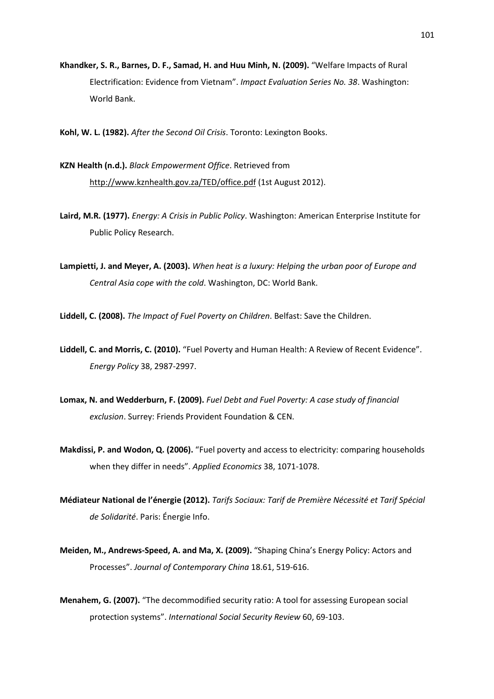- Khandker, S. R., Barnes, D. F., Samad, H. and Huu Minh, N. (2009). "Welfare Impacts of Rural Electrification: Evidence from Vietnam". Impact Evaluation Series No. 38. Washington: World Bank.
- Kohl, W. L. (1982). After the Second Oil Crisis. Toronto: Lexington Books.
- KZN Health (n.d.). Black Empowerment Office. Retrieved from http://www.kznhealth.gov.za/TED/office.pdf (1st August 2012).
- Laird, M.R. (1977). Energy: A Crisis in Public Policy. Washington: American Enterprise Institute for Public Policy Research.
- Lampietti, J. and Meyer, A. (2003). When heat is a luxury: Helping the urban poor of Europe and Central Asia cope with the cold. Washington, DC: World Bank.
- Liddell, C. (2008). The Impact of Fuel Poverty on Children. Belfast: Save the Children.
- Liddell, C. and Morris, C. (2010). "Fuel Poverty and Human Health: A Review of Recent Evidence". Energy Policy 38, 2987-2997.
- Lomax, N. and Wedderburn, F. (2009). Fuel Debt and Fuel Poverty: A case study of financial exclusion. Surrey: Friends Provident Foundation & CEN.
- Makdissi, P. and Wodon, Q. (2006). "Fuel poverty and access to electricity: comparing households when they differ in needs". Applied Economics 38, 1071-1078.
- Médiateur National de l'énergie (2012). Tarifs Sociaux: Tarif de Première Nécessité et Tarif Spécial de Solidarité. Paris: Énergie Info.
- Meiden, M., Andrews-Speed, A. and Ma, X. (2009). "Shaping China's Energy Policy: Actors and Processes". Journal of Contemporary China 18.61, 519-616.
- Menahem, G. (2007). "The decommodified security ratio: A tool for assessing European social protection systems". International Social Security Review 60, 69-103.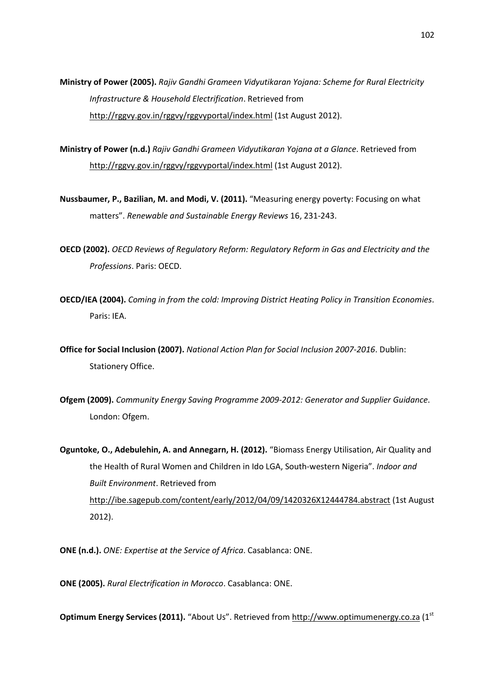Ministry of Power (2005). Rajiv Gandhi Grameen Vidyutikaran Yojana: Scheme for Rural Electricity Infrastructure & Household Electrification. Retrieved from http://rggvy.gov.in/rggvy/rggvyportal/index.html (1st August 2012).

- Ministry of Power (n.d.) Rajiv Gandhi Grameen Vidyutikaran Yojana at a Glance. Retrieved from http://rggvy.gov.in/rggvy/rggvyportal/index.html (1st August 2012).
- Nussbaumer, P., Bazilian, M. and Modi, V. (2011). "Measuring energy poverty: Focusing on what matters". Renewable and Sustainable Energy Reviews 16, 231-243.
- OECD (2002). OECD Reviews of Regulatory Reform: Regulatory Reform in Gas and Electricity and the Professions. Paris: OECD.
- OECD/IEA (2004). Coming in from the cold: Improving District Heating Policy in Transition Economies. Paris: IEA.
- Office for Social Inclusion (2007). National Action Plan for Social Inclusion 2007-2016. Dublin: Stationery Office.
- Ofgem (2009). Community Energy Saving Programme 2009-2012: Generator and Supplier Guidance. London: Ofgem.

Oguntoke, O., Adebulehin, A. and Annegarn, H. (2012). "Biomass Energy Utilisation, Air Quality and the Health of Rural Women and Children in Ido LGA, South-western Nigeria". Indoor and Built Environment. Retrieved from http://ibe.sagepub.com/content/early/2012/04/09/1420326X12444784.abstract (1st August 2012).

ONE (n.d.). ONE: Expertise at the Service of Africa. Casablanca: ONE.

ONE (2005). Rural Electrification in Morocco. Casablanca: ONE.

Optimum Energy Services (2011). "About Us". Retrieved from http://www.optimumenergy.co.za (1st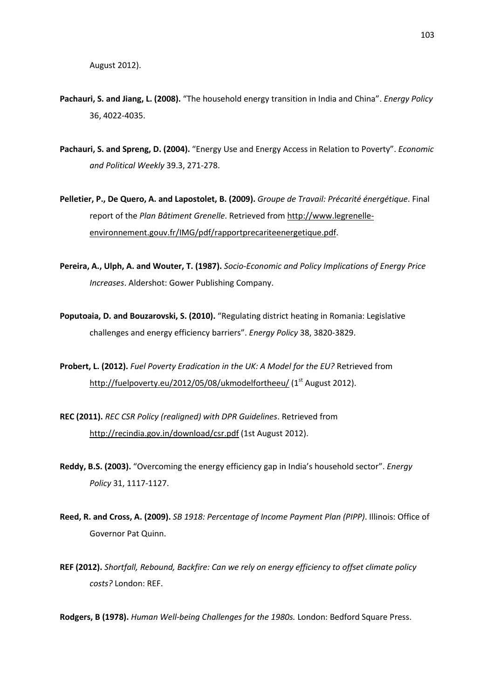- Pachauri, S. and Jiang, L. (2008). "The household energy transition in India and China". Energy Policy 36, 4022-4035.
- Pachauri, S. and Spreng, D. (2004). "Energy Use and Energy Access in Relation to Poverty". Economic and Political Weekly 39.3, 271-278.
- Pelletier, P., De Quero, A. and Lapostolet, B. (2009). Groupe de Travail: Précarité énergétique. Final report of the Plan Bâtiment Grenelle. Retrieved from http://www.legrenelleenvironnement.gouv.fr/IMG/pdf/rapportprecariteenergetique.pdf.
- Pereira, A., Ulph, A. and Wouter, T. (1987). Socio-Economic and Policy Implications of Energy Price Increases. Aldershot: Gower Publishing Company.
- Poputoaia, D. and Bouzarovski, S. (2010). "Regulating district heating in Romania: Legislative challenges and energy efficiency barriers". Energy Policy 38, 3820-3829.
- Probert, L. (2012). Fuel Poverty Eradication in the UK: A Model for the EU? Retrieved from http://fuelpoverty.eu/2012/05/08/ukmodelfortheeu/ (1<sup>st</sup> August 2012).
- REC (2011). REC CSR Policy (realigned) with DPR Guidelines. Retrieved from http://recindia.gov.in/download/csr.pdf (1st August 2012).
- Reddy, B.S. (2003). "Overcoming the energy efficiency gap in India's household sector". Energy Policy 31, 1117-1127.
- Reed, R. and Cross, A. (2009). SB 1918: Percentage of Income Payment Plan (PIPP). Illinois: Office of Governor Pat Quinn.
- REF (2012). Shortfall, Rebound, Backfire: Can we rely on energy efficiency to offset climate policy costs? London: REF.

Rodgers, B (1978). Human Well-being Challenges for the 1980s. London: Bedford Square Press.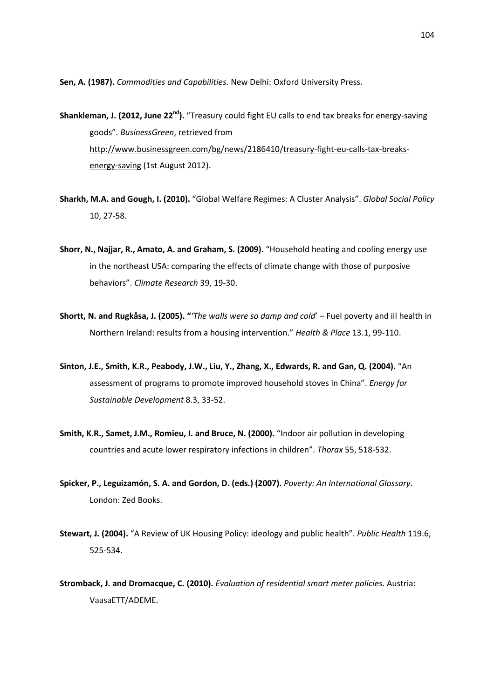Sen, A. (1987). Commodities and Capabilities. New Delhi: Oxford University Press.

**Shankleman, J. (2012, June 22<sup>nd</sup>).** "Treasury could fight EU calls to end tax breaks for energy-saving goods". BusinessGreen, retrieved from http://www.businessgreen.com/bg/news/2186410/treasury-fight-eu-calls-tax-breaksenergy-saving (1st August 2012).

- Sharkh, M.A. and Gough, I. (2010). "Global Welfare Regimes: A Cluster Analysis". Global Social Policy 10, 27-58.
- Shorr, N., Najjar, R., Amato, A. and Graham, S. (2009). "Household heating and cooling energy use in the northeast USA: comparing the effects of climate change with those of purposive behaviors". Climate Research 39, 19-30.
- Shortt, N. and Rugkåsa, J. (2005). "The walls were so damp and cold' Fuel poverty and ill health in Northern Ireland: results from a housing intervention." Health & Place 13.1, 99-110.
- Sinton, J.E., Smith, K.R., Peabody, J.W., Liu, Y., Zhang, X., Edwards, R. and Gan, Q. (2004). "An assessment of programs to promote improved household stoves in China". Energy for Sustainable Development 8.3, 33-52.
- Smith, K.R., Samet, J.M., Romieu, I. and Bruce, N. (2000). "Indoor air pollution in developing countries and acute lower respiratory infections in children". Thorax 55, 518-532.
- Spicker, P., Leguizamón, S. A. and Gordon, D. (eds.) (2007). Poverty: An International Glossary. London: Zed Books.
- Stewart, J. (2004). "A Review of UK Housing Policy: ideology and public health". Public Health 119.6, 525-534.
- Stromback, J. and Dromacque, C. (2010). Evaluation of residential smart meter policies. Austria: VaasaETT/ADEME.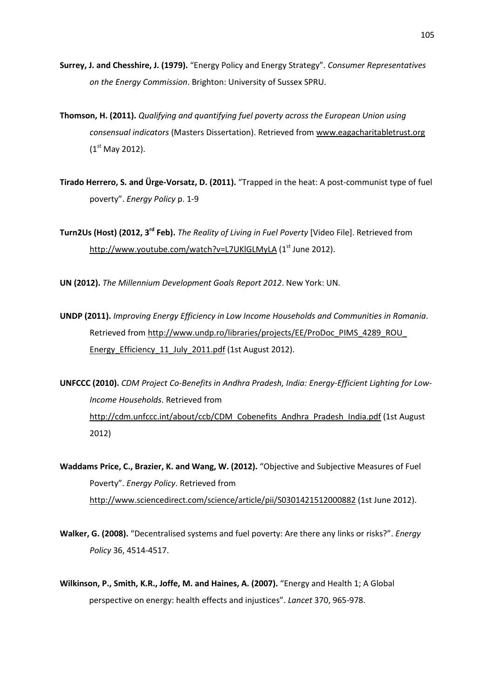- Surrey, J. and Chesshire, J. (1979). "Energy Policy and Energy Strategy". Consumer Representatives on the Energy Commission. Brighton: University of Sussex SPRU.
- Thomson, H. (2011). Qualifying and quantifying fuel poverty across the European Union using consensual indicators (Masters Dissertation). Retrieved from www.eagacharitabletrust.org  $(1<sup>st</sup>$  May 2012).
- Tirado Herrero, S. and Ürge-Vorsatz, D. (2011). "Trapped in the heat: A post-communist type of fuel poverty". Energy Policy p. 1-9

Turn2Us (Host) (2012, 3<sup>rd</sup> Feb). The Reality of Livina in Fuel Poverty [Video File]. Retrieved from http://www.youtube.com/watch?v=L7UKlGLMyLA (1<sup>st</sup> June 2012).

UN (2012). The Millennium Development Goals Report 2012. New York: UN.

- UNDP (2011). Improving Energy Efficiency in Low Income Households and Communities in Romania. Retrieved from http://www.undp.ro/libraries/projects/EE/ProDoc\_PIMS\_4289\_ROU\_ Energy\_Efficiency\_11\_July\_2011.pdf (1st August 2012).
- UNFCCC (2010). CDM Project Co-Benefits in Andhra Pradesh, India: Energy-Efficient Lighting for Low-Income Households. Retrieved from http://cdm.unfccc.int/about/ccb/CDM\_Cobenefits\_Andhra\_Pradesh\_India.pdf (1st August 2012)
- Waddams Price, C., Brazier, K. and Wang, W. (2012). "Objective and Subjective Measures of Fuel Poverty". Energy Policy. Retrieved from http://www.sciencedirect.com/science/article/pii/S0301421512000882 (1st June 2012).
- Walker, G. (2008). "Decentralised systems and fuel poverty: Are there any links or risks?". *Energy* Policy 36, 4514-4517.
- Wilkinson, P., Smith, K.R., Joffe, M. and Haines, A. (2007). "Energy and Health 1; A Global perspective on energy: health effects and injustices". Lancet 370, 965-978.